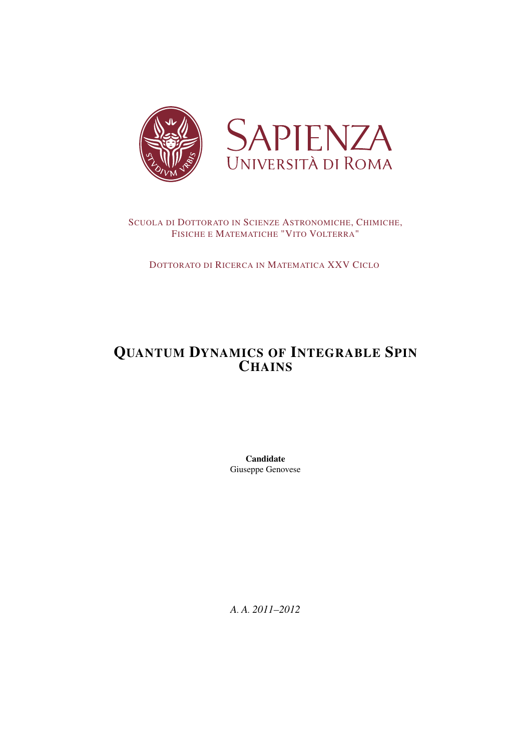

## SCUOLA DI DOTTORATO IN SCIENZE ASTRONOMICHE, CHIMICHE, FISICHE E MATEMATICHE "VITO VOLTERRA"

DOTTORATO DI RICERCA IN MATEMATICA XXV CICLO

# QUANTUM DYNAMICS OF INTEGRABLE SPIN **CHAINS**

Candidate Giuseppe Genovese

*A. A. 2011–2012*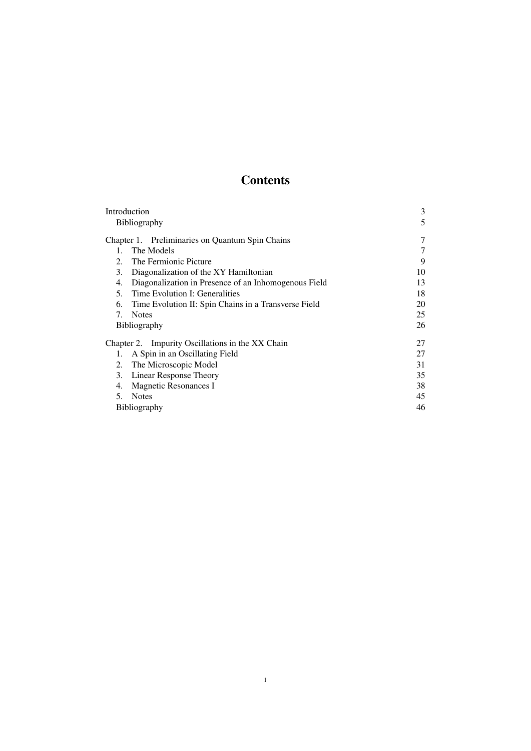# **Contents**

| Introduction                                               | 3  |
|------------------------------------------------------------|----|
| <b>Bibliography</b>                                        | 5  |
| Chapter 1. Preliminaries on Quantum Spin Chains            | 7  |
| The Models<br>$1 \quad$                                    |    |
| The Fermionic Picture<br>$2_{1}$                           | 9  |
| 3.<br>Diagonalization of the XY Hamiltonian                | 10 |
| Diagonalization in Presence of an Inhomogenous Field<br>4. | 13 |
| Time Evolution I: Generalities<br>5.                       | 18 |
| Time Evolution II: Spin Chains in a Transverse Field<br>6. | 20 |
| <b>Notes</b><br>7.                                         | 25 |
| <b>Bibliography</b>                                        | 26 |
| Chapter 2. Impurity Oscillations in the XX Chain           | 27 |
| A Spin in an Oscillating Field<br>1.                       | 27 |
| The Microscopic Model<br>2.                                | 31 |
| Linear Response Theory<br>3.                               | 35 |
| Magnetic Resonances I<br>4.                                | 38 |
| <b>Notes</b><br>5.                                         | 45 |
| <b>Bibliography</b>                                        | 46 |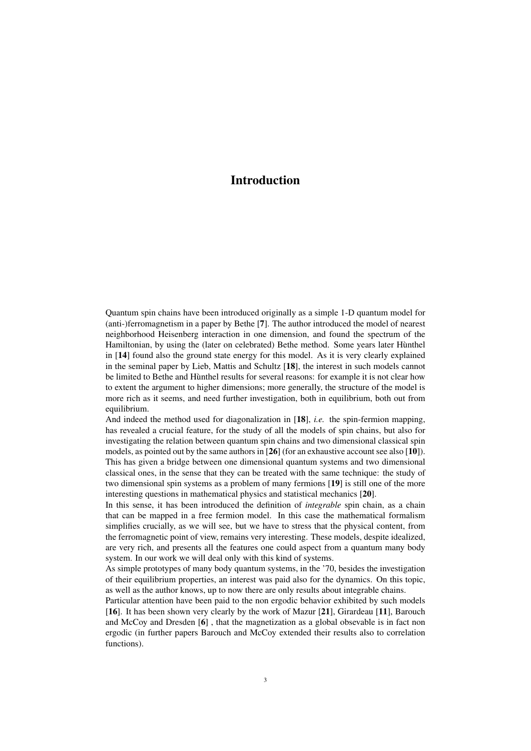## Introduction

Quantum spin chains have been introduced originally as a simple 1-D quantum model for (anti-)ferromagnetism in a paper by Bethe [7]. The author introduced the model of nearest neighborhood Heisenberg interaction in one dimension, and found the spectrum of the Hamiltonian, by using the (later on celebrated) Bethe method. Some years later Hùnthel in [14] found also the ground state energy for this model. As it is very clearly explained in the seminal paper by Lieb, Mattis and Schultz [18], the interest in such models cannot be limited to Bethe and Hùnthel results for several reasons: for example it is not clear how to extent the argument to higher dimensions; more generally, the structure of the model is more rich as it seems, and need further investigation, both in equilibrium, both out from equilibrium.

And indeed the method used for diagonalization in [18], *i.e.* the spin-fermion mapping, has revealed a crucial feature, for the study of all the models of spin chains, but also for investigating the relation between quantum spin chains and two dimensional classical spin models, as pointed out by the same authors in [26] (for an exhaustive account see also [10]). This has given a bridge between one dimensional quantum systems and two dimensional classical ones, in the sense that they can be treated with the same technique: the study of two dimensional spin systems as a problem of many fermions [19] is still one of the more interesting questions in mathematical physics and statistical mechanics [20].

In this sense, it has been introduced the definition of *integrable* spin chain, as a chain that can be mapped in a free fermion model. In this case the mathematical formalism simplifies crucially, as we will see, but we have to stress that the physical content, from the ferromagnetic point of view, remains very interesting. These models, despite idealized, are very rich, and presents all the features one could aspect from a quantum many body system. In our work we will deal only with this kind of systems.

As simple prototypes of many body quantum systems, in the '70, besides the investigation of their equilibrium properties, an interest was paid also for the dynamics. On this topic, as well as the author knows, up to now there are only results about integrable chains.

Particular attention have been paid to the non ergodic behavior exhibited by such models [16]. It has been shown very clearly by the work of Mazur [21], Girardeau [11], Barouch and McCoy and Dresden [6] , that the magnetization as a global obsevable is in fact non ergodic (in further papers Barouch and McCoy extended their results also to correlation functions).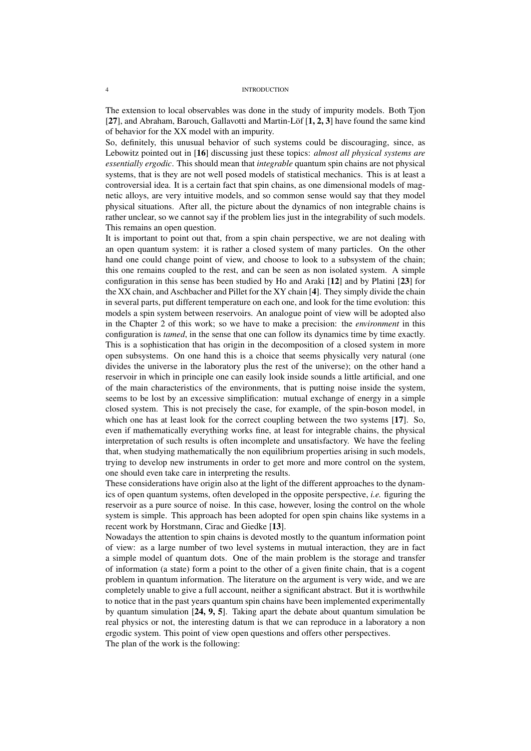The extension to local observables was done in the study of impurity models. Both Tjon [27], and Abraham, Barouch, Gallavotti and Martin-Löf [1, 2, 3] have found the same kind of behavior for the XX model with an impurity.

So, definitely, this unusual behavior of such systems could be discouraging, since, as Lebowitz pointed out in [16] discussing just these topics: *almost all physical systems are essentially ergodic*. This should mean that *integrable* quantum spin chains are not physical systems, that is they are not well posed models of statistical mechanics. This is at least a controversial idea. It is a certain fact that spin chains, as one dimensional models of magnetic alloys, are very intuitive models, and so common sense would say that they model physical situations. After all, the picture about the dynamics of non integrable chains is rather unclear, so we cannot say if the problem lies just in the integrability of such models. This remains an open question.

It is important to point out that, from a spin chain perspective, we are not dealing with an open quantum system: it is rather a closed system of many particles. On the other hand one could change point of view, and choose to look to a subsystem of the chain; this one remains coupled to the rest, and can be seen as non isolated system. A simple configuration in this sense has been studied by Ho and Araki [12] and by Platini [23] for the XX chain, and Aschbacher and Pillet for the XY chain [4]. They simply divide the chain in several parts, put different temperature on each one, and look for the time evolution: this models a spin system between reservoirs. An analogue point of view will be adopted also in the Chapter 2 of this work; so we have to make a precision: the *environment* in this configuration is *tamed*, in the sense that one can follow its dynamics time by time exactly. This is a sophistication that has origin in the decomposition of a closed system in more open subsystems. On one hand this is a choice that seems physically very natural (one divides the universe in the laboratory plus the rest of the universe); on the other hand a reservoir in which in principle one can easily look inside sounds a little artificial, and one of the main characteristics of the environments, that is putting noise inside the system, seems to be lost by an excessive simplification: mutual exchange of energy in a simple closed system. This is not precisely the case, for example, of the spin-boson model, in which one has at least look for the correct coupling between the two systems [17]. So, even if mathematically everything works fine, at least for integrable chains, the physical interpretation of such results is often incomplete and unsatisfactory. We have the feeling that, when studying mathematically the non equilibrium properties arising in such models, trying to develop new instruments in order to get more and more control on the system, one should even take care in interpreting the results.

These considerations have origin also at the light of the different approaches to the dynamics of open quantum systems, often developed in the opposite perspective, *i.e.* figuring the reservoir as a pure source of noise. In this case, however, losing the control on the whole system is simple. This approach has been adopted for open spin chains like systems in a recent work by Horstmann, Cirac and Giedke [13].

Nowadays the attention to spin chains is devoted mostly to the quantum information point of view: as a large number of two level systems in mutual interaction, they are in fact a simple model of quantum dots. One of the main problem is the storage and transfer of information (a state) form a point to the other of a given finite chain, that is a cogent problem in quantum information. The literature on the argument is very wide, and we are completely unable to give a full account, neither a significant abstract. But it is worthwhile to notice that in the past years quantum spin chains have been implemented experimentally by quantum simulation [24, 9, 5]. Taking apart the debate about quantum simulation be real physics or not, the interesting datum is that we can reproduce in a laboratory a non ergodic system. This point of view open questions and offers other perspectives. The plan of the work is the following: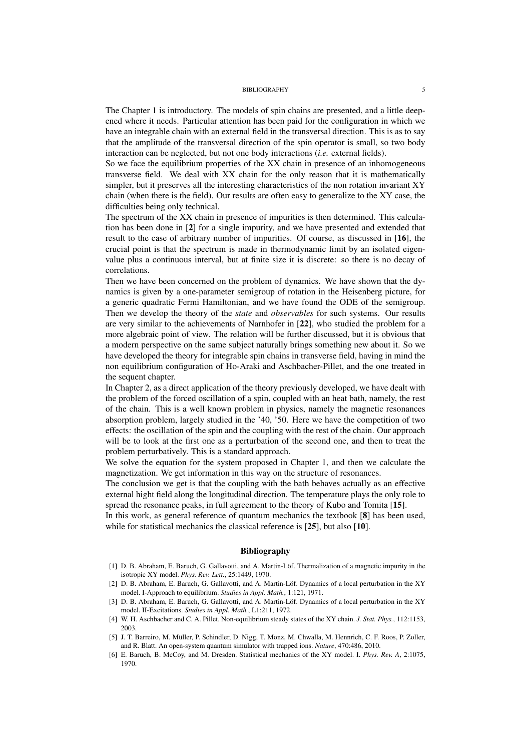#### BIBLIOGRAPHY 5

The Chapter 1 is introductory. The models of spin chains are presented, and a little deepened where it needs. Particular attention has been paid for the configuration in which we have an integrable chain with an external field in the transversal direction. This is as to say that the amplitude of the transversal direction of the spin operator is small, so two body interaction can be neglected, but not one body interactions (*i.e.* external fields).

So we face the equilibrium properties of the XX chain in presence of an inhomogeneous transverse field. We deal with XX chain for the only reason that it is mathematically simpler, but it preserves all the interesting characteristics of the non rotation invariant XY chain (when there is the field). Our results are often easy to generalize to the XY case, the difficulties being only technical.

The spectrum of the XX chain in presence of impurities is then determined. This calculation has been done in [2] for a single impurity, and we have presented and extended that result to the case of arbitrary number of impurities. Of course, as discussed in [16], the crucial point is that the spectrum is made in thermodynamic limit by an isolated eigenvalue plus a continuous interval, but at finite size it is discrete: so there is no decay of correlations.

Then we have been concerned on the problem of dynamics. We have shown that the dynamics is given by a one-parameter semigroup of rotation in the Heisenberg picture, for a generic quadratic Fermi Hamiltonian, and we have found the ODE of the semigroup. Then we develop the theory of the *state* and *observables* for such systems. Our results are very similar to the achievements of Narnhofer in [22], who studied the problem for a more algebraic point of view. The relation will be further discussed, but it is obvious that a modern perspective on the same subject naturally brings something new about it. So we have developed the theory for integrable spin chains in transverse field, having in mind the non equilibrium configuration of Ho-Araki and Aschbacher-Pillet, and the one treated in the sequent chapter.

In Chapter 2, as a direct application of the theory previously developed, we have dealt with the problem of the forced oscillation of a spin, coupled with an heat bath, namely, the rest of the chain. This is a well known problem in physics, namely the magnetic resonances absorption problem, largely studied in the '40, '50. Here we have the competition of two effects: the oscillation of the spin and the coupling with the rest of the chain. Our approach will be to look at the first one as a perturbation of the second one, and then to treat the problem perturbatively. This is a standard approach.

We solve the equation for the system proposed in Chapter 1, and then we calculate the magnetization. We get information in this way on the structure of resonances.

The conclusion we get is that the coupling with the bath behaves actually as an effective external hight field along the longitudinal direction. The temperature plays the only role to spread the resonance peaks, in full agreement to the theory of Kubo and Tomita [15].

In this work, as general reference of quantum mechanics the textbook [8] has been used, while for statistical mechanics the classical reference is [25], but also [10].

### Bibliography

- [1] D. B. Abraham, E. Baruch, G. Gallavotti, and A. Martin-Löf. Thermalization of a magnetic impurity in the isotropic XY model. *Phys. Rev. Lett.*, 25:1449, 1970.
- [2] D. B. Abraham, E. Baruch, G. Gallavotti, and A. Martin-Löf. Dynamics of a local perturbation in the XY model. I-Approach to equilibrium. *Studies in Appl. Math.*, 1:121, 1971.
- [3] D. B. Abraham, E. Baruch, G. Gallavotti, and A. Martin-Löf. Dynamics of a local perturbation in the XY model. II-Excitations. *Studies in Appl. Math.*, L1:211, 1972.
- [4] W. H. Aschbacher and C. A. Pillet. Non-equilibrium steady states of the XY chain. *J. Stat. Phys.*, 112:1153, 2003.
- [5] J. T. Barreiro, M. Müller, P. Schindler, D. Nigg, T. Monz, M. Chwalla, M. Hennrich, C. F. Roos, P. Zoller, and R. Blatt. An open-system quantum simulator with trapped ions. *Nature*, 470:486, 2010.
- [6] E. Baruch, B. McCoy, and M. Dresden. Statistical mechanics of the XY model. I. *Phys. Rev. A*, 2:1075, 1970.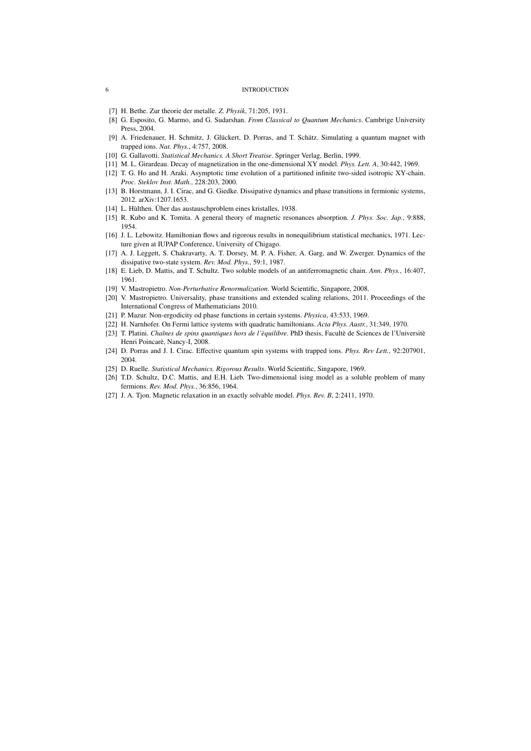#### 6 INTRODUCTION

- [7] H. Bethe. Zur theorie der metalle. *Z. Physik*, 71:205, 1931.
- [8] G. Esposito, G. Marmo, and G. Sudarshan. *From Classical to Quantum Mechanics*. Cambrige University Press, 2004.
- [9] A. Friedenauer, H. Schmitz, J. Glückert, D. Porras, and T. Schätz. Simulating a quantum magnet with trapped ions. *Nat. Phys.*, 4:757, 2008.
- [10] G. Gallavotti. *Statistical Mechanics. A Short Treatise*. Springer Verlag, Berlin, 1999.
- [11] M. L. Girardeau. Decay of magnetization in the one-dimensional XY model. *Phys. Lett. A*, 30:442, 1969.
- [12] T. G. Ho and H. Araki. Asymptotic time evolution of a partitioned infinite two-sided isotropic XY-chain. *Proc. Steklov Inst. Math.*, 228:203, 2000.
- [13] B. Horstmann, J. I. Cirac, and G. Giedke. Dissipative dynamics and phase transitions in fermionic systems, 2012. arXiv:1207.1653.
- [14] L. Hùlthen. Üher das austauschproblem eines kristalles, 1938.
- [15] R. Kubo and K. Tomita. A general theory of magnetic resonances absorption. *J. Phys. Soc. Jap.*, 9:888, 1954.
- [16] J. L. Lebowitz. Hamiltonian flows and rigorous results in nonequilibrium statistical mechanics, 1971. Lecture given at IUPAP Conference, University of Chigago.
- [17] A. J. Leggett, S. Chakravarty, A. T. Dorsey, M. P. A. Fisher, A. Garg, and W. Zwerger. Dynamics of the dissipative two-state system. *Rev. Mod. Phys.*, 59:1, 1987.
- [18] E. Lieb, D. Mattis, and T. Schultz. Two soluble models of an antiferromagnetic chain. *Ann. Phys.*, 16:407, 1961.
- [19] V. Mastropietro. *Non-Perturbative Renormalization*. World Scientific, Singapore, 2008.
- [20] V. Mastropietro. Universality, phase transitions and extended scaling relations, 2011. Proceedings of the International Congress of Mathematicians 2010.
- [21] P. Mazur. Non-ergodicity od phase functions in certain systems. *Physica*, 43:533, 1969.
- [22] H. Narnhofer. On Fermi lattice systems with quadratic hamiltonians. *Acta Phys. Austr.*, 31:349, 1970.
- [23] T. Platini. *Chaînes de spins quantiques hors de l'èquilibre*. PhD thesis, Facultè de Sciences de l'Universitè Henri Poincarè, Nancy-I, 2008.
- [24] D. Porras and J. I. Cirac. Effective quantum spin systems with trapped ions. *Phys. Rev Lett.*, 92:207901, 2004.
- [25] D. Ruelle. *Statistical Mechanics. Rigorous Results*. World Scientific, Singapore, 1969.
- [26] T.D. Schultz, D.C. Mattis, and E.H. Lieb. Two-dimensional ising model as a soluble problem of many fermions. *Rev. Mod. Phys.*, 36:856, 1964.
- [27] J. A. Tjon. Magnetic relaxation in an exactly solvable model. *Phys. Rev. B*, 2:2411, 1970.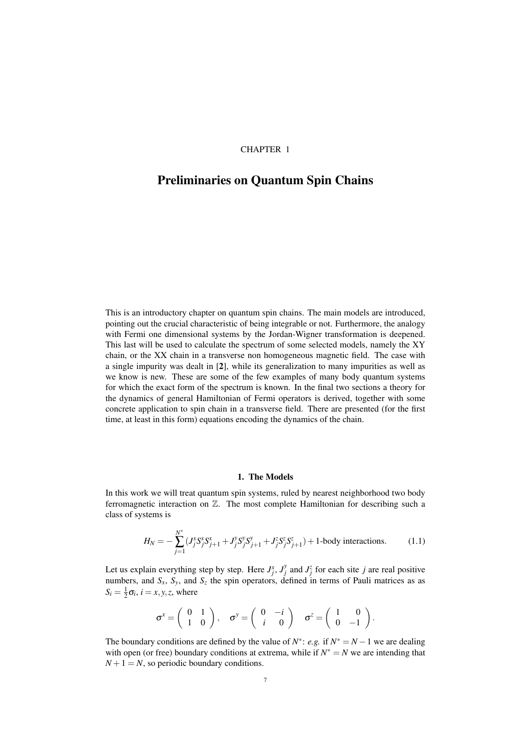## CHAPTER 1

## Preliminaries on Quantum Spin Chains

This is an introductory chapter on quantum spin chains. The main models are introduced, pointing out the crucial characteristic of being integrable or not. Furthermore, the analogy with Fermi one dimensional systems by the Jordan-Wigner transformation is deepened. This last will be used to calculate the spectrum of some selected models, namely the XY chain, or the XX chain in a transverse non homogeneous magnetic field. The case with a single impurity was dealt in [2], while its generalization to many impurities as well as we know is new. These are some of the few examples of many body quantum systems for which the exact form of the spectrum is known. In the final two sections a theory for the dynamics of general Hamiltonian of Fermi operators is derived, together with some concrete application to spin chain in a transverse field. There are presented (for the first time, at least in this form) equations encoding the dynamics of the chain.

## 1. The Models

In this work we will treat quantum spin systems, ruled by nearest neighborhood two body ferromagnetic interaction on Z. The most complete Hamiltonian for describing such a class of systems is

$$
H_N = -\sum_{j=1}^{N^*} (J_j^x S_j^x S_{j+1}^x + J_j^y S_j^y S_{j+1}^y + J_j^z S_j^z S_{j+1}^z) + 1
$$
-body interactions. (1.1)

Let us explain everything step by step. Here  $J_j^x$ ,  $J_j^y$  and  $J_j^z$  for each site *j* are real positive numbers, and  $S_x$ ,  $S_y$ , and  $S_z$  the spin operators, defined in terms of Pauli matrices as as  $S_i = \frac{1}{2}\sigma_i$ ,  $i = x, y, z$ , where

$$
\sigma^x = \begin{pmatrix} 0 & 1 \\ 1 & 0 \end{pmatrix}, \quad \sigma^y = \begin{pmatrix} 0 & -i \\ i & 0 \end{pmatrix} \quad \sigma^z = \begin{pmatrix} 1 & 0 \\ 0 & -1 \end{pmatrix}.
$$

The boundary conditions are defined by the value of  $N^*$ : *e.g.* if  $N^* = N - 1$  we are dealing with open (or free) boundary conditions at extrema, while if  $N^* = N$  we are intending that  $N+1 = N$ , so periodic boundary conditions.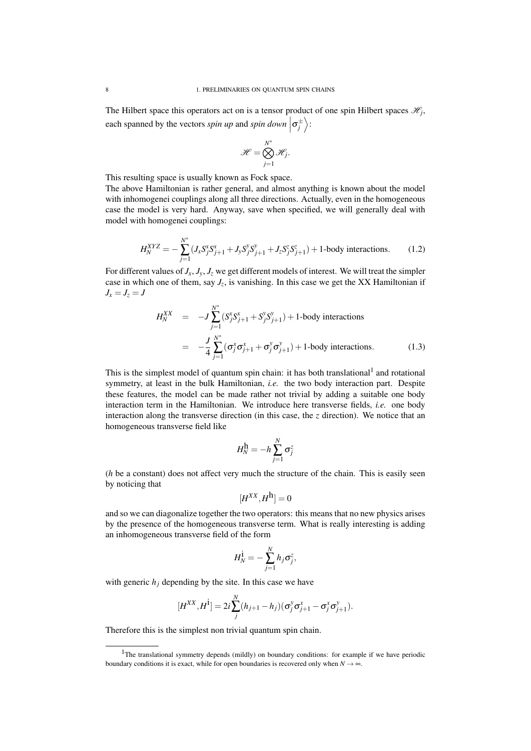The Hilbert space this operators act on is a tensor product of one spin Hilbert spaces  $\mathscr{H}_j$ , each spanned by the vectors *spin up* and *spin down*  $\left| \sigma_j^{\pm} \right\rangle$ :

$$
\mathscr{H} = \bigotimes_{j=1}^{N^*} \mathscr{H}_j.
$$

This resulting space is usually known as Fock space.

The above Hamiltonian is rather general, and almost anything is known about the model with inhomogenei couplings along all three directions. Actually, even in the homogeneous case the model is very hard. Anyway, save when specified, we will generally deal with model with homogenei couplings:

$$
H_N^{XYZ} = -\sum_{j=1}^{N^*} (J_x S_j^x S_{j+1}^x + J_y S_j^y S_{j+1}^y + J_z S_j^z S_{j+1}^z) + 1
$$
-body interactions. (1.2)

For different values of  $J_x$ ,  $J_y$ ,  $J_z$  we get different models of interest. We will treat the simpler case in which one of them, say  $J_z$ , is vanishing. In this case we get the XX Hamiltonian if  $J_x = J_z = J$ 

$$
H_N^{XX} = -J \sum_{j=1}^{N^*} (S_j^x S_{j+1}^x + S_j^y S_{j+1}^y) + 1 \text{-body interactions}
$$
  
= 
$$
-\frac{J}{4} \sum_{j=1}^{N^*} (\sigma_j^x \sigma_{j+1}^x + \sigma_j^y \sigma_{j+1}^y) + 1 \text{-body interactions.}
$$
 (1.3)

This is the simplest model of quantum spin chain: it has both translational<sup>1</sup> and rotational symmetry, at least in the bulk Hamiltonian, *i.e.* the two body interaction part. Despite these features, the model can be made rather not trivial by adding a suitable one body interaction term in the Hamiltonian. We introduce here transverse fields, *i.e.* one body interaction along the transverse direction (in this case, the  $\zeta$  direction). We notice that an homogeneous transverse field like

$$
H_N^{\mathbf{h}} = -h \sum_{j=1}^N \sigma_j^z
$$

(*h* be a constant) does not affect very much the structure of the chain. This is easily seen by noticing that

$$
[H^{XX},H^{\mathbf{h}}]=0
$$

and so we can diagonalize together the two operators: this means that no new physics arises by the presence of the homogeneous transverse term. What is really interesting is adding an inhomogeneous transverse field of the form

$$
H_N^{\dot{1}} = -\sum_{j=1}^N h_j \sigma_j^z,
$$

with generic  $h_j$  depending by the site. In this case we have

$$
[H^{XX},H^{\dot{1}}]=2i\sum_{j}^{N}(h_{j+1}-h_j)(\sigma_j^y\sigma_{j+1}^x-\sigma_j^x\sigma_{j+1}^y).
$$

Therefore this is the simplest non trivial quantum spin chain.

<sup>&</sup>lt;sup>1</sup>The translational symmetry depends (mildly) on boundary conditions: for example if we have periodic boundary conditions it is exact, while for open boundaries is recovered only when  $N \rightarrow \infty$ .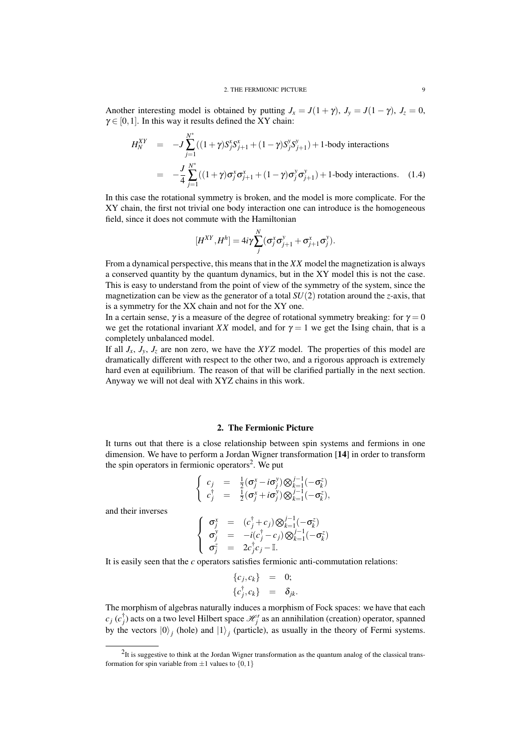Another interesting model is obtained by putting  $J_x = J(1 + \gamma)$ ,  $J_y = J(1 - \gamma)$ ,  $J_z = 0$ ,  $\gamma \in [0,1]$ . In this way it results defined the XY chain:

$$
H_N^{XY} = -J \sum_{j=1}^{N^*} ((1+\gamma)S_j^x S_{j+1}^x + (1-\gamma)S_j^y S_{j+1}^y) + 1\text{-body interactions}
$$
  
= 
$$
-\frac{J}{4} \sum_{j=1}^{N^*} ((1+\gamma)\sigma_j^x \sigma_{j+1}^x + (1-\gamma)\sigma_j^y \sigma_{j+1}^y) + 1\text{-body interactions.} \quad (1.4)
$$

In this case the rotational symmetry is broken, and the model is more complicate. For the XY chain, the first not trivial one body interaction one can introduce is the homogeneous field, since it does not commute with the Hamiltonian

$$
[H^{XY},H^h]=4i\gamma\sum_j^N(\sigma_j^x\sigma_{j+1}^y+\sigma_{j+1}^x\sigma_j^y).
$$

From a dynamical perspective, this means that in the *XX* model the magnetization is always a conserved quantity by the quantum dynamics, but in the XY model this is not the case. This is easy to understand from the point of view of the symmetry of the system, since the magnetization can be view as the generator of a total *SU*(2) rotation around the *z*-axis, that is a symmetry for the XX chain and not for the XY one.

In a certain sense,  $\gamma$  is a measure of the degree of rotational symmetry breaking: for  $\gamma = 0$ we get the rotational invariant *XX* model, and for  $\gamma = 1$  we get the Ising chain, that is a completely unbalanced model.

If all  $J_x$ ,  $J_y$ ,  $J_z$  are non zero, we have the *XYZ* model. The properties of this model are dramatically different with respect to the other two, and a rigorous approach is extremely hard even at equilibrium. The reason of that will be clarified partially in the next section. Anyway we will not deal with XYZ chains in this work.

## 2. The Fermionic Picture

It turns out that there is a close relationship between spin systems and fermions in one dimension. We have to perform a Jordan Wigner transformation [14] in order to transform the spin operators in fermionic operators<sup>2</sup>. We put

$$
\left\{\n\begin{array}{rcl}\nc_j & = & \frac{1}{2}(\sigma_j^x - i\sigma_j^y) \bigotimes_{k=1}^{j-1}(-\sigma_k^z) \\
c_j^{\dagger} & = & \frac{1}{2}(\sigma_j^x + i\sigma_j^y) \bigotimes_{k=1}^{j-1}(-\sigma_k^z),\n\end{array}\n\right.
$$

and their inverses

$$
\begin{cases}\n\sigma_j^x = (c_j^{\dagger} + c_j) \otimes_{k=1}^{j-1} (-\sigma_k^z) \\
\sigma_j^y = -i(c_j^{\dagger} - c_j) \otimes_{k=1}^{j-1} (-\sigma_k^z) \\
\sigma_j^z = 2c_j^{\dagger} c_j - \mathbb{I}.\n\end{cases}
$$

It is easily seen that the *c* operators satisfies fermionic anti-commutation relations:

$$
\begin{array}{rcl}\n\{c_j, c_k\} & = & 0; \\
\{c_j^{\dagger}, c_k\} & = & \delta_{jk}.\n\end{array}
$$

The morphism of algebras naturally induces a morphism of Fock spaces: we have that each  $c_j$  ( $c_j^{\dagger}$ ) acts on a two level Hilbert space  $\mathcal{H}_j'$  as an annihilation (creation) operator, spanned by the vectors  $|0\rangle_j$  (hole) and  $|1\rangle_j$  (particle), as usually in the theory of Fermi systems.

 $2$ It is suggestive to think at the Jordan Wigner transformation as the quantum analog of the classical transformation for spin variable from  $\pm 1$  values to  $\{0,1\}$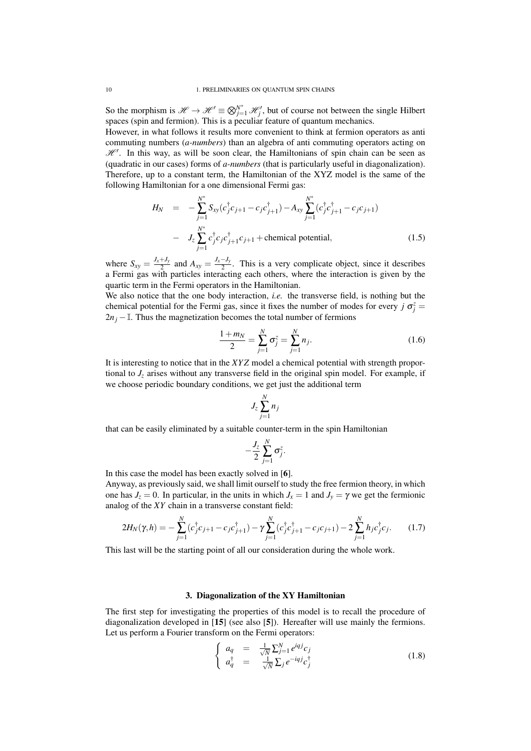So the morphism is  $\mathcal{H} \to \mathcal{H}' \equiv \bigotimes_{j=1}^{N^*} \mathcal{H}'_j$ , but of course not between the single Hilbert spaces (spin and fermion). This is a peculiar feature of quantum mechanics.

However, in what follows it results more convenient to think at fermion operators as anti commuting numbers (*a-numbers*) than an algebra of anti commuting operators acting on  $\mathcal{H}'$ . In this way, as will be soon clear, the Hamiltonians of spin chain can be seen as (quadratic in our cases) forms of *a-numbers* (that is particularly useful in diagonalization). Therefore, up to a constant term, the Hamiltonian of the XYZ model is the same of the following Hamiltonian for a one dimensional Fermi gas:

$$
H_N = -\sum_{j=1}^{N^*} S_{xy}(c_j^{\dagger}c_{j+1} - c_j c_{j+1}^{\dagger}) - A_{xy} \sum_{j=1}^{N^*} (c_j^{\dagger}c_{j+1}^{\dagger} - c_j c_{j+1})
$$
  
-  $J_z \sum_{j=1}^{N^*} c_j^{\dagger} c_j c_{j+1}^{\dagger} c_{j+1} + \text{chemical potential},$  (1.5)

where  $S_{xy} = \frac{J_x + J_y}{2}$  $\frac{J_y + J_y}{2}$  and  $A_{xy} = \frac{J_x - J_y}{2}$  $\frac{y-y_y}{2}$ . This is a very complicate object, since it describes a Fermi gas with particles interacting each others, where the interaction is given by the quartic term in the Fermi operators in the Hamiltonian.

We also notice that the one body interaction, *i.e.* the transverse field, is nothing but the chemical potential for the Fermi gas, since it fixes the number of modes for every  $j \sigma_j^z =$  $2n<sub>i</sub>$  − I. Thus the magnetization becomes the total number of fermions

$$
\frac{1+m_N}{2} = \sum_{j=1}^N \sigma_j^z = \sum_{j=1}^N n_j.
$$
 (1.6)

It is interesting to notice that in the *XY Z* model a chemical potential with strength proportional to  $J_z$  arises without any transverse field in the original spin model. For example, if we choose periodic boundary conditions, we get just the additional term

$$
J_z\sum_{j=1}^N n_j
$$

that can be easily eliminated by a suitable counter-term in the spin Hamiltonian

$$
-\frac{J_z}{2}\sum_{j=1}^N\sigma_j^z.
$$

In this case the model has been exactly solved in [6].

Anyway, as previously said, we shall limit ourself to study the free fermion theory, in which one has  $J_z = 0$ . In particular, in the units in which  $J_x = 1$  and  $J_y = \gamma$  we get the fermionic analog of the *XY* chain in a transverse constant field:

$$
2H_N(\gamma, h) = -\sum_{j=1}^N (c_j^{\dagger} c_{j+1} - c_j c_{j+1}^{\dagger}) - \gamma \sum_{j=1}^N (c_j^{\dagger} c_{j+1}^{\dagger} - c_j c_{j+1}) - 2 \sum_{j=1}^N h_j c_j^{\dagger} c_j.
$$
 (1.7)

This last will be the starting point of all our consideration during the whole work.

## 3. Diagonalization of the XY Hamiltonian

The first step for investigating the properties of this model is to recall the procedure of diagonalization developed in [15] (see also [5]). Hereafter will use mainly the fermions. Let us perform a Fourier transform on the Fermi operators:

$$
\begin{cases}\n a_q = \frac{1}{\sqrt{N}} \sum_{j=1}^N e^{iqj} c_j \\
 a_q^{\dagger} = \frac{1}{\sqrt{N}} \sum_j e^{-iqj} c_j^{\dagger}\n\end{cases}
$$
\n(1.8)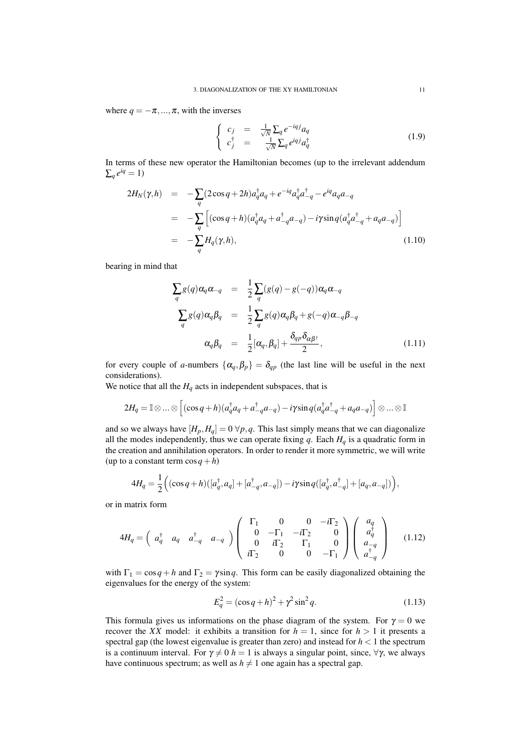where  $q = -\pi, ..., \pi$ , with the inverses

$$
\begin{cases}\nc_j = \frac{1}{\sqrt{N}} \sum_q e^{-iqj} a_q \\
c_j^{\dagger} = \frac{1}{\sqrt{N}} \sum_q e^{iqj} a_q^{\dagger}\n\end{cases} \tag{1.9}
$$

In terms of these new operator the Hamiltonian becomes (up to the irrelevant addendum  $\sum_q e^{iq} = 1$ 

$$
2H_N(\gamma, h) = -\sum_{q} (2\cos q + 2h)a_q^{\dagger} a_q + e^{-iq} a_q^{\dagger} a_{-q}^{\dagger} - e^{iq} a_q a_{-q}
$$
  
\n
$$
= -\sum_{q} \left[ (\cos q + h)(a_q^{\dagger} a_q + a_{-q}^{\dagger} a_{-q}) - i\gamma \sin q (a_q^{\dagger} a_{-q}^{\dagger} + a_q a_{-q}) \right]
$$
  
\n
$$
= -\sum_{q} H_q(\gamma, h), \qquad (1.10)
$$

bearing in mind that

$$
\sum_{q} g(q) \alpha_{q} \alpha_{-q} = \frac{1}{2} \sum_{q} (g(q) - g(-q)) \alpha_{q} \alpha_{-q}
$$
\n
$$
\sum_{q} g(q) \alpha_{q} \beta_{q} = \frac{1}{2} \sum_{q} g(q) \alpha_{q} \beta_{q} + g(-q) \alpha_{-q} \beta_{-q}
$$
\n
$$
\alpha_{q} \beta_{q} = \frac{1}{2} [\alpha_{q}, \beta_{q}] + \frac{\delta_{qp} \delta_{\alpha \beta^{\dagger}}}{2}, \qquad (1.11)
$$

for every couple of *a*-numbers  $\{\alpha_q, \beta_p\} = \delta_{qp}$  (the last line will be useful in the next considerations).

We notice that all the  $H_q$  acts in independent subspaces, that is

$$
2H_q = \mathbb{I} \otimes \ldots \otimes \left[ (\cos q + h)(a_q^{\dagger} a_q + a_{-q}^{\dagger} a_{-q}) - i \gamma \sin q (a_q^{\dagger} a_{-q}^{\dagger} + a_q a_{-q}) \right] \otimes \ldots \otimes \mathbb{I}
$$

and so we always have  $[H_p, H_q] = 0 \forall p, q$ . This last simply means that we can diagonalize all the modes independently, thus we can operate fixing  $q$ . Each  $H_q$  is a quadratic form in the creation and annihilation operators. In order to render it more symmetric, we will write (up to a constant term  $\cos q + h$ )

$$
4H_q = \frac{1}{2} ((\cos q + h)([a_q^{\dagger}, a_q] + [a_{-q}^{\dagger}, a_{-q}]) - i\gamma \sin q([a_q^{\dagger}, a_{-q}^{\dagger}] + [a_q, a_{-q}])),
$$

or in matrix form

$$
4H_q = \begin{pmatrix} a_q^{\dagger} & a_q & a_{-q}^{\dagger} & a_{-q} \end{pmatrix} \begin{pmatrix} \Gamma_1 & 0 & 0 & -i\Gamma_2 \\ 0 & -\Gamma_1 & -i\Gamma_2 & 0 \\ 0 & i\Gamma_2 & \Gamma_1 & 0 \\ i\Gamma_2 & 0 & 0 & -\Gamma_1 \end{pmatrix} \begin{pmatrix} a_q \\ a_q^{\dagger} \\ a_{-q} \\ a_{-q}^{\dagger} \\ a_{-q}^{\dagger} \end{pmatrix}
$$
(1.12)

with  $\Gamma_1 = \cos q + h$  and  $\Gamma_2 = \gamma \sin q$ . This form can be easily diagonalized obtaining the eigenvalues for the energy of the system:

$$
E_q^2 = (\cos q + h)^2 + \gamma^2 \sin^2 q. \tag{1.13}
$$

This formula gives us informations on the phase diagram of the system. For  $\gamma = 0$  we recover the *XX* model: it exhibits a transition for  $h = 1$ , since for  $h > 1$  it presents a spectral gap (the lowest eigenvalue is greater than zero) and instead for  $h < 1$  the spectrum is a continuum interval. For  $\gamma \neq 0$  *h* = 1 is always a singular point, since,  $\forall \gamma$ , we always have continuous spectrum; as well as  $h \neq 1$  one again has a spectral gap.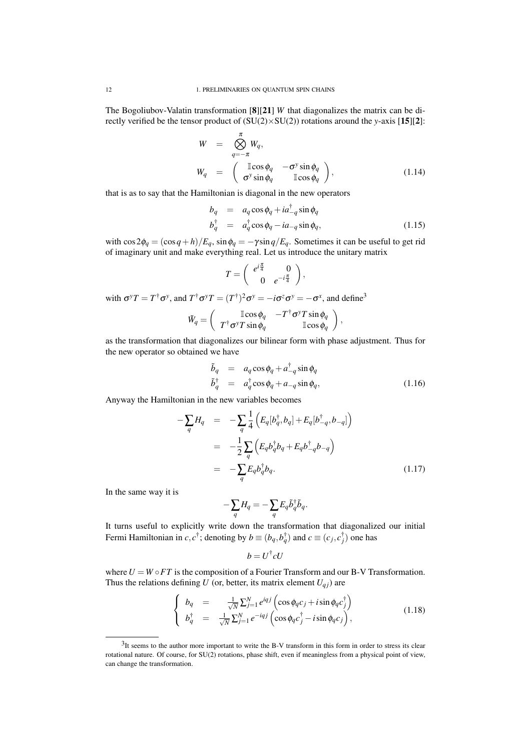The Bogoliubov-Valatin transformation [8][21] *W* that diagonalizes the matrix can be directly verified be the tensor product of (SU(2)×SU(2)) rotations around the *y*-axis [15][2]:

$$
W = \bigotimes_{q=-\pi}^{\pi} W_q,
$$
  
\n
$$
W_q = \begin{pmatrix} \operatorname{Icos} \phi_q & -\sigma^y \sin \phi_q \\ \sigma^y \sin \phi_q & \operatorname{Icos} \phi_q \end{pmatrix},
$$
\n(1.14)

that is as to say that the Hamiltonian is diagonal in the new operators

$$
b_q = a_q \cos \phi_q + i a_{-q}^{\dagger} \sin \phi_q
$$
  
\n
$$
b_q^{\dagger} = a_q^{\dagger} \cos \phi_q - i a_{-q} \sin \phi_q,
$$
\n(1.15)

with  $\cos 2\phi_q = (\cos q + h)/E_q$ ,  $\sin \phi_q = -\gamma \sin q/E_q$ . Sometimes it can be useful to get rid of imaginary unit and make everything real. Let us introduce the unitary matrix

$$
T=\left(\begin{array}{cc} e^{i\frac{\pi}{4}}&0\\0&e^{-i\frac{\pi}{4}}\end{array}\right),\end{array}
$$

with  $\sigma^y T = T^{\dagger} \sigma^y$ , and  $T^{\dagger} \sigma^y T = (T^{\dagger})^2 \sigma^y = -i \sigma^z \sigma^y = -\sigma^x$ , and define<sup>3</sup>

$$
\tilde{W}_q = \left(\begin{array}{cc} \mathbb{I}\cos\phi_q & -T^\dagger \sigma^\gamma T \sin\phi_q \\ T^\dagger \sigma^\gamma T \sin\phi_q & \mathbb{I}\cos\phi_q \end{array}\right),
$$

as the transformation that diagonalizes our bilinear form with phase adjustment. Thus for the new operator so obtained we have

$$
\tilde{b}_q = a_q \cos \phi_q + a_{-q}^{\dagger} \sin \phi_q \n\tilde{b}_q^{\dagger} = a_q^{\dagger} \cos \phi_q + a_{-q} \sin \phi_q,
$$
\n(1.16)

Anyway the Hamiltonian in the new variables becomes

$$
-\sum_{q} H_{q} = -\sum_{q} \frac{1}{4} \left( E_{q} [b_{q}^{\dagger}, b_{q}] + E_{q} [b_{-q}^{\dagger}, b_{-q}] \right)
$$
  

$$
= -\frac{1}{2} \sum_{q} \left( E_{q} b_{q}^{\dagger} b_{q} + E_{q} b_{-q}^{\dagger} b_{-q} \right)
$$
  

$$
= -\sum_{q} E_{q} b_{q}^{\dagger} b_{q}.
$$
 (1.17)

In the same way it is

$$
-\sum_q H_q = -\sum_q E_q \tilde{b}_q^\dagger \tilde{b}_q.
$$

It turns useful to explicitly write down the transformation that diagonalized our initial Fermi Hamiltonian in  $c, c^{\dagger}$ ; denoting by  $b \equiv (b_q, b_q^{\dagger})$  and  $c \equiv (c_j, c_j^{\dagger})$  one has

$$
b = U^{\dagger} c U
$$

where  $U = W \circ FT$  is the composition of a Fourier Transform and our B-V Transformation. Thus the relations defining *U* (or, better, its matrix element  $U_{qj}$ ) are

$$
\begin{cases}\nb_q = \frac{1}{\sqrt{N}} \sum_{j=1}^N e^{iqj} \left( \cos \phi_q c_j + i \sin \phi_q c_j^{\dagger} \right) \\
b_q^{\dagger} = \frac{1}{\sqrt{N}} \sum_{j=1}^N e^{-iqj} \left( \cos \phi_q c_j^{\dagger} - i \sin \phi_q c_j \right),\n\end{cases} \tag{1.18}
$$

 $3$ It seems to the author more important to write the B-V transform in this form in order to stress its clear rotational nature. Of course, for SU(2) rotations, phase shift, even if meaningless from a physical point of view, can change the transformation.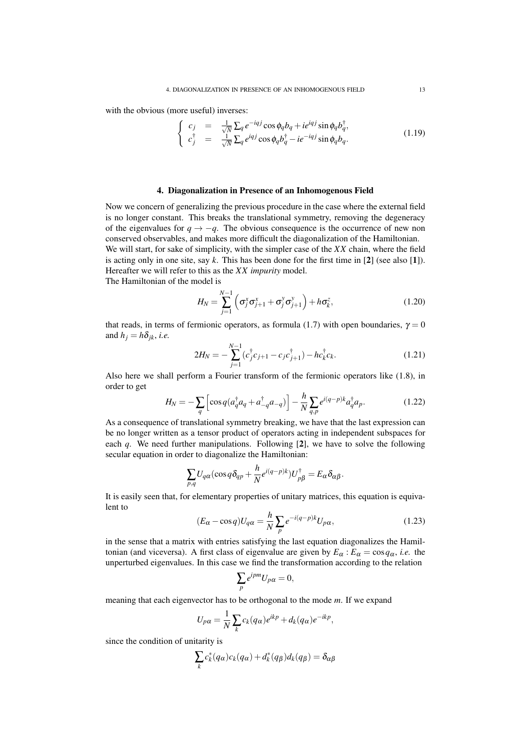with the obvious (more useful) inverses:

$$
\begin{cases}\nc_j = \frac{1}{\sqrt{N}} \sum_q e^{-iqj} \cos \phi_q b_q + ie^{iqj} \sin \phi_q b_q^{\dagger}, \\
c_j^{\dagger} = \frac{1}{\sqrt{N}} \sum_q e^{iqj} \cos \phi_q b_q^{\dagger} - ie^{-iqj} \sin \phi_q b_q.\n\end{cases} \tag{1.19}
$$

## 4. Diagonalization in Presence of an Inhomogenous Field

Now we concern of generalizing the previous procedure in the case where the external field is no longer constant. This breaks the translational symmetry, removing the degeneracy of the eigenvalues for  $q \rightarrow -q$ . The obvious consequence is the occurrence of new non conserved observables, and makes more difficult the diagonalization of the Hamiltonian. We will start, for sake of simplicity, with the simpler case of the *XX* chain, where the field is acting only in one site, say *k*. This has been done for the first time in [2] (see also [1]). Hereafter we will refer to this as the *XX impurity* model.

The Hamiltonian of the model is

$$
H_N = \sum_{j=1}^{N-1} \left( \sigma_j^x \sigma_{j+1}^x + \sigma_j^y \sigma_{j+1}^y \right) + h \sigma_k^z, \qquad (1.20)
$$

that reads, in terms of fermionic operators, as formula (1.7) with open boundaries,  $\gamma = 0$ and  $h_j = h\delta_{jk}$ , *i.e.* 

$$
2H_N = -\sum_{j=1}^{N-1} (c_j^{\dagger} c_{j+1} - c_j c_{j+1}^{\dagger}) - h c_k^{\dagger} c_k.
$$
 (1.21)

Also here we shall perform a Fourier transform of the fermionic operators like (1.8), in order to get

$$
H_N = -\sum_{q} \left[ \cos q (a_q^{\dagger} a_q + a_{-q}^{\dagger} a_{-q}) \right] - \frac{h}{N} \sum_{q,p} e^{i(q-p)k} a_q^{\dagger} a_p. \tag{1.22}
$$

As a consequence of translational symmetry breaking, we have that the last expression can be no longer written as a tensor product of operators acting in independent subspaces for each *q*. We need further manipulations. Following [2], we have to solve the following secular equation in order to diagonalize the Hamiltonian:

$$
\sum_{p,q} U_{q\alpha}(\cos q\delta_{qp} + \frac{h}{N}e^{i(q-p)k})U_{p\beta}^{\dagger} = E_{\alpha}\delta_{\alpha\beta}.
$$

It is easily seen that, for elementary properties of unitary matrices, this equation is equivalent to

$$
(E_{\alpha} - \cos q)U_{q\alpha} = \frac{h}{N} \sum_{p} e^{-i(q-p)k} U_{p\alpha},
$$
\n(1.23)

in the sense that a matrix with entries satisfying the last equation diagonalizes the Hamiltonian (and viceversa). A first class of eigenvalue are given by  $E_\alpha$ :  $E_\alpha = \cos q_\alpha$ , *i.e.* the unperturbed eigenvalues. In this case we find the transformation according to the relation

$$
\sum_{p} e^{ipm} U_{p\alpha} = 0,
$$

meaning that each eigenvector has to be orthogonal to the mode *m*. If we expand

$$
U_{p\alpha} = \frac{1}{N} \sum_{k} c_k(q_{\alpha}) e^{ikp} + d_k(q_{\alpha}) e^{-ikp},
$$

since the condition of unitarity is

$$
\sum_{k} c_k^*(q_\alpha)c_k(q_\alpha) + d_k^*(q_\beta)d_k(q_\beta) = \delta_{\alpha\beta}
$$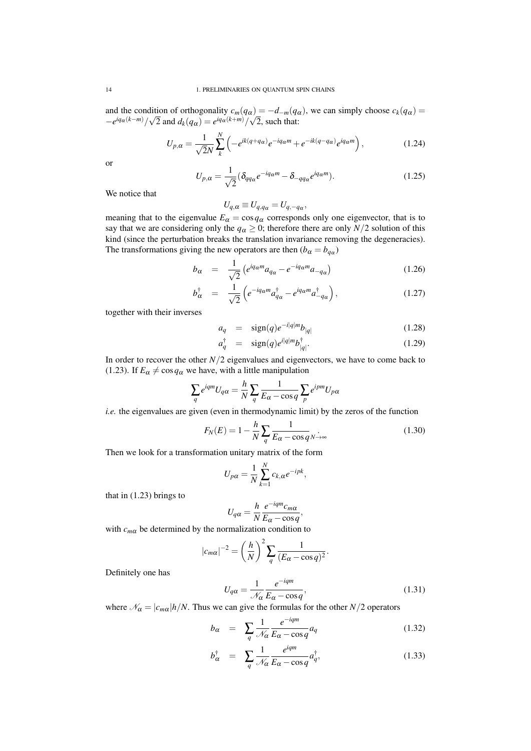and the condition of orthogonality  $c_m(q_\alpha) = -d_{-m}(q_\alpha)$ , we can simply choose  $c_k(q_\alpha) =$  $-e^{iq_{\alpha}(k-m)}/\sqrt{2}$  and  $d_k(q_{\alpha}) = e^{iq_{\alpha}(k+m)}/\sqrt{2}$ , such that:

$$
U_{p,\alpha} = \frac{1}{\sqrt{2}N} \sum_{k}^{N} \left( -e^{ik(q+q_{\alpha})} e^{-iq_{\alpha}m} + e^{-ik(q-q_{\alpha})} e^{iq_{\alpha}m} \right),
$$
 (1.24)

or

$$
U_{p,\alpha} = \frac{1}{\sqrt{2}} (\delta_{qq_\alpha} e^{-iq_\alpha m} - \delta_{-qq_\alpha} e^{iq_\alpha m}).
$$
\n(1.25)

We notice that

$$
U_{q,\alpha} \equiv U_{q,q_{\alpha}} = U_{q,-q_{\alpha}},
$$

meaning that to the eigenvalue  $E_\alpha = \cos q_\alpha$  corresponds only one eigenvector, that is to say that we are considering only the  $q_\alpha \geq 0$ ; therefore there are only  $N/2$  solution of this kind (since the perturbation breaks the translation invariance removing the degeneracies). The transformations giving the new operators are then  $(b_{\alpha} = b_{q_{\alpha}})$ 

$$
b_{\alpha} = \frac{1}{\sqrt{2}} \left( e^{iq_{\alpha} m} a_{q_{\alpha}} - e^{-iq_{\alpha} m} a_{-q_{\alpha}} \right) \tag{1.26}
$$

$$
b_{\alpha}^{\dagger} = \frac{1}{\sqrt{2}} \left( e^{-iq_{\alpha}m} a_{q_{\alpha}}^{\dagger} - e^{iq_{\alpha}m} a_{-q_{\alpha}}^{\dagger} \right), \qquad (1.27)
$$

together with their inverses

$$
a_q = \text{sign}(q)e^{-i|q|m}b_{|q|} \tag{1.28}
$$

$$
a_q^{\dagger} = \text{sign}(q)e^{i|q|m}b_{|q|}^{\dagger}.
$$
 (1.29)

In order to recover the other  $N/2$  eigenvalues and eigenvectors, we have to come back to (1.23). If  $E_\alpha \neq \cos q_\alpha$  we have, with a little manipulation

$$
\sum_{q} e^{iqm} U_{q\alpha} = \frac{h}{N} \sum_{q} \frac{1}{E_{\alpha} - \cos q} \sum_{p} e^{ipm} U_{p\alpha}
$$

*i.e.* the eigenvalues are given (even in thermodynamic limit) by the zeros of the function

$$
F_N(E) = 1 - \frac{h}{N} \sum_{q} \frac{1}{E_{\alpha} - \cos q N}.
$$
\n(1.30)

Then we look for a transformation unitary matrix of the form

$$
U_{p\alpha} = \frac{1}{N} \sum_{k=1}^{N} c_{k,\alpha} e^{-ipk},
$$

that in  $(1.23)$  brings to

$$
U_{q\alpha} = \frac{h}{N} \frac{e^{-iqm} c_{m\alpha}}{E_{\alpha} - \cos q},
$$

with  $c_{m\alpha}$  be determined by the normalization condition to

$$
|c_{m\alpha}|^{-2} = \left(\frac{h}{N}\right)^2 \sum_{q} \frac{1}{(E_{\alpha} - \cos q)^2}.
$$

Definitely one has

$$
U_{q\alpha} = \frac{1}{\mathcal{N}_{\alpha}} \frac{e^{-iqm}}{E_{\alpha} - \cos q},\tag{1.31}
$$

where  $\mathcal{N}_{\alpha} = |c_{m\alpha}| h/N$ . Thus we can give the formulas for the other *N*/2 operators

$$
b_{\alpha} = \sum_{q} \frac{1}{\mathcal{N}_{\alpha}} \frac{e^{-iqm}}{E_{\alpha} - \cos q} a_q \tag{1.32}
$$

$$
b_{\alpha}^{\dagger} = \sum_{q} \frac{1}{\mathcal{N}_{\alpha}} \frac{e^{iqm}}{E_{\alpha} - \cos q} a_{q}^{\dagger}, \qquad (1.33)
$$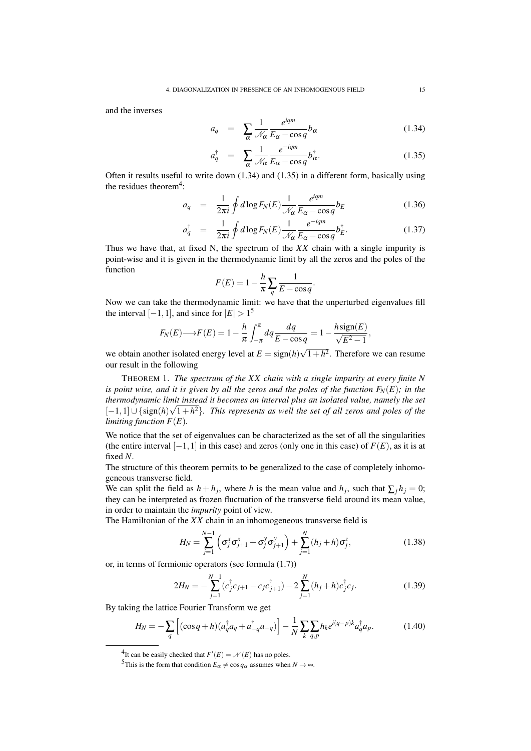and the inverses

$$
a_q = \sum_{\alpha} \frac{1}{\mathcal{N}_{\alpha}} \frac{e^{iqm}}{E_{\alpha} - \cos q} b_{\alpha} \tag{1.34}
$$

$$
a_q^{\dagger} = \sum_{\alpha} \frac{1}{\mathcal{N}_{\alpha}} \frac{e^{-iqm}}{E_{\alpha} - \cos q} b_{\alpha}^{\dagger}.
$$
 (1.35)

Often it results useful to write down (1.34) and (1.35) in a different form, basically using the residues theorem<sup>4</sup>:

$$
a_q = \frac{1}{2\pi i} \oint d\log F_N(E) \frac{1}{\mathcal{N}_\alpha} \frac{e^{iqm}}{E_\alpha - \cos q} b_E \tag{1.36}
$$

$$
a_q^{\dagger} = \frac{1}{2\pi i} \oint d\log F_N(E) \frac{1}{\mathcal{N}_{\alpha}} \frac{e^{-iqm}}{E_{\alpha} - \cos q} b_E^{\dagger}.
$$
 (1.37)

Thus we have that, at fixed N, the spectrum of the *XX* chain with a single impurity is point-wise and it is given in the thermodynamic limit by all the zeros and the poles of the function

$$
F(E) = 1 - \frac{h}{\pi} \sum_{q} \frac{1}{E - \cos q}.
$$

Now we can take the thermodynamic limit: we have that the unperturbed eigenvalues fill the interval  $[-1,1]$ , and since for  $|E| > 1^5$ 

$$
F_N(E) \longrightarrow F(E) = 1 - \frac{h}{\pi} \int_{-\pi}^{\pi} dq \frac{dq}{E - \cos q} = 1 - \frac{h \operatorname{sign}(E)}{\sqrt{E^2 - 1}},
$$

we obtain another isolated energy level at  $E = sign(h)$  $1+h^2$ . Therefore we can resume our result in the following

THEOREM 1. *The spectrum of the XX chain with a single impurity at every finite N is point wise, and it is given by all the zeros and the poles of the function*  $F_N(E)$ *; in the thermodynamic limit instead it becomes an interval plus an isolated value, namely the set* [-1,1]  $\cup$  {sign(h) $\sqrt{1+h^2}$ }. This represents as well the set of all zeros and poles of the *limiting function F*(*E*)*.*

We notice that the set of eigenvalues can be characterized as the set of all the singularities (the entire interval [−1,1] in this case) and zeros (only one in this case) of *F*(*E*), as it is at fixed *N*.

The structure of this theorem permits to be generalized to the case of completely inhomogeneous transverse field.

We can split the field as  $h + h_j$ , where *h* is the mean value and  $h_j$ , such that  $\sum_j h_j = 0$ ; they can be interpreted as frozen fluctuation of the transverse field around its mean value, in order to maintain the *impurity* point of view.

The Hamiltonian of the *XX* chain in an inhomogeneous transverse field is

$$
H_N = \sum_{j=1}^{N-1} \left( \sigma_j^x \sigma_{j+1}^x + \sigma_j^y \sigma_{j+1}^y \right) + \sum_{j=1}^{N} (h_j + h) \sigma_j^z,
$$
 (1.38)

or, in terms of fermionic operators (see formula (1.7))

$$
2H_N = -\sum_{j=1}^{N-1} (c_j^{\dagger} c_{j+1} - c_j c_{j+1}^{\dagger}) - 2\sum_{j=1}^{N} (h_j + h) c_j^{\dagger} c_j.
$$
 (1.39)

By taking the lattice Fourier Transform we get

$$
H_N = -\sum_{q} \left[ (\cos q + h)(a_q^{\dagger} a_q + a_{-q}^{\dagger} a_{-q}) \right] - \frac{1}{N} \sum_{k} \sum_{q,p} h_k e^{i(q-p)k} a_q^{\dagger} a_p. \tag{1.40}
$$

<sup>&</sup>lt;sup>4</sup>It can be easily checked that  $F'(E) = \mathcal{N}(E)$  has no poles.

<sup>5</sup>This is the form that condition  $E_\alpha \neq \cos q_\alpha$  assumes when  $N \to \infty$ .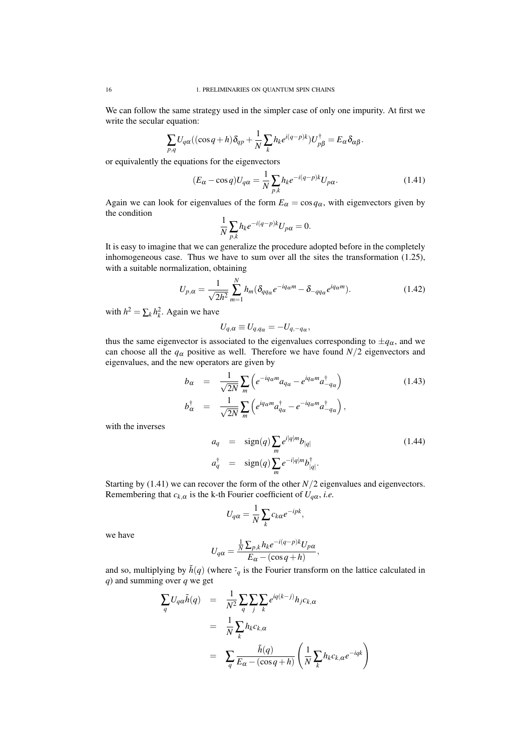We can follow the same strategy used in the simpler case of only one impurity. At first we write the secular equation:

$$
\sum_{p,q} U_{q\alpha}((\cos q + h)\delta_{qp} + \frac{1}{N}\sum_{k} h_{k}e^{i(q-p)k})U_{p\beta}^{\dagger} = E_{\alpha}\delta_{\alpha\beta}.
$$

or equivalently the equations for the eigenvectors

$$
(E_{\alpha} - \cos q)U_{q\alpha} = \frac{1}{N} \sum_{p,k} h_k e^{-i(q-p)k} U_{p\alpha}.
$$
 (1.41)

Again we can look for eigenvalues of the form  $E_\alpha = \cos q_\alpha$ , with eigenvectors given by the condition

$$
\frac{1}{N} \sum_{p,k} h_k e^{-i(q-p)k} U_{p\alpha} = 0.
$$

It is easy to imagine that we can generalize the procedure adopted before in the completely inhomogeneous case. Thus we have to sum over all the sites the transformation (1.25), with a suitable normalization, obtaining

$$
U_{p,\alpha} = \frac{1}{\sqrt{2h^2}} \sum_{m=1}^{N} h_m (\delta_{qq\alpha} e^{-iq\alpha m} - \delta_{-qq\alpha} e^{iq\alpha m}).
$$
 (1.42)

,

with  $h^2 = \sum_k h_k^2$ . Again we have

$$
U_{q,\alpha} \equiv U_{q,q_\alpha} = -U_{q,-q_\alpha}
$$

thus the same eigenvector is associated to the eigenvalues corresponding to  $\pm q_\alpha$ , and we can choose all the  $q_\alpha$  positive as well. Therefore we have found  $N/2$  eigenvectors and eigenvalues, and the new operators are given by

$$
b_{\alpha} = \frac{1}{\sqrt{2N}} \sum_{m} \left( e^{-iq_{\alpha}m} a_{q_{\alpha}} - e^{iq_{\alpha}m} a_{-q_{\alpha}}^{\dagger} \right)
$$
  
\n
$$
b_{\alpha}^{\dagger} = \frac{1}{\sqrt{2N}} \sum_{m} \left( e^{iq_{\alpha}m} a_{q_{\alpha}}^{\dagger} - e^{-iq_{\alpha}m} a_{-q_{\alpha}}^{\dagger} \right),
$$
\n(1.43)

with the inverses

$$
a_q = \text{sign}(q) \sum_m e^{i|q|m} b_{|q|}
$$
\n
$$
a_q^{\dagger} = \text{sign}(q) \sum_m e^{-i|q|m} b_{|q|}^{\dagger}.
$$
\n(1.44)

Starting by  $(1.41)$  we can recover the form of the other  $N/2$  eigenvalues and eigenvectors. Remembering that  $c_{k,\alpha}$  is the k-th Fourier coefficient of  $U_{q\alpha}$ , *i.e.* 

$$
U_{q\alpha} = \frac{1}{N} \sum_{k} c_{k\alpha} e^{-ipk},
$$

we have

$$
U_{q\alpha} = \frac{\frac{1}{N} \sum_{p,k} h_k e^{-i(q-p)k} U_{p\alpha}}{E_{\alpha} - (\cos q + h)},
$$

and so, multiplying by  $\tilde{h}(q)$  (where  $\tilde{g}_q$  is the Fourier transform on the lattice calculated in *q*) and summing over *q* we get

$$
\sum_{q} U_{q\alpha} \tilde{h}(q) = \frac{1}{N^2} \sum_{q} \sum_{j} \sum_{k} e^{iq(k-j)} h_{j} c_{k,\alpha}
$$

$$
= \frac{1}{N} \sum_{k} h_{k} c_{k,\alpha}
$$

$$
= \sum_{q} \frac{\tilde{h}(q)}{E_{\alpha} - (\cos q + h)} \left( \frac{1}{N} \sum_{k} h_{k} c_{k,\alpha} e^{-iqk} \right)
$$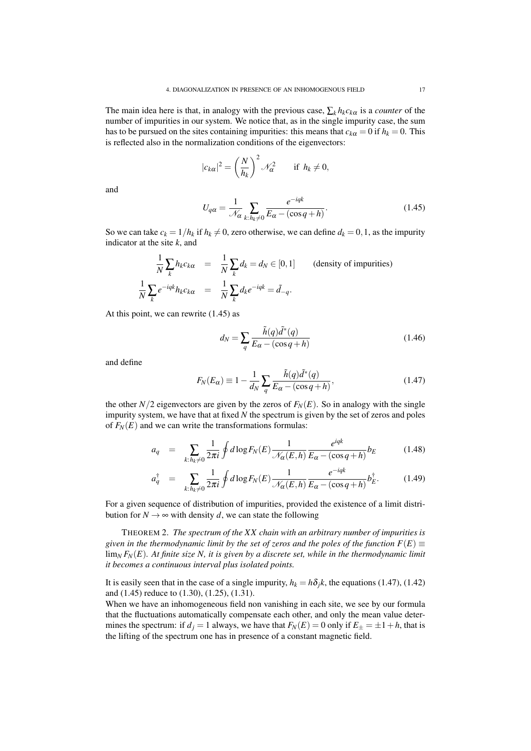The main idea here is that, in analogy with the previous case,  $\sum_{k} h_k c_{k\alpha}$  is a *counter* of the number of impurities in our system. We notice that, as in the single impurity case, the sum has to be pursued on the sites containing impurities: this means that  $c_{k\alpha} = 0$  if  $h_k = 0$ . This is reflected also in the normalization conditions of the eigenvectors:

$$
|c_{k\alpha}|^2 = \left(\frac{N}{h_k}\right)^2 \mathcal{N}_{\alpha}^2 \quad \text{if } h_k \neq 0,
$$

and

$$
U_{q\alpha} = \frac{1}{\mathcal{N}_{\alpha}} \sum_{k: h_k \neq 0} \frac{e^{-iqk}}{E_{\alpha} - (\cos q + h)}.
$$
 (1.45)

So we can take  $c_k = 1/h_k$  if  $h_k \neq 0$ , zero otherwise, we can define  $d_k = 0, 1$ , as the impurity indicator at the site *k*, and

$$
\frac{1}{N} \sum_{k} h_{k} c_{k} \alpha = \frac{1}{N} \sum_{k} d_{k} = d_{N} \in [0, 1]
$$
 (density of impurities)  

$$
\frac{1}{N} \sum_{k} e^{-iqk} h_{k} c_{k} \alpha = \frac{1}{N} \sum_{k} d_{k} e^{-iqk} = \tilde{d}_{-q}.
$$

At this point, we can rewrite (1.45) as

$$
d_N = \sum_{q} \frac{\tilde{h}(q)\tilde{d}^*(q)}{E_{\alpha} - (\cos q + h)}
$$
(1.46)

and define

$$
F_N(E_\alpha) \equiv 1 - \frac{1}{d_N} \sum_q \frac{\tilde{h}(q)\tilde{d}^*(q)}{E_\alpha - (\cos q + h)},\tag{1.47}
$$

the other  $N/2$  eigenvectors are given by the zeros of  $F_N(E)$ . So in analogy with the single impurity system, we have that at fixed *N* the spectrum is given by the set of zeros and poles of  $F_N(E)$  and we can write the transformations formulas:

$$
a_q = \sum_{k: h_k \neq 0} \frac{1}{2\pi i} \oint d\log F_N(E) \frac{1}{\mathcal{N}_\alpha(E, h)} \frac{e^{iqk}}{E_\alpha - (\cos q + h)} b_E \tag{1.48}
$$

$$
a_q^{\dagger} = \sum_{k: h_k \neq 0} \frac{1}{2\pi i} \oint d\log F_N(E) \frac{1}{\mathcal{N}_{\alpha}(E, h)} \frac{e^{-iqk}}{E_{\alpha} - (\cos q + h)} b_{E}^{\dagger}.
$$
 (1.49)

For a given sequence of distribution of impurities, provided the existence of a limit distribution for  $N \rightarrow \infty$  with density *d*, we can state the following

THEOREM 2. *The spectrum of the XX chain with an arbitrary number of impurities is given in the thermodynamic limit by the set of zeros and the poles of the function*  $F(E)$ lim*<sup>N</sup> FN*(*E*)*. At finite size N, it is given by a discrete set, while in the thermodynamic limit it becomes a continuous interval plus isolated points.*

It is easily seen that in the case of a single impurity,  $h_k = h\delta_j k$ , the equations (1.47), (1.42) and (1.45) reduce to (1.30), (1.25), (1.31).

When we have an inhomogeneous field non vanishing in each site, we see by our formula that the fluctuations automatically compensate each other, and only the mean value determines the spectrum: if  $d_j = 1$  always, we have that  $F_N(E) = 0$  only if  $E_{\pm} = \pm 1 + h$ , that is the lifting of the spectrum one has in presence of a constant magnetic field.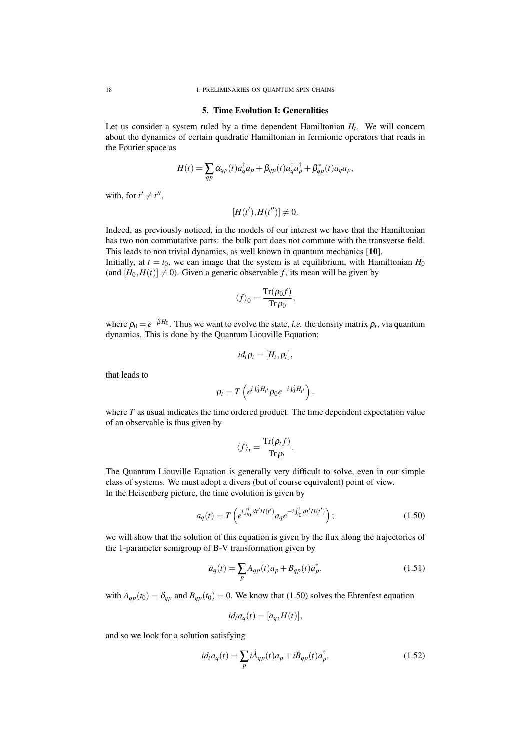#### 5. Time Evolution I: Generalities

Let us consider a system ruled by a time dependent Hamiltonian *H<sup>t</sup>* . We will concern about the dynamics of certain quadratic Hamiltonian in fermionic operators that reads in the Fourier space as

$$
H(t) = \sum_{qp} \alpha_{qp}(t) a_q^{\dagger} a_p + \beta_{qp}(t) a_q^{\dagger} a_p^{\dagger} + \beta_{qp}^*(t) a_q a_p,
$$

with, for  $t' \neq t''$ ,

 $[H(t'), H(t'')] \neq 0.$ 

Indeed, as previously noticed, in the models of our interest we have that the Hamiltonian has two non commutative parts: the bulk part does not commute with the transverse field. This leads to non trivial dynamics, as well known in quantum mechanics [10]. Initially, at  $t = t_0$ , we can image that the system is at equilibrium, with Hamiltonian  $H_0$ (and  $[H_0, H(t)] \neq 0$ ). Given a generic observable f, its mean will be given by

$$
\langle f \rangle_0 = \frac{\text{Tr}(\rho_0 f)}{\text{Tr} \rho_0},
$$

where  $\rho_0 = e^{-\beta H_0}$ . Thus we want to evolve the state, *i.e.* the density matrix  $\rho_t$ , via quantum dynamics. This is done by the Quantum Liouville Equation:

$$
id_t \rho_t = [H_t, \rho_t],
$$

that leads to

$$
\rho_t = T\left(e^{i\int_0^t H_{t'}}\rho_0e^{-i\int_0^t H_{t'}}\right).
$$

where *T* as usual indicates the time ordered product. The time dependent expectation value of an observable is thus given by

$$
\langle f \rangle_t = \frac{\text{Tr}(\rho_t f)}{\text{Tr} \rho_t}.
$$

The Quantum Liouville Equation is generally very difficult to solve, even in our simple class of systems. We must adopt a divers (but of course equivalent) point of view. In the Heisenberg picture, the time evolution is given by

$$
a_q(t) = T\left(e^{i\int_{t_0}^t dt'H(t')}a_q e^{-i\int_{t_0}^t dt'H(t')}\right);
$$
\n(1.50)

we will show that the solution of this equation is given by the flux along the trajectories of the 1-parameter semigroup of B-V transformation given by

$$
a_q(t) = \sum_p A_{qp}(t)a_p + B_{qp}(t)a_p^{\dagger},
$$
\n(1.51)

with  $A_{ap}(t_0) = \delta_{ap}$  and  $B_{ap}(t_0) = 0$ . We know that (1.50) solves the Ehrenfest equation

$$
id_t a_q(t) = [a_q, H(t)],
$$

and so we look for a solution satisfying

$$
id_t a_q(t) = \sum_p i \dot{A}_{qp}(t) a_p + i \dot{B}_{qp}(t) a_p^{\dagger}.
$$
 (1.52)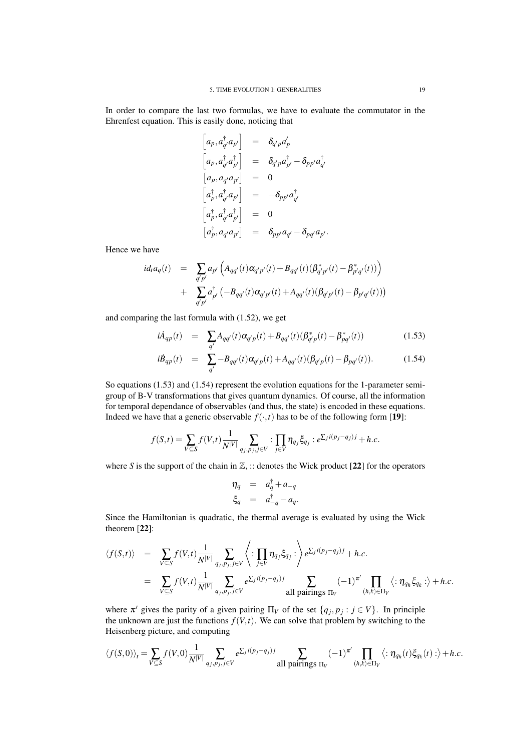In order to compare the last two formulas, we have to evaluate the commutator in the Ehrenfest equation. This is easily done, noticing that

$$
\begin{array}{rcl}\n\left[a_p,a_{q'}^{\dagger}a_{p'}\right] & = & \delta_{q'p}a'_{p} \\
\left[a_p,a_{q'}^{\dagger}a_{p'}^{\dagger}\right] & = & \delta_{q'p}a_{p'}^{\dagger} - \delta_{pp'}a_{q'}^{\dagger} \\
\left[a_p,a_{q'}a_{p'}\right] & = & 0 \\
\left[a_p^{\dagger},a_{q'}^{\dagger}a_{p'}\right] & = & -\delta_{pp'}a_{q'}^{\dagger} \\
\left[a_p^{\dagger},a_{q'}^{\dagger}a_{p'}^{\dagger}\right] & = & 0 \\
\left[a_p^{\dagger},a_{q'}a_{p'}\right] & = & \delta_{pp'}a_{q'} - \delta_{pq'}a_{p'}.\n\end{array}
$$

Hence we have

$$
id_t a_q(t) = \sum_{q'p'} a_{p'} \left( A_{qq'}(t) \alpha_{q'p'}(t) + B_{qq'}(t) (\beta_{q'p'}^*(t) - \beta_{p'q'}^*(t)) \right) + \sum_{q'p'} a_{p'}^{\dagger} \left( -B_{qq'}(t) \alpha_{q'p'}(t) + A_{qq'}(t) (\beta_{q'p'}(t) - \beta_{p'q'}(t)) \right)
$$

and comparing the last formula with (1.52), we get

$$
i\dot{A}_{qp}(t) = \sum_{q'} A_{qq'}(t)\alpha_{q'p}(t) + B_{qq'}(t)(\beta_{q'p}^{*}(t) - \beta_{pq'}^{*}(t))
$$
\n(1.53)

$$
i\dot{B}_{qp}(t) = \sum_{q'} -B_{qq'}(t)\alpha_{q'p}(t) + A_{qq'}(t)(\beta_{q'p}(t) - \beta_{pq'}(t)).
$$
 (1.54)

So equations (1.53) and (1.54) represent the evolution equations for the 1-parameter semigroup of B-V transformations that gives quantum dynamics. Of course, all the information for temporal dependance of observables (and thus, the state) is encoded in these equations. Indeed we have that a generic observable  $f(\cdot,t)$  has to be of the following form [19]:

$$
f(S,t) = \sum_{V \subseteq S} f(V,t) \frac{1}{N^{|V|}} \sum_{q_j, p_j, j \in V} : \prod_{j \in V} \eta_{q_j} \xi_{q_j} : e^{\sum_j i(p_j - q_j)j} + h.c.
$$

where *S* is the support of the chain in  $\mathbb{Z}$ ,  $\therefore$  denotes the Wick product [22] for the operators

$$
\eta_q = a_q^{\dagger} + a_{-q}
$$
  

$$
\xi_q = a_{-q}^{\dagger} - a_q.
$$

Since the Hamiltonian is quadratic, the thermal average is evaluated by using the Wick theorem [22]:

$$
\langle f(S,t) \rangle = \sum_{V \subseteq S} f(V,t) \frac{1}{N^{|V|}} \sum_{q_j, p_j, j \in V} \langle : \prod_{j \in V} \eta_{q_j} \xi_{q_j} : \rangle e^{\sum_j i(p_j - q_j)j} + h.c.
$$
  
\n
$$
= \sum_{V \subseteq S} f(V,t) \frac{1}{N^{|V|}} \sum_{q_j, p_j, j \in V} e^{\sum_j i(p_j - q_j)j} \sum_{\text{all pairings } \Pi_V} (-1)^{\pi'} \prod_{(h,k) \in \Pi_V} \langle : \eta_{q_h} \xi_{q_k} : \rangle + h.c.
$$

where  $\pi'$  gives the parity of a given pairing  $\Pi_V$  of the set  $\{q_j, p_j : j \in V\}$ . In principle the unknown are just the functions  $f(V,t)$ . We can solve that problem by switching to the Heisenberg picture, and computing

$$
\langle f(S,0)\rangle_t = \sum_{V\subseteq S} f(V,0) \frac{1}{N^{|V|}} \sum_{q_j, p_j, j\in V} e^{\sum_j i(p_j-q_j)j} \sum_{\text{all pairings } \Pi_V} (-1)^{\pi'} \prod_{(h,k)\in \Pi_V} \langle : \eta_{q_h}(t) \xi_{q_k}(t) : \rangle + h.c.
$$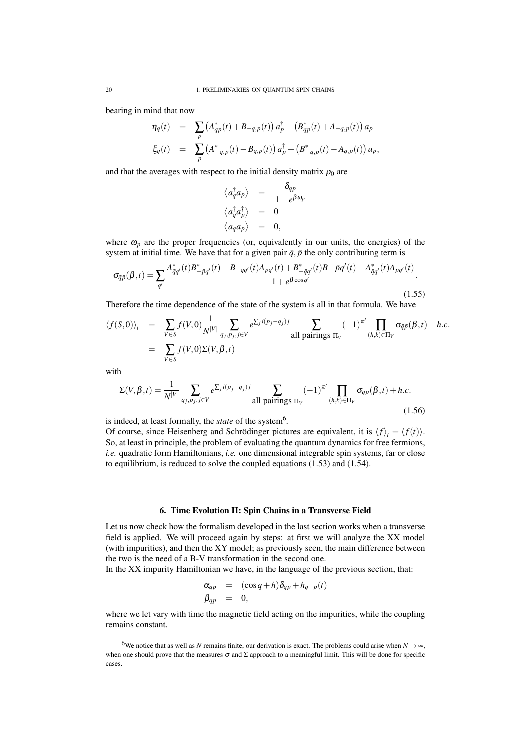bearing in mind that now

$$
\eta_q(t) = \sum_p (A_{qp}^*(t) + B_{-q,p}(t)) a_p^{\dagger} + (B_{qp}^*(t) + A_{-q,p}(t)) a_p
$$
  

$$
\xi_q(t) = \sum_p (A_{-q,p}^*(t) - B_{q,p}(t)) a_p^{\dagger} + (B_{-q,p}^*(t) - A_{q,p}(t)) a_p,
$$

and that the averages with respect to the initial density matrix  $\rho_0$  are

$$
\begin{array}{ccc} \langle a_q^\dagger a_p \rangle &=& \displaystyle \frac{\delta_{qp}}{1+e^{\beta \omega_p}} \\ \langle a_q^\dagger a_p^\dagger \rangle &=& 0 \\ \langle a_q a_p \rangle &=& 0, \end{array}
$$

where  $\omega_p$  are the proper frequencies (or, equivalently in our units, the energies) of the system at initial time. We have that for a given pair  $\bar{q}$ ,  $\bar{p}$  the only contributing term is

$$
\sigma_{\bar{q}\bar{p}}(\beta,t) = \sum_{q'} \frac{A_{\bar{q}q'}^{*}(t)B_{-\bar{p}q'}^{*}(t) - B_{-\bar{q}q'}(t)A_{\bar{p}q'}(t) + B_{-\bar{q}q'}^{*}(t)B - \bar{p}q'(t) - A_{\bar{q}q'}^{*}(t)A_{\bar{p}q'}(t)}{1 + e^{\beta \cos q'}}.
$$
\n(1.55)

Therefore the time dependence of the state of the system is all in that formula. We have

$$
\langle f(S,0) \rangle_t = \sum_{V \in S} f(V,0) \frac{1}{N^{|V|}} \sum_{q_j, p_j, j \in V} e^{\sum_j i(p_j - q_j)j} \sum_{\text{all pairings } \Pi_V} (-1)^{\pi'} \prod_{(h,k) \in \Pi_V} \sigma_{\bar{q}\bar{p}}(\beta, t) + h.c.
$$
  
= 
$$
\sum_{V \in S} f(V,0) \Sigma(V,\beta, t)
$$

with

$$
\Sigma(V,\beta,t) = \frac{1}{N^{|V|}} \sum_{q_j, p_j, j \in V} e^{\sum_j i(p_j - q_j)j} \sum_{\text{all pairings } \Pi_V} (-1)^{\pi'} \prod_{(h,k) \in \Pi_V} \sigma_{\bar{q}\bar{p}}(\beta, t) + h.c.
$$
\n(1.56)

is indeed, at least formally, the *state* of the system<sup>6</sup>.

Of course, since Heisenberg and Schrödinger pictures are equivalent, it is  $\langle f \rangle_t = \langle f(t) \rangle$ . So, at least in principle, the problem of evaluating the quantum dynamics for free fermions, *i.e.* quadratic form Hamiltonians, *i.e.* one dimensional integrable spin systems, far or close to equilibrium, is reduced to solve the coupled equations (1.53) and (1.54).

### 6. Time Evolution II: Spin Chains in a Transverse Field

Let us now check how the formalism developed in the last section works when a transverse field is applied. We will proceed again by steps: at first we will analyze the XX model (with impurities), and then the XY model; as previously seen, the main difference between the two is the need of a B-V transformation in the second one.

In the XX impurity Hamiltonian we have, in the language of the previous section, that:

$$
\alpha_{qp} = (\cos q + h)\delta_{qp} + h_{q-p}(t)
$$
  
\n
$$
\beta_{qp} = 0,
$$

where we let vary with time the magnetic field acting on the impurities, while the coupling remains constant.

<sup>6</sup>We notice that as well as *N* remains finite, our derivation is exact. The problems could arise when  $N \to \infty$ , when one should prove that the measures  $\sigma$  and  $\Sigma$  approach to a meaningful limit. This will be done for specific cases.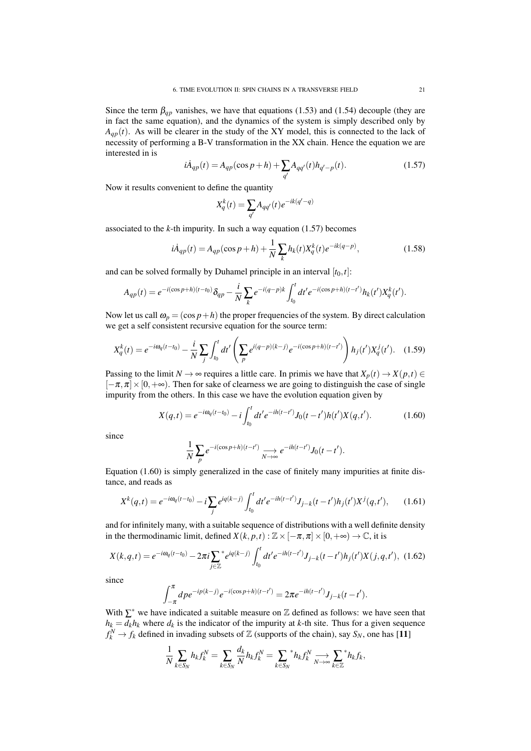Since the term  $\beta_{qp}$  vanishes, we have that equations (1.53) and (1.54) decouple (they are in fact the same equation), and the dynamics of the system is simply described only by  $A_{qp}(t)$ . As will be clearer in the study of the XY model, this is connected to the lack of necessity of performing a B-V transformation in the XX chain. Hence the equation we are interested in is

$$
i\dot{A}_{qp}(t) = A_{qp}(\cos p + h) + \sum_{q'} A_{qq'}(t)h_{q'-p}(t).
$$
 (1.57)

Now it results convenient to define the quantity

$$
X_q^k(t) = \sum_{q'} A_{qq'}(t) e^{-ik(q'-q)}
$$

associated to the  $k$ -th impurity. In such a way equation  $(1.57)$  becomes

$$
i\dot{A}_{qp}(t) = A_{qp}(\cos p + h) + \frac{1}{N} \sum_{k} h_k(t) X_q^k(t) e^{-ik(q-p)},
$$
\n(1.58)

and can be solved formally by Duhamel principle in an interval  $[t_0, t]$ :

$$
A_{qp}(t) = e^{-i(\cos p + h)(t - t_0)} \delta_{qp} - \frac{i}{N} \sum_{k} e^{-i(q - p)k} \int_{t_0}^t dt' e^{-i(\cos p + h)(t - t')} h_k(t') X_q^k(t').
$$

Now let us call  $\omega_p = (\cos p + h)$  the proper frequencies of the system. By direct calculation we get a self consistent recursive equation for the source term:

$$
X_q^k(t) = e^{-i\omega_q(t-t_0)} - \frac{i}{N} \sum_j \int_{t_0}^t dt' \left( \sum_p e^{i(q-p)(k-j)} e^{-i(\cos p + h)(t-t')} \right) h_j(t') X_q^j(t'). \quad (1.59)
$$

Passing to the limit  $N \to \infty$  requires a little care. In primis we have that  $X_p(t) \to X(p,t) \in$  $[-\pi,\pi] \times [0,+\infty)$ . Then for sake of clearness we are going to distinguish the case of single impurity from the others. In this case we have the evolution equation given by

$$
X(q,t) = e^{-i\omega_q(t-t_0)} - i \int_{t_0}^t dt' e^{-ih(t-t')} J_0(t-t')h(t')X(q,t'). \tag{1.60}
$$

since

$$
\frac{1}{N}\sum_{p}e^{-i(\cos p+h)(t-t')} \underset{N\to\infty}{\longrightarrow}e^{-ih(t-t')}J_0(t-t').
$$

Equation (1.60) is simply generalized in the case of finitely many impurities at finite distance, and reads as

$$
X^{k}(q,t) = e^{-i\omega_{q}(t-t_{0})} - i\sum_{j} e^{iq(k-j)} \int_{t_{0}}^{t} dt' e^{-ih(t-t')} J_{j-k}(t-t') h_{j}(t') X^{j}(q,t'), \qquad (1.61)
$$

and for infinitely many, with a suitable sequence of distributions with a well definite density in the thermodinamic limit, defined  $X(k, p, t)$  :  $\mathbb{Z} \times [-\pi, \pi] \times [0, +\infty) \to \mathbb{C}$ , it is

$$
X(k,q,t) = e^{-i\omega_q(t-t_0)} - 2\pi i \sum_{j \in \mathbb{Z}}^* e^{iq(k-j)} \int_{t_0}^t dt' e^{-ih(t-t')} J_{j-k}(t-t') h_j(t') X(j,q,t'), \tag{1.62}
$$

since

$$
\int_{-\pi}^{\pi} d\rho e^{-ip(k-j)} e^{-i(\cos p+h)(t-t')} = 2\pi e^{-ih(t-t')} J_{j-k}(t-t').
$$

With  $\Sigma^*$  we have indicated a suitable measure on  $\mathbb Z$  defined as follows: we have seen that  $h_k = d_k h_k$  where  $d_k$  is the indicator of the impurity at *k*-th site. Thus for a given sequence  $f_k^N \to f_k$  defined in invading subsets of Z (supports of the chain), say  $S_N$ , one has [11]

$$
\frac{1}{N}\sum_{k\in S_N}h_kf_k^N=\sum_{k\in S_N}\frac{d_k}{N}h_kf_k^N=\sum_{k\in S_N}{}^*h_kf_k^N\underset{N\to\infty}{\longrightarrow}\sum_{k\in\mathbb{Z}}{}^*h_kf_k,
$$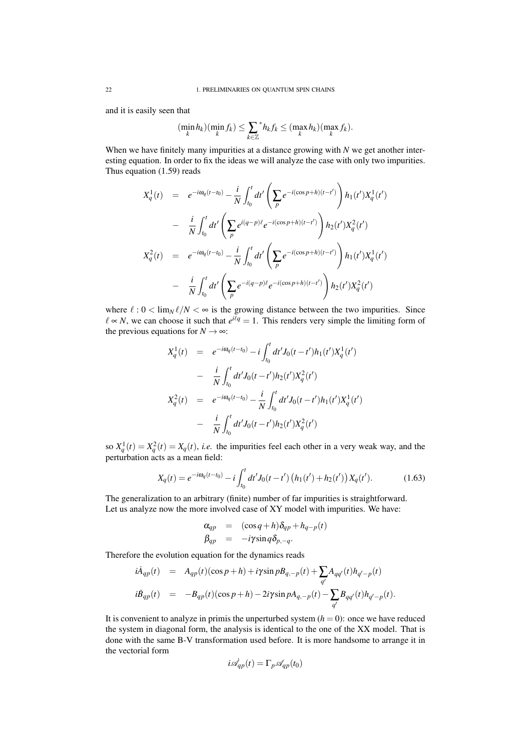and it is easily seen that

$$
(\min_{k} h_{k})(\min_{k} f_{k}) \leq \sum_{k \in \mathbb{Z}} \kappa_{k} f_{k} \leq (\max_{k} h_{k})(\max_{k} f_{k}).
$$

When we have finitely many impurities at a distance growing with *N* we get another interesting equation. In order to fix the ideas we will analyze the case with only two impurities. Thus equation (1.59) reads

$$
X_q^1(t) = e^{-i\omega_q(t-t_0)} - \frac{i}{N} \int_{t_0}^t dt' \left( \sum_p e^{-i(\cos p + h)(t-t')} \right) h_1(t') X_q^1(t')
$$
  

$$
- \frac{i}{N} \int_{t_0}^t dt' \left( \sum_p e^{i(q-p)\ell} e^{-i(\cos p + h)(t-t')} \right) h_2(t') X_q^2(t')
$$
  

$$
X_q^2(t) = e^{-i\omega_q(t-t_0)} - \frac{i}{N} \int_{t_0}^t dt' \left( \sum_p e^{-i(\cos p + h)(t-t')} \right) h_1(t') X_q^1(t')
$$
  

$$
- \frac{i}{N} \int_{t_0}^t dt' \left( \sum_p e^{-i(q-p)\ell} e^{-i(\cos p + h)(t-t')} \right) h_2(t') X_q^2(t')
$$

where  $\ell : 0 < \lim_{N} \ell/N < \infty$  is the growing distance between the two impurities. Since  $\ell \propto N$ , we can choose it such that  $e^{i\ell q} = 1$ . This renders very simple the limiting form of the previous equations for  $N \rightarrow \infty$ :

$$
X_q^1(t) = e^{-i\omega_q(t-t_0)} - i \int_{t_0}^t dt' J_0(t-t') h_1(t') X_q^1(t')
$$
  
\n
$$
= \frac{i}{N} \int_{t_0}^t dt' J_0(t-t') h_2(t') X_q^2(t')
$$
  
\n
$$
X_q^2(t) = e^{-i\omega_q(t-t_0)} - \frac{i}{N} \int_{t_0}^t dt' J_0(t-t') h_1(t') X_q^1(t')
$$
  
\n
$$
- \frac{i}{N} \int_{t_0}^t dt' J_0(t-t') h_2(t') X_q^2(t')
$$

so  $X_q^1(t) = X_q^2(t) = X_q(t)$ , *i.e.* the impurities feel each other in a very weak way, and the perturbation acts as a mean field:

$$
X_q(t) = e^{-i\omega_q(t-t_0)} - i \int_{t_0}^t dt' J_0(t-t') \left( h_1(t') + h_2(t') \right) X_q(t'). \tag{1.63}
$$

The generalization to an arbitrary (finite) number of far impurities is straightforward. Let us analyze now the more involved case of XY model with impurities. We have:

$$
\alpha_{qp} = (\cos q + h)\delta_{qp} + h_{q-p}(t)
$$
  

$$
\beta_{qp} = -i\gamma \sin q \delta_{p,-q}.
$$

Therefore the evolution equation for the dynamics reads

$$
i\dot{A}_{qp}(t) = A_{qp}(t)(\cos p + h) + i\gamma \sin pB_{q,-p}(t) + \sum_{q'} A_{qq'}(t)h_{q'-p}(t)
$$
  

$$
i\dot{B}_{qp}(t) = -B_{qp}(t)(\cos p + h) - 2i\gamma \sin pA_{q,-p}(t) - \sum_{q'} B_{qq'}(t)h_{q'-p}(t).
$$

It is convenient to analyze in primis the unperturbed system  $(h = 0)$ : once we have reduced the system in diagonal form, the analysis is identical to the one of the XX model. That is done with the same B-V transformation used before. It is more handsome to arrange it in the vectorial form

$$
i\dot{\mathcal{A}}_{qp}(t) = \Gamma_p \mathcal{A}_{qp}(t_0)
$$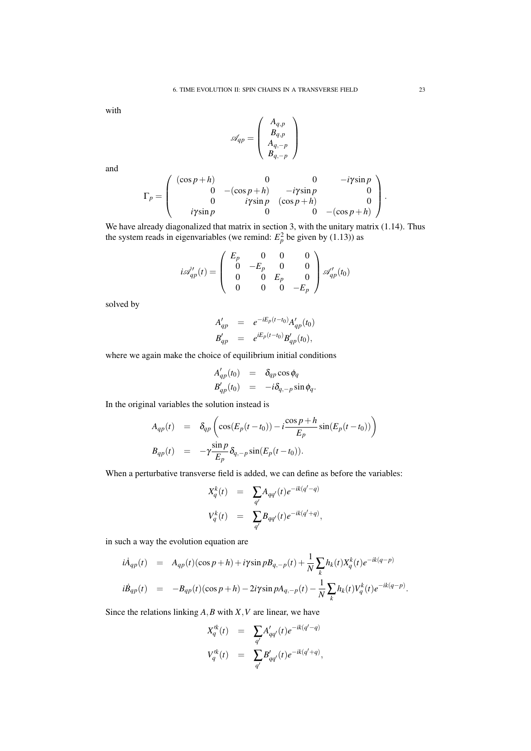with

$$
\mathscr{A}_{qp}=\left(\begin{array}{c} A_{q,p}\\ B_{q,p}\\ A_{q,-p}\\ B_{q,-p}\end{array}\right)
$$

and

$$
\Gamma_p = \left( \begin{array}{cccc} (\cos p + h) & 0 & 0 & -i\gamma \sin p \\ 0 & -(\cos p + h) & -i\gamma \sin p & 0 \\ 0 & i\gamma \sin p & (\cos p + h) & 0 \\ i\gamma \sin p & 0 & 0 & -(\cos p + h) \end{array} \right).
$$

We have already diagonalized that matrix in section 3, with the unitary matrix (1.14). Thus the system reads in eigenvariables (we remind:  $E_p^2$  be given by (1.13)) as

$$
i\mathscr{A}_{qp}'(t) = \begin{pmatrix} E_p & 0 & 0 & 0 \\ 0 & -E_p & 0 & 0 \\ 0 & 0 & E_p & 0 \\ 0 & 0 & 0 & -E_p \end{pmatrix} \mathscr{A}_{qp}'(t_0)
$$

solved by

$$
A'_{qp} = e^{-iE_p(t-t_0)} A'_{qp}(t_0)
$$
  
\n
$$
B'_{qp} = e^{iE_p(t-t_0)} B'_{qp}(t_0),
$$

where we again make the choice of equilibrium initial conditions

$$
A'_{qp}(t_0) = \delta_{qp}\cos\phi_q
$$
  
\n
$$
B'_{qp}(t_0) = -i\delta_{q,-p}\sin\phi_q.
$$

In the original variables the solution instead is

$$
A_{qp}(t) = \delta_{qp} \left( \cos(E_p(t - t_0)) - i \frac{\cos p + h}{E_p} \sin(E_p(t - t_0)) \right)
$$
  

$$
B_{qp}(t) = -\gamma \frac{\sin p}{E_p} \delta_{q,-p} \sin(E_p(t - t_0)).
$$

When a perturbative transverse field is added, we can define as before the variables:

$$
X_q^k(t) = \sum_{q'} A_{qq'}(t)e^{-ik(q'-q)}
$$
  

$$
V_q^k(t) = \sum_{q'} B_{qq'}(t)e^{-ik(q'+q)},
$$

in such a way the evolution equation are

$$
i\dot{A}_{qp}(t) = A_{qp}(t)(\cos p + h) + i\gamma \sin pB_{q,-p}(t) + \frac{1}{N} \sum_{k} h_k(t)X_q^k(t)e^{-ik(q-p)}
$$
  

$$
i\dot{B}_{qp}(t) = -B_{qp}(t)(\cos p + h) - 2i\gamma \sin pA_{q,-p}(t) - \frac{1}{N} \sum_{k} h_k(t)V_q^k(t)e^{-ik(q-p)}.
$$

Since the relations linking *A*,*B* with *X*,*V* are linear, we have

$$
X_q'^k(t) = \sum_{q'} A'_{qq'}(t) e^{-ik(q'-q)}
$$
  

$$
V_q'^k(t) = \sum_{q'} B'_{qq'}(t) e^{-ik(q'+q)},
$$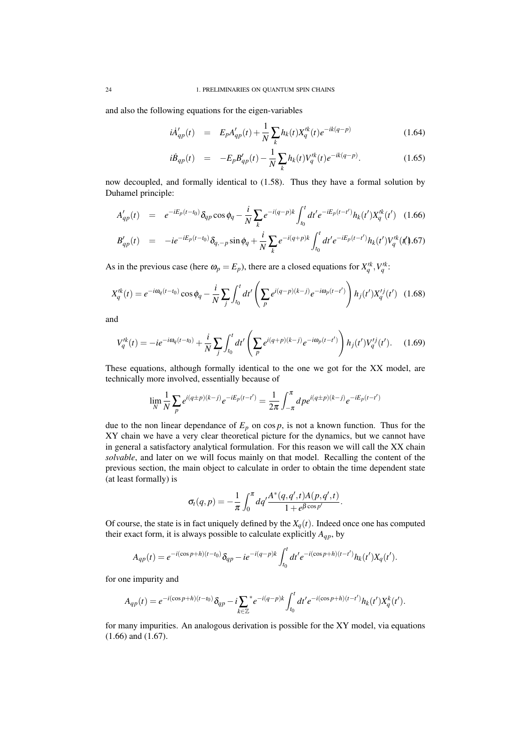and also the following equations for the eigen-variables

$$
i\dot{A}'_{qp}(t) = E_p A'_{qp}(t) + \frac{1}{N} \sum_{k} h_k(t) X'^{k}_{q}(t) e^{-ik(q-p)} \tag{1.64}
$$

$$
i\dot{B}_{qp}(t) = -E_p B'_{qp}(t) - \frac{1}{N} \sum_k h_k(t) V'^k_q(t) e^{-ik(q-p)}.
$$
 (1.65)

now decoupled, and formally identical to (1.58). Thus they have a formal solution by Duhamel principle:

$$
A'_{qp}(t) = e^{-iE_p(t-t_0)} \delta_{qp} \cos \phi_q - \frac{i}{N} \sum_k e^{-i(q-p)k} \int_{t_0}^t dt' e^{-iE_p(t-t')} h_k(t') X_q'^k(t') \quad (1.66)
$$

$$
B'_{qp}(t) = -ie^{-iE_p(t-t_0)}\delta_{q,-p}\sin\phi_q + \frac{i}{N}\sum_k e^{-i(q+p)k}\int_{t_0}^t dt' e^{-iE_p(t-t')}h_k(t')V_q'^k(t').67)
$$

As in the previous case (here  $\omega_p = E_p$ ), there are a closed equations for  $X_q^{\prime k}$ ,  $V_q^{\prime k}$ .

$$
X_q^{\prime k}(t) = e^{-i\omega_q(t-t_0)} \cos \phi_q - \frac{i}{N} \sum_j \int_{t_0}^t dt' \left( \sum_p e^{i(q-p)(k-j)} e^{-i\omega_p(t-t')} \right) h_j(t') X_q^{\prime j}(t') \quad (1.68)
$$

and

$$
V_q^{\prime k}(t) = -ie^{-i\omega_q(t-t_0)} + \frac{i}{N} \sum_j \int_{t_0}^t dt' \left( \sum_p e^{i(q+p)(k-j)} e^{-i\omega_p(t-t')} \right) h_j(t') V_q^{\prime j}(t'). \quad (1.69)
$$

These equations, although formally identical to the one we got for the XX model, are technically more involved, essentially because of

$$
\lim_{N} \frac{1}{N} \sum_{p} e^{i(q \pm p)(k-j)} e^{-iE_{p}(t-t')} = \frac{1}{2\pi} \int_{-\pi}^{\pi} dp e^{i(q \pm p)(k-j)} e^{-iE_{p}(t-t')}
$$

due to the non linear dependance of  $E_p$  on cos  $p$ , is not a known function. Thus for the XY chain we have a very clear theoretical picture for the dynamics, but we cannot have in general a satisfactory analytical formulation. For this reason we will call the XX chain *solvable*, and later on we will focus mainly on that model. Recalling the content of the previous section, the main object to calculate in order to obtain the time dependent state (at least formally) is

$$
\sigma_t(q,p)=-\frac{1}{\pi}\int_0^{\pi}dq'\frac{A^*(q,q',t)A(p,q',t)}{1+e^{\beta\cos p'}}.
$$

Of course, the state is in fact uniquely defined by the  $X_q(t)$ . Indeed once one has computed their exact form, it is always possible to calculate explicitly  $A_{qp}$ , by

$$
A_{qp}(t) = e^{-i(\cos p + h)(t-t_0)} \delta_{qp} - i e^{-i(q-p)k} \int_{t_0}^t dt' e^{-i(\cos p + h)(t-t')} h_k(t') X_q(t').
$$

for one impurity and

$$
A_{qp}(t) = e^{-i(\cos p + h)(t - t_0)} \delta_{qp} - i \sum_{k \in \mathbb{Z}}^* e^{-i(q - p)k} \int_{t_0}^t dt' e^{-i(\cos p + h)(t - t')} h_k(t') X_q^k(t').
$$

for many impurities. An analogous derivation is possible for the XY model, via equations (1.66) and (1.67).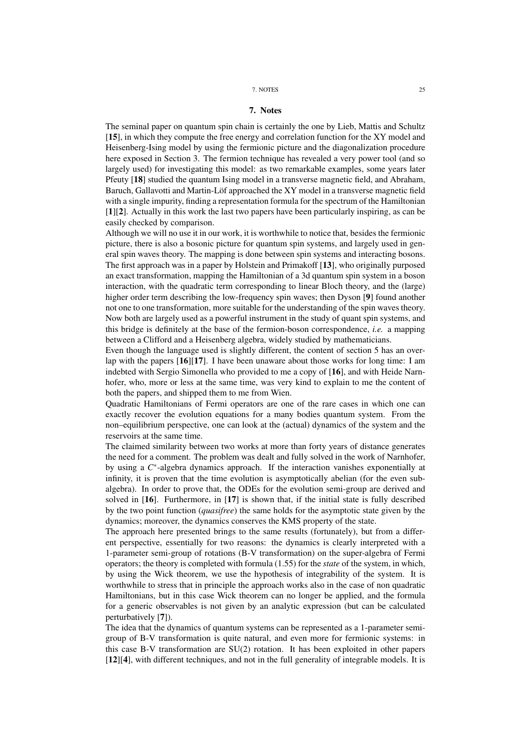#### 7. NOTES 25

## 7. Notes

The seminal paper on quantum spin chain is certainly the one by Lieb, Mattis and Schultz [15], in which they compute the free energy and correlation function for the XY model and Heisenberg-Ising model by using the fermionic picture and the diagonalization procedure here exposed in Section 3. The fermion technique has revealed a very power tool (and so largely used) for investigating this model: as two remarkable examples, some years later Pfeuty [18] studied the quantum Ising model in a transverse magnetic field, and Abraham, Baruch, Gallavotti and Martin-Löf approached the XY model in a transverse magnetic field with a single impurity, finding a representation formula for the spectrum of the Hamiltonian [1][2]. Actually in this work the last two papers have been particularly inspiring, as can be easily checked by comparison.

Although we will no use it in our work, it is worthwhile to notice that, besides the fermionic picture, there is also a bosonic picture for quantum spin systems, and largely used in general spin waves theory. The mapping is done between spin systems and interacting bosons. The first approach was in a paper by Holstein and Primakoff [13], who originally purposed an exact transformation, mapping the Hamiltonian of a 3d quantum spin system in a boson interaction, with the quadratic term corresponding to linear Bloch theory, and the (large) higher order term describing the low-frequency spin waves; then Dyson [9] found another not one to one transformation, more suitable for the understanding of the spin waves theory. Now both are largely used as a powerful instrument in the study of quant spin systems, and this bridge is definitely at the base of the fermion-boson correspondence, *i.e.* a mapping between a Clifford and a Heisenberg algebra, widely studied by mathematicians.

Even though the language used is slightly different, the content of section 5 has an overlap with the papers [16][17]. I have been unaware about those works for long time: I am indebted with Sergio Simonella who provided to me a copy of [16], and with Heide Narnhofer, who, more or less at the same time, was very kind to explain to me the content of both the papers, and shipped them to me from Wien.

Quadratic Hamiltonians of Fermi operators are one of the rare cases in which one can exactly recover the evolution equations for a many bodies quantum system. From the non–equilibrium perspective, one can look at the (actual) dynamics of the system and the reservoirs at the same time.

The claimed similarity between two works at more than forty years of distance generates the need for a comment. The problem was dealt and fully solved in the work of Narnhofer, by using a  $C^*$ -algebra dynamics approach. If the interaction vanishes exponentially at infinity, it is proven that the time evolution is asymptotically abelian (for the even subalgebra). In order to prove that, the ODEs for the evolution semi-group are derived and solved in [16]. Furthermore, in [17] is shown that, if the initial state is fully described by the two point function (*quasifree*) the same holds for the asymptotic state given by the dynamics; moreover, the dynamics conserves the KMS property of the state.

The approach here presented brings to the same results (fortunately), but from a different perspective, essentially for two reasons: the dynamics is clearly interpreted with a 1-parameter semi-group of rotations (B-V transformation) on the super-algebra of Fermi operators; the theory is completed with formula (1.55) for the *state* of the system, in which, by using the Wick theorem, we use the hypothesis of integrability of the system. It is worthwhile to stress that in principle the approach works also in the case of non quadratic Hamiltonians, but in this case Wick theorem can no longer be applied, and the formula for a generic observables is not given by an analytic expression (but can be calculated perturbatively [7]).

The idea that the dynamics of quantum systems can be represented as a 1-parameter semigroup of B-V transformation is quite natural, and even more for fermionic systems: in this case B-V transformation are SU(2) rotation. It has been exploited in other papers [12][4], with different techniques, and not in the full generality of integrable models. It is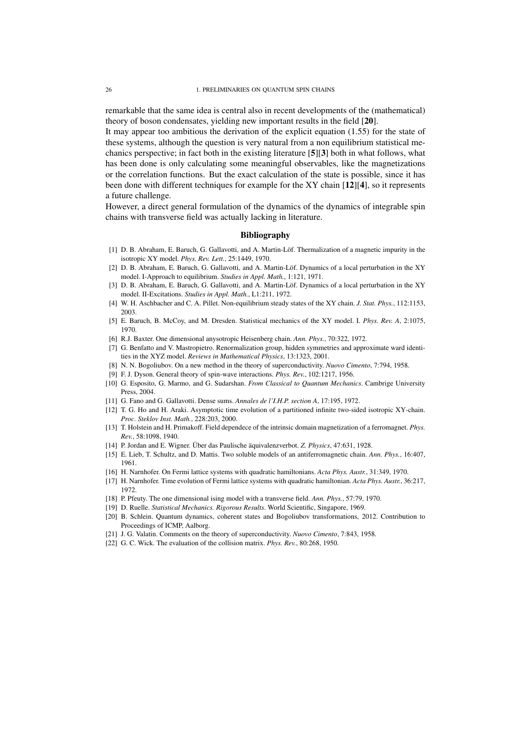remarkable that the same idea is central also in recent developments of the (mathematical) theory of boson condensates, yielding new important results in the field [20].

It may appear too ambitious the derivation of the explicit equation (1.55) for the state of these systems, although the question is very natural from a non equilibrium statistical mechanics perspective; in fact both in the existing literature [5][3] both in what follows, what has been done is only calculating some meaningful observables, like the magnetizations or the correlation functions. But the exact calculation of the state is possible, since it has been done with different techniques for example for the XY chain [12][4], so it represents a future challenge.

However, a direct general formulation of the dynamics of the dynamics of integrable spin chains with transverse field was actually lacking in literature.

## Bibliography

- [1] D. B. Abraham, E. Baruch, G. Gallavotti, and A. Martin-Löf. Thermalization of a magnetic impurity in the isotropic XY model. *Phys. Rev. Lett.*, 25:1449, 1970.
- [2] D. B. Abraham, E. Baruch, G. Gallavotti, and A. Martin-Löf. Dynamics of a local perturbation in the XY model. I-Approach to equilibrium. *Studies in Appl. Math.*, 1:121, 1971.
- [3] D. B. Abraham, E. Baruch, G. Gallavotti, and A. Martin-Löf. Dynamics of a local perturbation in the XY model. II-Excitations. *Studies in Appl. Math.*, L1:211, 1972.
- [4] W. H. Aschbacher and C. A. Pillet. Non-equilibrium steady states of the XY chain. *J. Stat. Phys.*, 112:1153, 2003.
- [5] E. Baruch, B. McCoy, and M. Dresden. Statistical mechanics of the XY model. I. *Phys. Rev. A*, 2:1075, 1970.
- [6] R.J. Baxter. One dimensional anysotropic Heisenberg chain. *Ann. Phys.*, 70:322, 1972.
- [7] G. Benfatto and V. Mastropietro. Renormalization group, hidden symmetries and approximate ward identities in the XYZ model. *Reviews in Mathematical Physics*, 13:1323, 2001.
- [8] N. N. Bogoliubov. On a new method in the theory of superconductivity. *Nuovo Cimento*, 7:794, 1958.
- [9] F. J. Dyson. General theory of spin-wave interactions. *Phys. Rev.*, 102:1217, 1956.
- [10] G. Esposito, G. Marmo, and G. Sudarshan. *From Classical to Quantum Mechanics*. Cambrige University Press, 2004.
- [11] G. Fano and G. Gallavotti. Dense sums. *Annales de l'I.H.P. section A*, 17:195, 1972.
- [12] T. G. Ho and H. Araki. Asymptotic time evolution of a partitioned infinite two-sided isotropic XY-chain. *Proc. Steklov Inst. Math.*, 228:203, 2000.
- [13] T. Holstein and H. Primakoff. Field dependece of the intrinsic domain magnetization of a ferromagnet. *Phys. Rev.*, 58:1098, 1940.
- [14] P. Jordan and E. Wigner. Über das Paulische äquivalenzverbot. *Z. Physics*, 47:631, 1928.
- [15] E. Lieb, T. Schultz, and D. Mattis. Two soluble models of an antiferromagnetic chain. *Ann. Phys.*, 16:407, 1961.
- [16] H. Narnhofer. On Fermi lattice systems with quadratic hamiltonians. *Acta Phys. Austr.*, 31:349, 1970.
- [17] H. Narnhofer. Time evolution of Fermi lattice systems with quadratic hamiltonian. *Acta Phys. Austr.*, 36:217, 1972.
- [18] P. Pfeuty. The one dimensional ising model with a transverse field. *Ann. Phys.*, 57:79, 1970.
- [19] D. Ruelle. *Statistical Mechanics. Rigorous Results*. World Scientific, Singapore, 1969.
- [20] B. Schlein. Quantum dynamics, coherent states and Bogoliubov transformations, 2012. Contribution to Proceedings of ICMP, Aalborg.
- [21] J. G. Valatin. Comments on the theory of superconductivity. *Nuovo Cimento*, 7:843, 1958.
- [22] G. C. Wick. The evaluation of the collision matrix. *Phys. Rev.*, 80:268, 1950.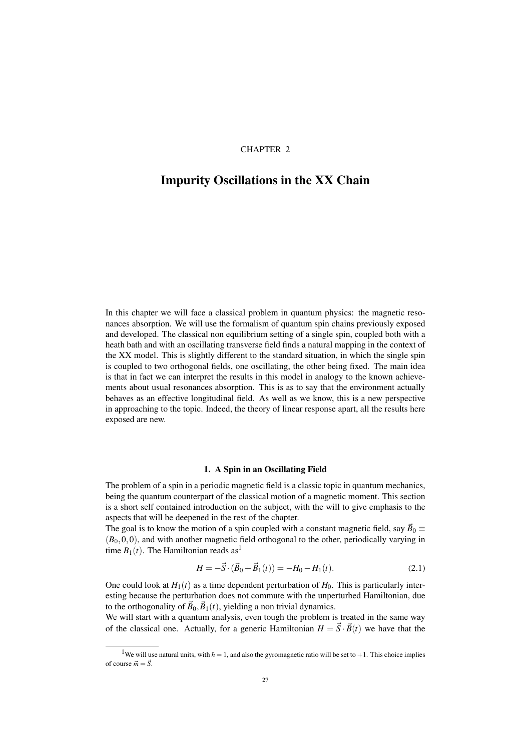## CHAPTER 2

## Impurity Oscillations in the XX Chain

In this chapter we will face a classical problem in quantum physics: the magnetic resonances absorption. We will use the formalism of quantum spin chains previously exposed and developed. The classical non equilibrium setting of a single spin, coupled both with a heath bath and with an oscillating transverse field finds a natural mapping in the context of the XX model. This is slightly different to the standard situation, in which the single spin is coupled to two orthogonal fields, one oscillating, the other being fixed. The main idea is that in fact we can interpret the results in this model in analogy to the known achievements about usual resonances absorption. This is as to say that the environment actually behaves as an effective longitudinal field. As well as we know, this is a new perspective in approaching to the topic. Indeed, the theory of linear response apart, all the results here exposed are new.

## 1. A Spin in an Oscillating Field

The problem of a spin in a periodic magnetic field is a classic topic in quantum mechanics, being the quantum counterpart of the classical motion of a magnetic moment. This section is a short self contained introduction on the subject, with the will to give emphasis to the aspects that will be deepened in the rest of the chapter.

The goal is to know the motion of a spin coupled with a constant magnetic field, say  $\vec{B}_0 \equiv$  $(B<sub>0</sub>,0,0)$ , and with another magnetic field orthogonal to the other, periodically varying in time  $B_1(t)$ . The Hamiltonian reads as<sup>1</sup>

$$
H = -\vec{S} \cdot (\vec{B}_0 + \vec{B}_1(t)) = -H_0 - H_1(t). \tag{2.1}
$$

One could look at  $H_1(t)$  as a time dependent perturbation of  $H_0$ . This is particularly interesting because the perturbation does not commute with the unperturbed Hamiltonian, due to the orthogonality of  $\vec{B}_0$ ,  $\vec{B}_1(t)$ , yielding a non trivial dynamics.

We will start with a quantum analysis, even tough the problem is treated in the same way of the classical one. Actually, for a generic Hamiltonian  $H = \vec{S} \cdot \vec{B}(t)$  we have that the

<sup>&</sup>lt;sup>1</sup>We will use natural units, with  $\hbar = 1$ , and also the gyromagnetic ratio will be set to +1. This choice implies of course  $\vec{m} = \vec{S}$ .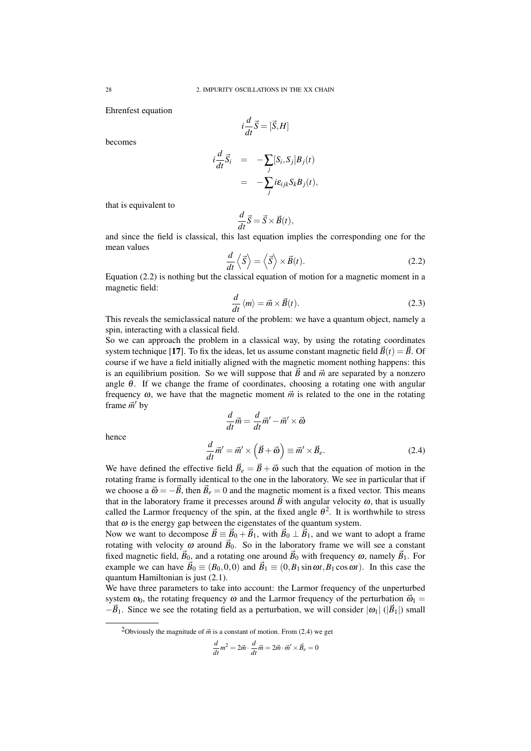Ehrenfest equation

$$
i\frac{d}{dt}\vec{S} = [\vec{S}, H]
$$

becomes

$$
i\frac{d}{dt}\vec{S}_i = -\sum_j [S_i, S_j]B_j(t)
$$
  
= 
$$
-\sum_j i\epsilon_{ijk}S_kB_j(t),
$$

that is equivalent to

$$
\frac{d}{dt}\vec{S} = \vec{S} \times \vec{B}(t),
$$

and since the field is classical, this last equation implies the corresponding one for the mean values

$$
\frac{d}{dt}\left\langle \vec{S}\right\rangle = \left\langle \vec{S}\right\rangle \times \vec{B}(t). \tag{2.2}
$$

Equation (2.2) is nothing but the classical equation of motion for a magnetic moment in a magnetic field:

$$
\frac{d}{dt}\langle m\rangle = \vec{m} \times \vec{B}(t). \tag{2.3}
$$

This reveals the semiclassical nature of the problem: we have a quantum object, namely a spin, interacting with a classical field.

So we can approach the problem in a classical way, by using the rotating coordinates system technique [17]. To fix the ideas, let us assume constant magnetic field  $\vec{B}(t) = \vec{B}$ . Of course if we have a field initially aligned with the magnetic moment nothing happens: this is an equilibrium position. So we will suppose that  $\vec{B}$  and  $\vec{m}$  are separated by a nonzero angle  $\theta$ . If we change the frame of coordinates, choosing a rotating one with angular frequency  $\omega$ , we have that the magnetic moment  $\vec{m}$  is related to the one in the rotating frame  $\vec{m}'$  by

hence

$$
\frac{d}{dt}\vec{m} = \frac{d}{dt}\vec{m}' - \vec{m}' \times \vec{\omega}
$$
\n
$$
\frac{d}{dt}\vec{m}' = \vec{m}' \times (\vec{B} + \vec{\omega}) \equiv \vec{m}' \times \vec{B}_e.
$$
\n(2.4)

We have defined the effective field  $\vec{B}_e = \vec{B} + \vec{\omega}$  such that the equation of motion in the rotating frame is formally identical to the one in the laboratory. We see in particular that if we choose a  $\vec{\omega} = -\vec{B}$ , then  $\vec{B}_e = 0$  and the magnetic moment is a fixed vector. This means that in the laboratory frame it precesses around  $\vec{B}$  with angular velocity  $\omega$ , that is usually called the Larmor frequency of the spin, at the fixed angle  $\theta^2$ . It is worthwhile to stress that  $\omega$  is the energy gap between the eigenstates of the quantum system.

Now we want to decompose  $\vec{B} = \vec{B}_0 + \vec{B}_1$ , with  $\vec{B}_0 \perp \vec{B}_1$ , and we want to adopt a frame rotating with velocity  $\omega$  around  $\vec{B}_0$ . So in the laboratory frame we will see a constant fixed magnetic field,  $\vec{B}_0$ , and a rotating one around  $\vec{B}_0$  with frequency  $\omega$ , namely  $\vec{B}_1$ . For example we can have  $\vec{B}_0 \equiv (B_0, 0, 0)$  and  $\vec{B}_1 \equiv (0, B_1 \sin \omega t, B_1 \cos \omega t)$ . In this case the quantum Hamiltonian is just (2.1).

We have three parameters to take into account: the Larmor frequency of the unperturbed system  $\omega_0$ , the rotating frequency  $\omega$  and the Larmor frequency of the perturbation  $\vec{\omega}_1$  =  $-\vec{B}_1$ . Since we see the rotating field as a perturbation, we will consider  $|\omega_1|$  ( $|\vec{B}_1|$ ) small

$$
\frac{d}{dt}m^2 = 2\vec{m} \cdot \frac{d}{dt}\vec{m} = 2\vec{m} \cdot \vec{m}' \times \vec{B}_e = 0
$$

<sup>&</sup>lt;sup>2</sup>Obviously the magnitude of  $\vec{m}$  is a constant of motion. From (2.4) we get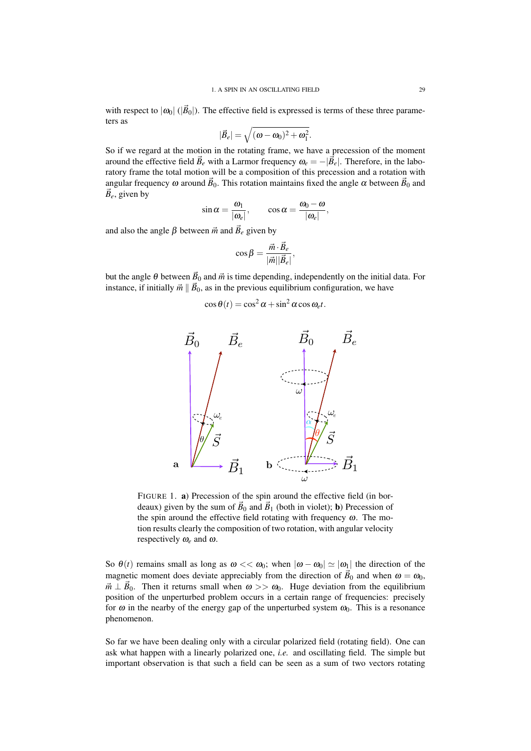with respect to  $|\omega_0|$  ( $|\vec{B}_0|$ ). The effective field is expressed is terms of these three parameters as

$$
|\vec{B}_e|=\sqrt{(\omega-\omega_0)^2+\omega_1^2}.
$$

So if we regard at the motion in the rotating frame, we have a precession of the moment around the effective field  $\vec{B}_e$  with a Larmor frequency  $\omega_e = -|\vec{B}_e|$ . Therefore, in the laboratory frame the total motion will be a composition of this precession and a rotation with angular frequency  $\omega$  around  $\vec{B}_0$ . This rotation maintains fixed the angle  $\alpha$  between  $\vec{B}_0$  and  $\vec{B}_e$ , given by

$$
\sin \alpha = \frac{\omega_1}{|\omega_e|}, \qquad \cos \alpha = \frac{\omega_0 - \omega}{|\omega_e|},
$$

and also the angle  $\beta$  between  $\vec{m}$  and  $\vec{B}_e$  given by

$$
\cos\beta = \frac{\vec{m} \cdot \vec{B}_e}{|\vec{m}||\vec{B}_e|},
$$

but the angle  $\theta$  between  $\vec{B}_0$  and  $\vec{m}$  is time depending, independently on the initial data. For instance, if initially  $\vec{m} \parallel \vec{B}_0$ , as in the previous equilibrium configuration, we have

$$
\cos\theta(t) = \cos^2\alpha + \sin^2\alpha\cos\omega_e t.
$$



FIGURE 1. a) Precession of the spin around the effective field (in bordeaux) given by the sum of  $\vec{B}_0$  and  $\vec{B}_1$  (both in violet); **b**) Precession of the spin around the effective field rotating with frequency  $\omega$ . The motion results clearly the composition of two rotation, with angular velocity respectively ω*<sup>e</sup>* and ω.

So  $\theta(t)$  remains small as long as  $\omega \ll \omega_0$ ; when  $|\omega - \omega_0| \simeq |\omega_1|$  the direction of the magnetic moment does deviate appreciably from the direction of  $\vec{B}_0$  and when  $\omega = \omega_0$ ,  $\vec{m} \perp \vec{B}_0$ . Then it returns small when  $\omega >> \omega_0$ . Huge deviation from the equilibrium position of the unperturbed problem occurs in a certain range of frequencies: precisely for  $\omega$  in the nearby of the energy gap of the unperturbed system  $\omega_0$ . This is a resonance phenomenon.

So far we have been dealing only with a circular polarized field (rotating field). One can ask what happen with a linearly polarized one, *i.e.* and oscillating field. The simple but important observation is that such a field can be seen as a sum of two vectors rotating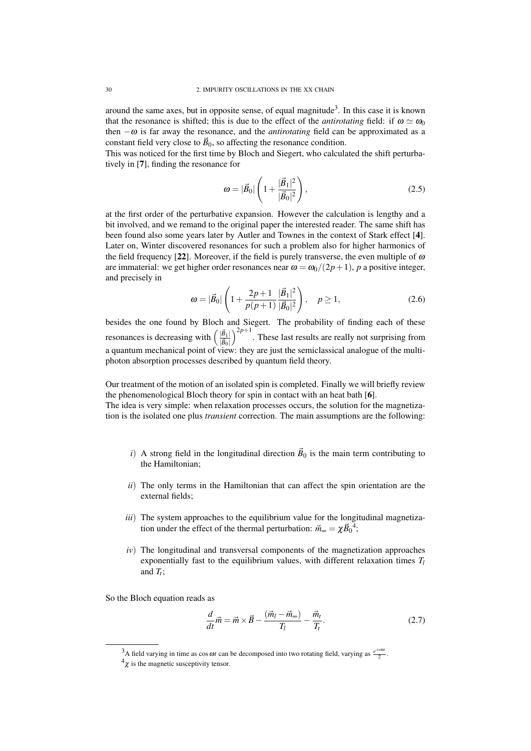around the same axes, but in opposite sense, of equal magnitude<sup>3</sup>. In this case it is known that the resonance is shifted; this is due to the effect of the *antirotating* field: if  $\omega \simeq \omega_0$ then  $-\omega$  is far away the resonance, and the *antirotating* field can be approximated as a constant field very close to  $\vec{B}_0$ , so affecting the resonance condition.

This was noticed for the first time by Bloch and Siegert, who calculated the shift perturbatively in [7], finding the resonance for

$$
\omega = |\vec{B}_0| \left( 1 + \frac{|\vec{B}_1|^2}{|\vec{B}_0|^2} \right),\tag{2.5}
$$

at the first order of the perturbative expansion. However the calculation is lengthy and a bit involved, and we remand to the original paper the interested reader. The same shift has been found also some years later by Autler and Townes in the context of Stark effect [4]. Later on, Winter discovered resonances for such a problem also for higher harmonics of the field frequency [22]. Moreover, if the field is purely transverse, the even multiple of  $\omega$ are immaterial: we get higher order resonances near  $\omega = \omega_0/(2p+1)$ , *p* a positive integer, and precisely in

$$
\omega = |\vec{B}_0| \left( 1 + \frac{2p+1}{p(p+1)} \frac{|\vec{B}_1|^2}{|\vec{B}_0|^2} \right), \quad p \ge 1,
$$
\n(2.6)

besides the one found by Bloch and Siegert. The probability of finding each of these resonances is decreasing with  $\left(\frac{|\vec{B}_1|}{|\vec{B}|}\right)$  $|\vec{B}_0|$  $\int_{0}^{2p+1}$ . These last results are really not surprising from a quantum mechanical point of view: they are just the semiclassical analogue of the multiphoton absorption processes described by quantum field theory.

Our treatment of the motion of an isolated spin is completed. Finally we will briefly review the phenomenological Bloch theory for spin in contact with an heat bath [6].

The idea is very simple: when relaxation processes occurs, the solution for the magnetization is the isolated one plus *transient* correction. The main assumptions are the following:

- *i*) A strong field in the longitudinal direction  $\vec{B}_0$  is the main term contributing to the Hamiltonian;
- *ii*) The only terms in the Hamiltonian that can affect the spin orientation are the external fields;
- *iii*) The system approaches to the equilibrium value for the longitudinal magnetization under the effect of the thermal perturbation:  $\vec{m}_{\infty} = \chi \vec{B}_0^4$ ;
- *iv*) The longitudinal and transversal components of the magnetization approaches exponentially fast to the equilibrium values, with different relaxation times *T<sup>l</sup>* and  $T_t$ ;

So the Bloch equation reads as

$$
\frac{d}{dt}\vec{m} = \vec{m} \times \vec{B} - \frac{(\vec{m}_l - \vec{m}_\infty)}{T_l} - \frac{\vec{m}_l}{T_l}.
$$
\n(2.7)

<sup>&</sup>lt;sup>3</sup>A field varying in time as  $\cos \omega t$  can be decomposed into two rotating field, varying as  $\frac{e^{\pm i\omega t}}{2}$ .

 $\frac{4\chi}{\chi}$  is the magnetic susceptivity tensor.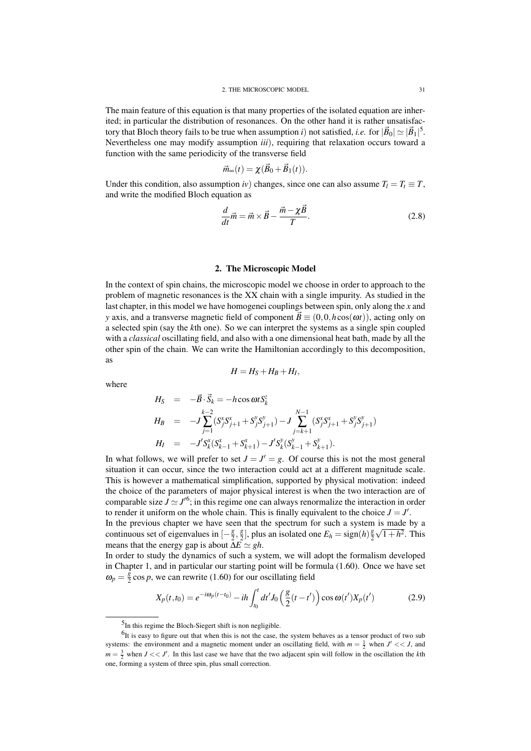The main feature of this equation is that many properties of the isolated equation are inherited; in particular the distribution of resonances. On the other hand it is rather unsatisfactory that Bloch theory fails to be true when assumption *i*) not satisfied, *i.e*. for  $|\vec{B}_0| \simeq |\vec{B}_1|^5$ . Nevertheless one may modify assumption *iii*), requiring that relaxation occurs toward a function with the same periodicity of the transverse field

$$
\vec{m}_{\infty}(t) = \chi(\vec{B}_0 + \vec{B}_1(t)).
$$

Under this condition, also assumption *iv*) changes, since one can also assume  $T_l = T_t \equiv T$ , and write the modified Bloch equation as

$$
\frac{d}{dt}\vec{m} = \vec{m} \times \vec{B} - \frac{\vec{m} - \chi \vec{B}}{T}.
$$
\n(2.8)

## 2. The Microscopic Model

In the context of spin chains, the microscopic model we choose in order to approach to the problem of magnetic resonances is the XX chain with a single impurity. As studied in the last chapter, in this model we have homogenei couplings between spin, only along the *x* and *y* axis, and a transverse magnetic field of component  $\vec{B} \equiv (0,0,h\cos(\omega t))$ , acting only on a selected spin (say the *k*th one). So we can interpret the systems as a single spin coupled with a *classical* oscillating field, and also with a one dimensional heat bath, made by all the other spin of the chain. We can write the Hamiltonian accordingly to this decomposition, as

$$
H=H_S+H_B+H_I,
$$

where

$$
H_S = -\vec{B} \cdot \vec{S}_k = -h \cos \omega t S_k^z
$$
  
\n
$$
H_B = -J \sum_{j=1}^{k-2} (S_j^x S_{j+1}^x + S_j^y S_{j+1}^y) - J \sum_{j=k+1}^{N-1} (S_j^x S_{j+1}^x + S_j^y S_{j+1}^y)
$$
  
\n
$$
H_I = -J' S_k^x (S_{k-1}^x + S_{k+1}^x) - J' S_k^y (S_{k-1}^y + S_{k+1}^y).
$$

In what follows, we will prefer to set  $J = J' = g$ . Of course this is not the most general situation it can occur, since the two interaction could act at a different magnitude scale. This is however a mathematical simplification, supported by physical motivation: indeed the choice of the parameters of major physical interest is when the two interaction are of comparable size  $J \simeq J'^6$ ; in this regime one can always renormalize the interaction in order to render it uniform on the whole chain. This is finally equivalent to the choice  $J = J'$ . In the previous chapter we have seen that the spectrum for such a system is made by a continuous set of eigenvalues in [− *g*  $\frac{g}{2}, \frac{g}{2}$  $\frac{g}{2}$ , plus an isolated one  $E_h = sign(h)\frac{g}{2}$  $\frac{g}{2}\sqrt{1+h^2}$ . This

In order to study the dynamics of such a system, we will adopt the formalism developed in Chapter 1, and in particular our starting point will be formula (1.60). Once we have set  $\omega_p = \frac{\tilde{g}}{2}$  $\frac{g}{2}$  cos *p*, we can rewrite (1.60) for our oscillating field

$$
X_p(t,t_0) = e^{-i\omega_p(t-t_0)} - ih \int_{t_0}^t dt' J_0\left(\frac{g}{2}(t-t')\right) \cos \omega(t') X_p(t')
$$
 (2.9)

means that the energy gap is about  $\overline{\Delta E} \simeq gh$ .

<sup>&</sup>lt;sup>5</sup>In this regime the Bloch-Siegert shift is non negligible.

 $^{6}$ It is easy to figure out that when this is not the case, the system behaves as a tensor product of two sub systems: the environment and a magnetic moment under an oscillating field, with  $m = \frac{1}{2}$  when  $J' \ll J$ , and  $m = \frac{3}{2}$  when  $J \ll J'$ . In this last case we have that the two adjacent spin will follow in the oscillation the *k*th one, forming a system of three spin, plus small correction.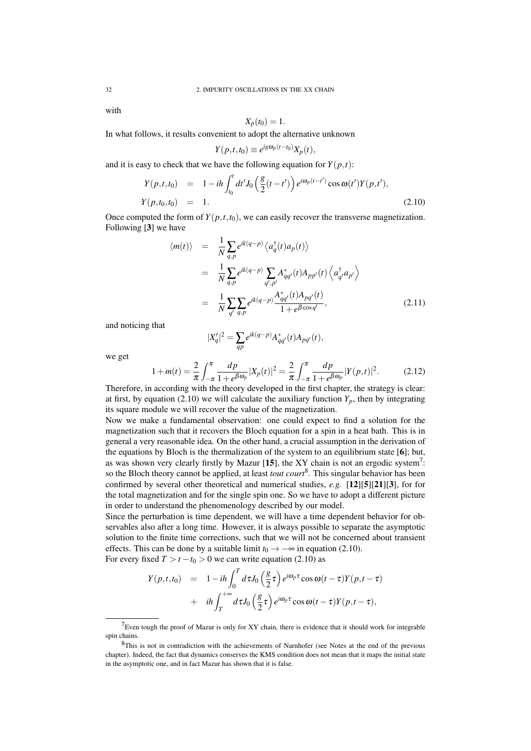with

$$
X_p(t_0)=1.
$$

In what follows, it results convenient to adopt the alternative unknown

$$
Y(p,t,t_0) \equiv e^{ig\omega_p(t-t_0)} X_p(t),
$$

and it is easy to check that we have the following equation for  $Y(p,t)$ :

$$
Y(p,t,t_0) = 1 - ih \int_{t_0}^t dt' J_0\left(\frac{g}{2}(t-t')\right) e^{i\omega_p(t-t')} \cos \omega(t') Y(p,t'),
$$
  
\n
$$
Y(p,t_0,t_0) = 1.
$$
\n(2.10)

Once computed the form of  $Y(p, t, t_0)$ , we can easily recover the transverse magnetization. Following [3] we have

$$
\langle m(t) \rangle = \frac{1}{N} \sum_{q,p} e^{ik(q-p)} \langle a_q^{\dagger}(t) a_p(t) \rangle
$$
  
\n
$$
= \frac{1}{N} \sum_{q,p} e^{ik(q-p)} \sum_{q',p'} A_{qq'}^*(t) A_{pp'}(t) \langle a_{q'}^{\dagger} a_{p'} \rangle
$$
  
\n
$$
= \frac{1}{N} \sum_{q'} \sum_{q,p} e^{ik(q-p)} \frac{A_{qq'}^*(t) A_{pq'}(t)}{1 + e^{\beta \cos q'}},
$$
(2.11)

and noticing that

$$
|X'_q|^2 = \sum_{qp} e^{ik(q-p)} A_{qq'}^*(t) A_{pq'}(t),
$$

we get

$$
1 + m(t) = \frac{2}{\pi} \int_{-\pi}^{\pi} \frac{dp}{1 + e^{\beta \omega_p}} |X_p(t)|^2 = \frac{2}{\pi} \int_{-\pi}^{\pi} \frac{dp}{1 + e^{\beta \omega_p}} |Y(p, t)|^2.
$$
 (2.12)

Therefore, in according with the theory developed in the first chapter, the strategy is clear: at first, by equation (2.10) we will calculate the auxiliary function  $Y_p$ , then by integrating its square module we will recover the value of the magnetization.

Now we make a fundamental observation: one could expect to find a solution for the magnetization such that it recovers the Bloch equation for a spin in a heat bath. This is in general a very reasonable idea. On the other hand, a crucial assumption in the derivation of the equations by Bloch is the thermalization of the system to an equilibrium state [6]; but, as was shown very clearly firstly by Mazur [15], the XY chain is not an ergodic system<sup>7</sup>: so the Bloch theory cannot be applied, at least *tout court*<sup>8</sup> . This singular behavior has been confirmed by several other theoretical and numerical studies, *e.g.* [12][5][21][3], for for the total magnetization and for the single spin one. So we have to adopt a different picture in order to understand the phenomenology described by our model.

Since the perturbation is time dependent, we will have a time dependent behavior for observables also after a long time. However, it is always possible to separate the asymptotic solution to the finite time corrections, such that we will not be concerned about transient effects. This can be done by a suitable limit  $t_0 \rightarrow -\infty$  in equation (2.10). For every fixed  $T > t - t_0 > 0$  we can write equation (2.10) as

$$
Y(p,t,t_0) = 1 - ih \int_0^T d\tau J_0\left(\frac{g}{2}\tau\right) e^{i\omega_p \tau} \cos \omega(t-\tau) Y(p,t-\tau) + ih \int_T^{+\infty} d\tau J_0\left(\frac{g}{2}\tau\right) e^{i\omega_p \tau} \cos \omega(t-\tau) Y(p,t-\tau),
$$

 $7$ Even tough the proof of Mazur is only for XY chain, there is evidence that it should work for integrable spin chains.

<sup>&</sup>lt;sup>8</sup>This is not in contradiction with the achievements of Narnhofer (see Notes at the end of the previous chapter). Indeed, the fact that dynamics conserves the KMS condition does not mean that it maps the initial state in the asymptotic one, and in fact Mazur has shown that it is false.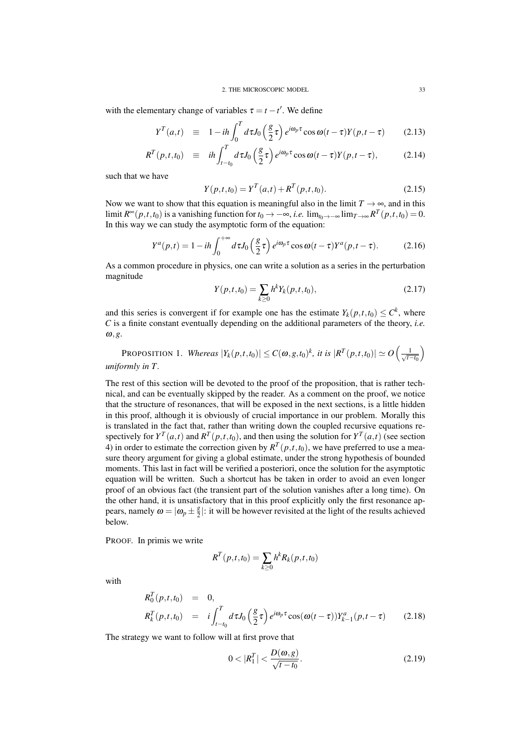with the elementary change of variables  $\tau = t - t'$ . We define

$$
Y^{T}(a,t) \equiv 1 - ih \int_0^T d\tau J_0\left(\frac{g}{2}\tau\right) e^{i\omega_p \tau} \cos \omega (t-\tau) Y(p,t-\tau) \qquad (2.13)
$$

$$
R^{T}(p,t,t_{0}) \equiv i\hbar \int_{t-t_{0}}^{T} d\tau J_{0}\left(\frac{g}{2}\tau\right) e^{i\omega_{p}\tau} \cos \omega (t-\tau) Y(p,t-\tau), \tag{2.14}
$$

such that we have

$$
Y(p,t,t_0) = Y^T(a,t) + R^T(p,t,t_0).
$$
\n(2.15)

Now we want to show that this equation is meaningful also in the limit  $T \to \infty$ , and in this limit  $R^{\infty}(p,t,t_0)$  is a vanishing function for  $t_0 \to -\infty$ , *i.e.* lim<sub> $t_0 \to -\infty$ </sub> lim $_{T\to\infty}R^T(p,t,t_0) = 0$ . In this way we can study the asymptotic form of the equation:

$$
Y^{a}(p,t) = 1 - ih \int_{0}^{+\infty} d\tau J_{0}\left(\frac{g}{2}\tau\right) e^{i\omega_{p}\tau} \cos \omega(t-\tau) Y^{a}(p,t-\tau). \tag{2.16}
$$

As a common procedure in physics, one can write a solution as a series in the perturbation magnitude

$$
Y(p,t,t_0) = \sum_{k \ge 0} h^k Y_k(p,t,t_0), \qquad (2.17)
$$

and this series is convergent if for example one has the estimate  $Y_k(p,t,t_0) \leq C^k$ , where *C* is a finite constant eventually depending on the additional parameters of the theory, *i.e.* ω,*g*.

PROPOSITION 1. *Whereas*  $|Y_k(p,t,t_0)| \leq C(\omega, g, t_0)^k$ , it is  $|R^T(p,t,t_0)| \simeq O\left(\frac{1}{\sqrt{t-t_0}}\right)$  $\setminus$ *uniformly in T .*

The rest of this section will be devoted to the proof of the proposition, that is rather technical, and can be eventually skipped by the reader. As a comment on the proof, we notice that the structure of resonances, that will be exposed in the next sections, is a little hidden in this proof, although it is obviously of crucial importance in our problem. Morally this is translated in the fact that, rather than writing down the coupled recursive equations respectively for  $Y^T(a,t)$  and  $R^T(p,t,t_0)$ , and then using the solution for  $Y^T(a,t)$  (see section 4) in order to estimate the correction given by  $R^T(p,t,t_0)$ , we have preferred to use a measure theory argument for giving a global estimate, under the strong hypothesis of bounded moments. This last in fact will be verified a posteriori, once the solution for the asymptotic equation will be written. Such a shortcut has be taken in order to avoid an even longer proof of an obvious fact (the transient part of the solution vanishes after a long time). On the other hand, it is unsatisfactory that in this proof explicitly only the first resonance appears, namely  $\omega = |\omega_p \pm \frac{g}{2}|$  $\frac{g}{2}$ : it will be however revisited at the light of the results achieved below.

PROOF. In primis we write

$$
R^{T}(p,t,t_{0}) = \sum_{k \geq 0} h^{k} R_{k}(p,t,t_{0})
$$

with

$$
R_0^T(p, t, t_0) = 0,
$$
  
\n
$$
R_k^T(p, t, t_0) = i \int_{t-t_0}^T d\tau J_0\left(\frac{g}{2}\tau\right) e^{i\omega_p \tau} \cos(\omega(t-\tau)) Y_{k-1}^a(p, t-\tau)
$$
 (2.18)

The strategy we want to follow will at first prove that

$$
0 < |R_1^T| < \frac{D(\omega, g)}{\sqrt{t - t_0}}.\tag{2.19}
$$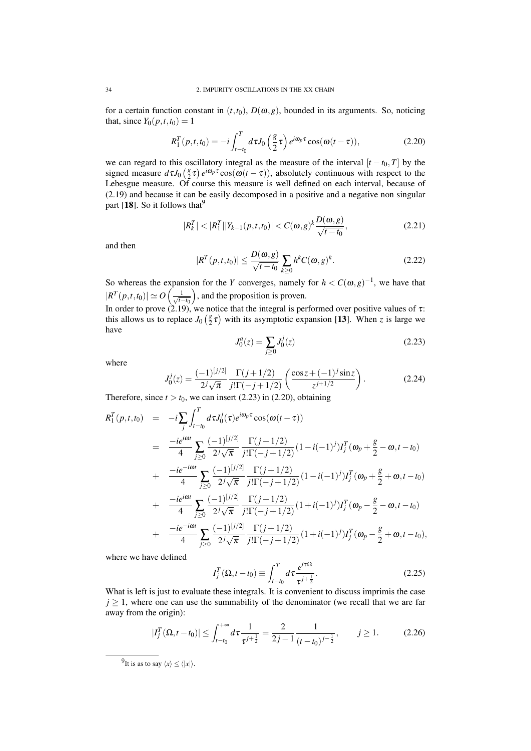for a certain function constant in  $(t, t_0)$ ,  $D(\omega, g)$ , bounded in its arguments. So, noticing that, since  $Y_0(p, t, t_0) = 1$ 

$$
R_1^T(p,t,t_0) = -i \int_{t-t_0}^T d\tau J_0\left(\frac{g}{2}\tau\right) e^{i\omega_p \tau} \cos(\omega(t-\tau)), \qquad (2.20)
$$

we can regard to this oscillatory integral as the measure of the interval  $[t - t_0, T]$  by the signed measure  $d\tau J_0\left(\frac{g}{2}\right)$  $\frac{g}{2} \tau$ )  $e^{i\omega_p \tau} \cos(\omega(t-\tau))$ , absolutely continuous with respect to the Lebesgue measure. Of course this measure is well defined on each interval, because of (2.19) and because it can be easily decomposed in a positive and a negative non singular part [18]. So it follows that  $9$ 

$$
|R_k^T| < |R_1^T||Y_{k-1}(p,t,t_0)| < C(\omega, g)^k \frac{D(\omega, g)}{\sqrt{t - t_0}},\tag{2.21}
$$

and then

$$
|R^T(p,t,t_0)| \le \frac{D(\omega, g)}{\sqrt{t-t_0}} \sum_{k \ge 0} h^k C(\omega, g)^k. \tag{2.22}
$$

So whereas the expansion for the *Y* converges, namely for  $h < C(\omega, g)^{-1}$ , we have that  $|R^T(p,t,t_0)| \simeq O\left(\frac{1}{\sqrt{t-t_0}}\right)$ ), and the proposition is proven.

In order to prove (2.19), we notice that the integral is performed over positive values of  $\tau$ : this allows us to replace  $J_0 \left(\frac{g}{2}\right)$  $\frac{g}{2} \tau$ ) with its asymptotic expansion [13]. When *z* is large we have

$$
J_0^a(z) = \sum_{j \ge 0} J_0^j(z) \tag{2.23}
$$

where

$$
J_0^j(z) = \frac{(-1)^{[j/2]}}{2^j \sqrt{\pi}} \frac{\Gamma(j+1/2)}{j! \Gamma(-j+1/2)} \left( \frac{\cos z + (-1)^j \sin z}{z^{j+1/2}} \right).
$$
 (2.24)

Therefore, since  $t > t_0$ , we can insert (2.23) in (2.20), obtaining

$$
R_1^T(p,t,t_0) = -i \sum_j \int_{t-t_0}^T d\tau J_0^j(\tau) e^{i\omega_p \tau} \cos(\omega(t-\tau))
$$
  
\n
$$
= \frac{-ie^{i\omega t}}{4} \sum_{j\geq 0} \frac{(-1)^{[j/2]}}{2^j \sqrt{\pi}} \frac{\Gamma(j+1/2)}{j! \Gamma(-j+1/2)} (1-i(-1)^j) I_j^T(\omega_p + \frac{g}{2} - \omega, t - t_0)
$$
  
\n
$$
+ \frac{-ie^{-i\omega t}}{4} \sum_{j\geq 0} \frac{(-1)^{[j/2]}}{2^j \sqrt{\pi}} \frac{\Gamma(j+1/2)}{j! \Gamma(-j+1/2)} (1-i(-1)^j) I_j^T(\omega_p + \frac{g}{2} + \omega, t - t_0)
$$
  
\n
$$
+ \frac{-ie^{i\omega t}}{4} \sum_{j\geq 0} \frac{(-1)^{[j/2]}}{2^j \sqrt{\pi}} \frac{\Gamma(j+1/2)}{j! \Gamma(-j+1/2)} (1+i(-1)^j) I_j^T(\omega_p - \frac{g}{2} - \omega, t - t_0)
$$
  
\n
$$
+ \frac{-ie^{-i\omega t}}{4} \sum_{j\geq 0} \frac{(-1)^{[j/2]}}{2^j \sqrt{\pi}} \frac{\Gamma(j+1/2)}{j! \Gamma(-j+1/2)} (1+i(-1)^j) I_j^T(\omega_p - \frac{g}{2} + \omega, t - t_0),
$$

where we have defined

$$
I_j^T(\Omega, t - t_0) \equiv \int_{t - t_0}^T d\tau \frac{e^{i\tau \Omega}}{\tau^{j + \frac{1}{2}}}.
$$
 (2.25)

What is left is just to evaluate these integrals. It is convenient to discuss imprimis the case  $j \geq 1$ , where one can use the summability of the denominator (we recall that we are far away from the origin):

$$
|I_j^T(\Omega, t - t_0)| \le \int_{t - t_0}^{+\infty} d\tau \frac{1}{\tau^{j + \frac{1}{2}}} = \frac{2}{2j - 1} \frac{1}{(t - t_0)^{j - \frac{1}{2}}}, \qquad j \ge 1.
$$
 (2.26)

<sup>&</sup>lt;sup>9</sup>It is as to say  $\langle x \rangle \le \langle |x| \rangle$ .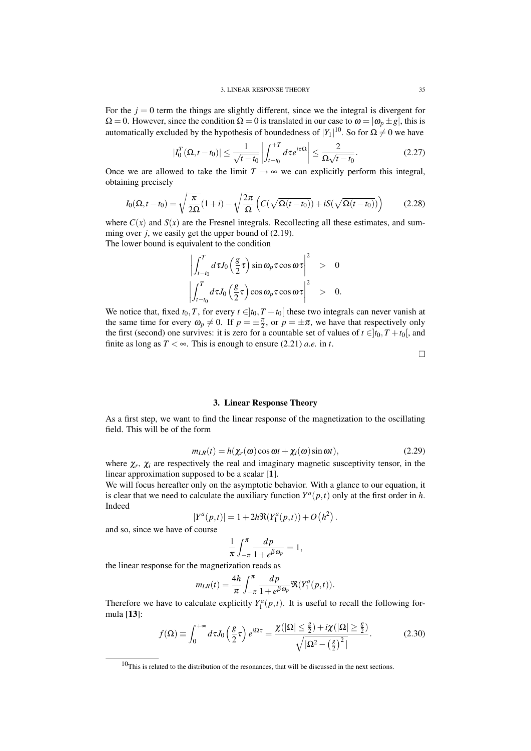For the  $j = 0$  term the things are slightly different, since we the integral is divergent for  $\Omega = 0$ . However, since the condition  $\Omega = 0$  is translated in our case to  $\omega = |\omega_p \pm g|$ , this is automatically excluded by the hypothesis of boundedness of  $|Y_1|^{10}$ . So for  $\Omega \neq 0$  we have

$$
|I_0^T(\Omega, t - t_0)| \le \frac{1}{\sqrt{t - t_0}} \left| \int_{t - t_0}^{+T} d\tau e^{i\tau \Omega} \right| \le \frac{2}{\Omega \sqrt{t - t_0}}.
$$
 (2.27)

Once we are allowed to take the limit  $T \rightarrow \infty$  we can explicitly perform this integral, obtaining precisely

$$
I_0(\Omega, t - t_0) = \sqrt{\frac{\pi}{2\Omega}} (1 + i) - \sqrt{\frac{2\pi}{\Omega}} \left( C(\sqrt{\Omega(t - t_0)}) + iS(\sqrt{\Omega(t - t_0)}) \right)
$$
(2.28)

where  $C(x)$  and  $S(x)$  are the Fresnel integrals. Recollecting all these estimates, and summing over *j*, we easily get the upper bound of (2.19). The lower bound is equivalent to the condition

$$
\left|\int_{t-t_0}^T d\tau J_0\left(\frac{g}{2}\tau\right) \sin \omega_p \tau \cos \omega \tau\right|^2 > 0
$$
  

$$
\left|\int_{t-t_0}^T d\tau J_0\left(\frac{g}{2}\tau\right) \cos \omega_p \tau \cos \omega \tau\right|^2 > 0.
$$

We notice that, fixed  $t_0$ , *T*, for every  $t \in ]t_0, T + t_0[$  these two integrals can never vanish at the same time for every  $\omega_p \neq 0$ . If  $p = \pm \frac{\pi}{2}$ , or  $p = \pm \pi$ , we have that respectively only the first (second) one survives: it is zero for a countable set of values of  $t \in ]t_0, T + t_0[$ , and finite as long as  $T < \infty$ . This is enough to ensure (2.21) *a.e.* in *t*.

 $\Box$ 

## 3. Linear Response Theory

As a first step, we want to find the linear response of the magnetization to the oscillating field. This will be of the form

$$
m_{LR}(t) = h(\chi_r(\omega)\cos\omega t + \chi_i(\omega)\sin\omega t), \qquad (2.29)
$$

where  $\chi_r$ ,  $\chi_i$  are respectively the real and imaginary magnetic susceptivity tensor, in the linear approximation supposed to be a scalar [1].

We will focus hereafter only on the asymptotic behavior. With a glance to our equation, it is clear that we need to calculate the auxiliary function  $Y^a(p,t)$  only at the first order in *h*. Indeed

$$
|Y^{a}(p,t)| = 1 + 2h \Re(Y_{1}^{a}(p,t)) + O(h^{2}).
$$

and so, since we have of course

$$
\frac{1}{\pi} \int_{-\pi}^{\pi} \frac{dp}{1 + e^{\beta \omega_p}} = 1,
$$

the linear response for the magnetization reads as

$$
m_{LR}(t) = \frac{4h}{\pi} \int_{-\pi}^{\pi} \frac{dp}{1 + e^{\beta \omega_p}} \Re(Y_1^a(p, t)).
$$

Therefore we have to calculate explicitly  $Y_1^a(p,t)$ . It is useful to recall the following formula [13]:

$$
f(\Omega) \equiv \int_0^{+\infty} d\tau J_0\left(\frac{g}{2}\tau\right) e^{i\Omega \tau} = \frac{\chi(|\Omega| \le \frac{g}{2}) + i\chi(|\Omega| \ge \frac{g}{2})}{\sqrt{|\Omega^2 - \left(\frac{g}{2}\right)^2|}}.
$$
 (2.30)

 $10$ This is related to the distribution of the resonances, that will be discussed in the next sections.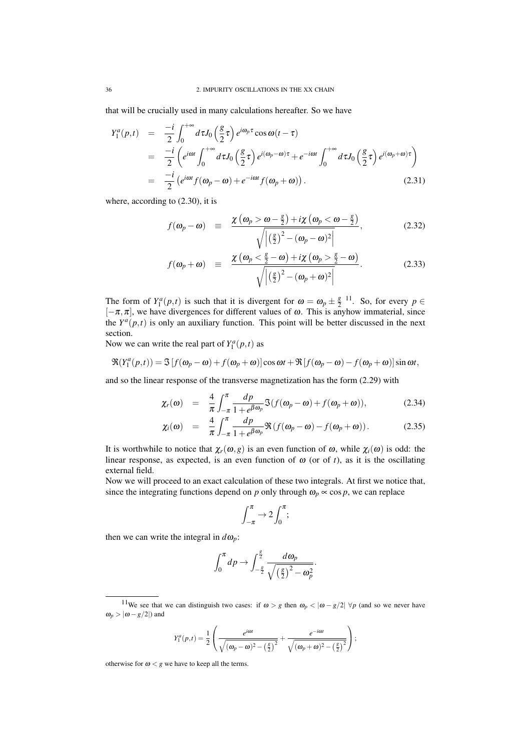that will be crucially used in many calculations hereafter. So we have

$$
Y_1^a(p,t) = \frac{-i}{2} \int_0^{+\infty} d\tau J_0\left(\frac{g}{2}\tau\right) e^{i\omega_p \tau} \cos \omega(t-\tau)
$$
  
\n
$$
= \frac{-i}{2} \left( e^{i\omega t} \int_0^{+\infty} d\tau J_0\left(\frac{g}{2}\tau\right) e^{i(\omega_p - \omega)\tau} + e^{-i\omega t} \int_0^{+\infty} d\tau J_0\left(\frac{g}{2}\tau\right) e^{i(\omega_p + \omega)\tau} \right)
$$
  
\n
$$
= \frac{-i}{2} \left( e^{i\omega t} f(\omega_p - \omega) + e^{-i\omega t} f(\omega_p + \omega) \right).
$$
 (2.31)

where, according to (2.30), it is

$$
f(\omega_p - \omega) \quad \equiv \quad \frac{\chi(\omega_p > \omega - \frac{g}{2}) + i\chi(\omega_p < \omega - \frac{g}{2})}{\sqrt{\left|\left(\frac{g}{2}\right)^2 - (\omega_p - \omega)^2\right|}},\tag{2.32}
$$

$$
f(\omega_p + \omega) \equiv \frac{\chi(\omega_p < \frac{g}{2} - \omega) + i\chi(\omega_p > \frac{g}{2} - \omega)}{\sqrt{\left|(\frac{g}{2})^2 - (\omega_p + \omega)^2\right|}}.
$$
 (2.33)

The form of  $Y_1^a(p,t)$  is such that it is divergent for  $\omega = \omega_p \pm \frac{g}{2}$  $\frac{g}{2}$ <sup>11</sup>. So, for every  $p \in$  $[-\pi, \pi]$ , we have divergences for different values of  $\omega$ . This is anyhow immaterial, since the  $Y^a(p,t)$  is only an auxiliary function. This point will be better discussed in the next section.

Now we can write the real part of  $Y_1^a(p,t)$  as

$$
\Re(Y_1^a(p,t)) = \Im[f(\omega_p - \omega) + f(\omega_p + \omega)]\cos \omega t + \Re[f(\omega_p - \omega) - f(\omega_p + \omega)]\sin \omega t,
$$

and so the linear response of the transverse magnetization has the form (2.29) with

$$
\chi_r(\omega) = \frac{4}{\pi} \int_{-\pi}^{\pi} \frac{dp}{1 + e^{\beta \omega_p}} \Im(f(\omega_p - \omega) + f(\omega_p + \omega)), \tag{2.34}
$$

$$
\chi_i(\omega) = \frac{4}{\pi} \int_{-\pi}^{\pi} \frac{dp}{1 + e^{\beta \omega_p}} \Re(f(\omega_p - \omega) - f(\omega_p + \omega)). \tag{2.35}
$$

It is worthwhile to notice that  $\chi_r(\omega, g)$  is an even function of  $\omega$ , while  $\chi_i(\omega)$  is odd: the linear response, as expected, is an even function of  $\omega$  (or of *t*), as it is the oscillating external field.

Now we will proceed to an exact calculation of these two integrals. At first we notice that, since the integrating functions depend on *p* only through  $\omega_p \propto \cos p$ , we can replace

$$
\int_{-\pi}^{\pi} \to 2 \int_{0}^{\pi};
$$

then we can write the integral in  $d\omega_p$ :

$$
\int_0^{\pi} dp \rightarrow \int_{-\frac{g}{2}}^{\frac{g}{2}} \frac{d\omega_p}{\sqrt{\left(\frac{g}{2}\right)^2 - \omega_p^2}}.
$$

$$
Y_1^a(p,t) = \frac{1}{2} \left( \frac{e^{i\omega t}}{\sqrt{(\omega_p - \omega)^2 - (\frac{g}{2})^2}} + \frac{e^{-i\omega t}}{\sqrt{(\omega_p + \omega)^2 - (\frac{g}{2})^2}} \right);
$$

otherwise for  $\omega < g$  we have to keep all the terms.

<sup>&</sup>lt;sup>11</sup>We see that we can distinguish two cases: if  $\omega > g$  then  $\omega_p < |\omega - g/2| \forall p$  (and so we never have  $\omega_p > |\omega - g/2|$ ) and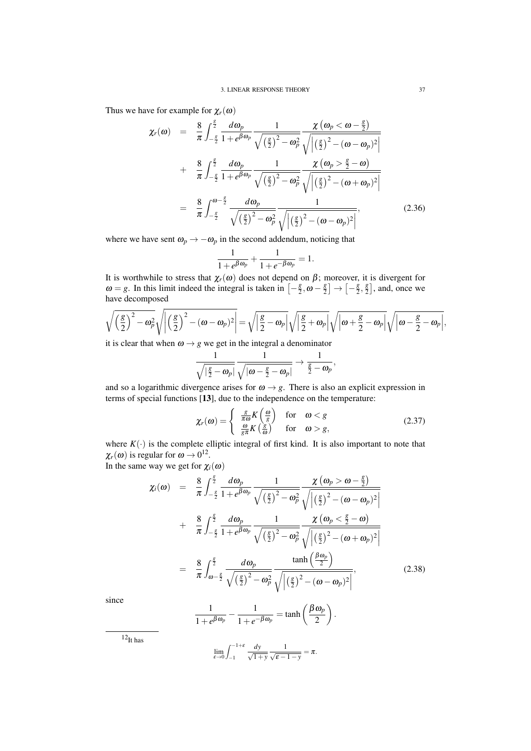Thus we have for example for  $\chi_r(\omega)$ 

$$
\chi_r(\omega) = \frac{8}{\pi} \int_{-\frac{g}{2}}^{\frac{g}{2}} \frac{d\omega_p}{1 + e^{\beta \omega_p}} \frac{1}{\sqrt{\left(\frac{g}{2}\right)^2 - \omega_p^2}} \frac{\chi(\omega_p < \omega - \frac{g}{2})}{\sqrt{\left|\left(\frac{g}{2}\right)^2 - (\omega - \omega_p)^2\right|}}
$$
\n
$$
+ \frac{8}{\pi} \int_{-\frac{g}{2}}^{\frac{g}{2}} \frac{d\omega_p}{1 + e^{\beta \omega_p}} \frac{1}{\sqrt{\left(\frac{g}{2}\right)^2 - \omega_p^2}} \frac{\chi(\omega_p > \frac{g}{2} - \omega)}{\sqrt{\left|\left(\frac{g}{2}\right)^2 - (\omega + \omega_p)^2\right|}}
$$
\n
$$
= \frac{8}{\pi} \int_{-\frac{g}{2}}^{\omega - \frac{g}{2}} \frac{d\omega_p}{\sqrt{\left(\frac{g}{2}\right)^2 - \omega_p^2}} \frac{1}{\sqrt{\left|\left(\frac{g}{2}\right)^2 - (\omega - \omega_p)^2\right|}},\tag{2.36}
$$

where we have sent  $\omega_p \rightarrow -\omega_p$  in the second addendum, noticing that

$$
\frac{1}{1+e^{\beta\omega_p}}+\frac{1}{1+e^{-\beta\omega_p}}=1.
$$

It is worthwhile to stress that  $\chi_r(\omega)$  does not depend on  $\beta$ ; moreover, it is divergent for  $\omega = g$ . In this limit indeed the integral is taken in  $\left[-\frac{g}{2}\right]$  $\frac{g}{2}, \omega - \frac{g}{2}$  $\left[\frac{g}{2}\right] \rightarrow \left[-\frac{g}{2}\right]$  $\frac{g}{2}, \frac{g}{2}$  $\frac{g}{2}$ , and, once we have decomposed

$$
\sqrt{\left(\frac{g}{2}\right)^2 - \omega_p^2} \sqrt{\left|\left(\frac{g}{2}\right)^2 - (\omega - \omega_p)^2\right|} = \sqrt{\left|\frac{g}{2} - \omega_p\right|} \sqrt{\left|\frac{g}{2} + \omega_p\right|} \sqrt{\left|\omega + \frac{g}{2} - \omega_p\right|} \sqrt{\left|\omega - \frac{g}{2} - \omega_p\right|},
$$

it is clear that when  $\omega \rightarrow g$  we get in the integral a denominator

$$
\frac{1}{\sqrt{\left|\frac{g}{2}-\boldsymbol{\omega}_p\right|}}\frac{1}{\sqrt{|\boldsymbol{\omega}-\frac{g}{2}-\boldsymbol{\omega}_p|}}\rightarrow\frac{1}{\frac{g}{2}-\boldsymbol{\omega}_p},
$$

and so a logarithmic divergence arises for  $\omega \rightarrow g$ . There is also an explicit expression in terms of special functions [13], due to the independence on the temperature:

$$
\chi_r(\omega) = \begin{cases} \frac{g}{\pi \omega} K\left(\frac{\omega}{g}\right) & \text{for } \omega < g\\ \frac{\omega}{g \pi} K\left(\frac{g}{\omega}\right) & \text{for } \omega > g, \end{cases}
$$
(2.37)

where  $K(\cdot)$  is the complete elliptic integral of first kind. It is also important to note that  $\chi_r(\omega)$  is regular for  $\omega \to 0^{12}$ .

In the same way we get for  $\chi_i(\omega)$ 

$$
\chi_i(\omega) = \frac{8}{\pi} \int_{-\frac{g}{2}}^{\frac{g}{2}} \frac{d\omega_p}{1 + e^{\beta \omega_p}} \frac{1}{\sqrt{\left(\frac{g}{2}\right)^2 - \omega_p^2}} \frac{\chi(\omega_p > \omega - \frac{g}{2})}{\sqrt{\left|\left(\frac{g}{2}\right)^2 - (\omega - \omega_p)^2\right|}}
$$
  
+ 
$$
\frac{8}{\pi} \int_{-\frac{g}{2}}^{\frac{g}{2}} \frac{d\omega_p}{1 + e^{\beta \omega_p}} \frac{1}{\sqrt{\left(\frac{g}{2}\right)^2 - \omega_p^2}} \frac{\chi(\omega_p < \frac{g}{2} - \omega)}{\sqrt{\left|\left(\frac{g}{2}\right)^2 - (\omega + \omega_p)^2\right|}}
$$
  
= 
$$
\frac{8}{\pi} \int_{\omega - \frac{g}{2}}^{\frac{g}{2}} \frac{d\omega_p}{\sqrt{\left(\frac{g}{2}\right)^2 - \omega_p^2}} \frac{\tanh\left(\frac{\beta \omega_p}{2}\right)}{\sqrt{\left|\left(\frac{g}{2}\right)^2 - (\omega - \omega_p)^2\right|}}, \qquad (2.38)
$$

since

$$
\frac{1}{1+e^{\beta \omega_p}} - \frac{1}{1+e^{-\beta \omega_p}} = \tanh\left(\frac{\beta \omega_p}{2}\right).
$$

 $12<sub>It has</sub>$ 

$$
\lim_{\varepsilon \to 0} \int_{-1}^{-1+\varepsilon} \frac{dy}{\sqrt{1+y}} \frac{1}{\sqrt{\varepsilon - 1 - y}} = \pi.
$$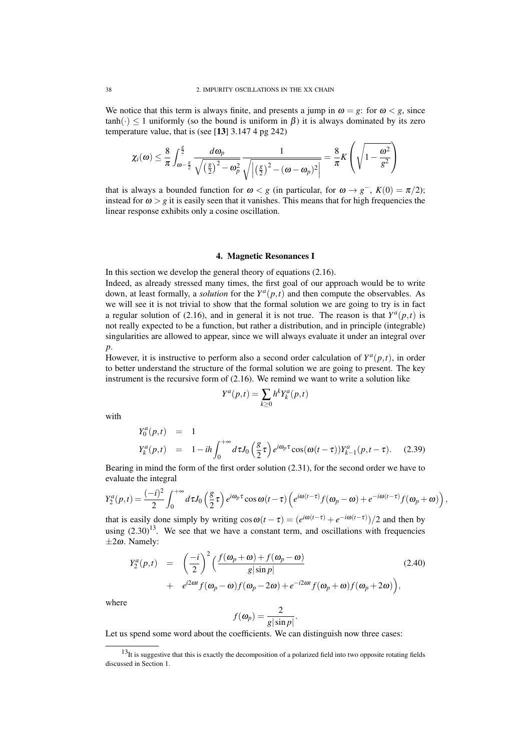We notice that this term is always finite, and presents a jump in  $\omega = g$ : for  $\omega < g$ , since  $tanh(\cdot) \leq 1$  uniformly (so the bound is uniform in  $\beta$ ) it is always dominated by its zero temperature value, that is (see [13] 3.147 4 pg 242)

$$
\chi_i(\omega) \leq \frac{8}{\pi} \int_{\omega - \frac{g}{2}}^{\frac{g}{2}} \frac{d\omega_p}{\sqrt{\left(\frac{g}{2}\right)^2 - \omega_p^2}} \frac{1}{\sqrt{\left|\left(\frac{g}{2}\right)^2 - (\omega - \omega_p)^2\right|}} = \frac{8}{\pi} K\left(\sqrt{1 - \frac{\omega^2}{g^2}}\right)
$$

that is always a bounded function for  $\omega < g$  (in particular, for  $\omega \to g^{-}$ ,  $K(0) = \pi/2$ ); instead for  $\omega > g$  it is easily seen that it vanishes. This means that for high frequencies the linear response exhibits only a cosine oscillation.

### 4. Magnetic Resonances I

In this section we develop the general theory of equations (2.16). Indeed, as already stressed many times, the first goal of our approach would be to write down, at least formally, a *solution* for the  $Y^a(p,t)$  and then compute the observables. As we will see it is not trivial to show that the formal solution we are going to try is in fact a regular solution of (2.16), and in general it is not true. The reason is that  $Y^a(p,t)$  is not really expected to be a function, but rather a distribution, and in principle (integrable) singularities are allowed to appear, since we will always evaluate it under an integral over *p*.

However, it is instructive to perform also a second order calculation of  $Y^a(p,t)$ , in order to better understand the structure of the formal solution we are going to present. The key instrument is the recursive form of (2.16). We remind we want to write a solution like

$$
Y^a(p,t) = \sum_{k \ge 0} h^k Y_k^a(p,t)
$$

with

$$
Y_0^a(p,t) = 1
$$
  
\n
$$
Y_k^a(p,t) = 1 - ih \int_0^{+\infty} d\tau J_0\left(\frac{g}{2}\tau\right) e^{i\omega_p \tau} \cos(\omega(t-\tau)) Y_{k-1}^a(p,t-\tau).
$$
 (2.39)

Bearing in mind the form of the first order solution (2.31), for the second order we have to evaluate the integral

$$
Y_2^a(p,t) = \frac{(-i)^2}{2} \int_0^{+\infty} d\tau J_0\left(\frac{g}{2}\tau\right) e^{i\omega_p \tau} \cos \omega(t-\tau) \left(e^{i\omega(t-\tau)} f(\omega_p-\omega) + e^{-i\omega(t-\tau)} f(\omega_p+\omega)\right),
$$

that is easily done simply by writing  $\cos \omega(t-\tau) = (e^{i\omega(t-\tau)} + e^{-i\omega(t-\tau)})/2$  and then by using  $(2.30)^{13}$ . We see that we have a constant term, and oscillations with frequencies  $\pm 2\omega$ . Namely:

$$
Y_2^a(p,t) = \left(\frac{-i}{2}\right)^2 \left(\frac{f(\omega_p + \omega) + f(\omega_p - \omega)}{g|\sin p|} + e^{i2\omega t} f(\omega_p - \omega) f(\omega_p - 2\omega) + e^{-i2\omega t} f(\omega_p + \omega) f(\omega_p + 2\omega)\right),
$$
\n(2.40)

where

$$
f(\boldsymbol{\omega}_p) = \frac{2}{g|\sin p|}.
$$

Let us spend some word about the coefficients. We can distinguish now three cases:

 $13$ It is suggestive that this is exactly the decomposition of a polarized field into two opposite rotating fields discussed in Section 1.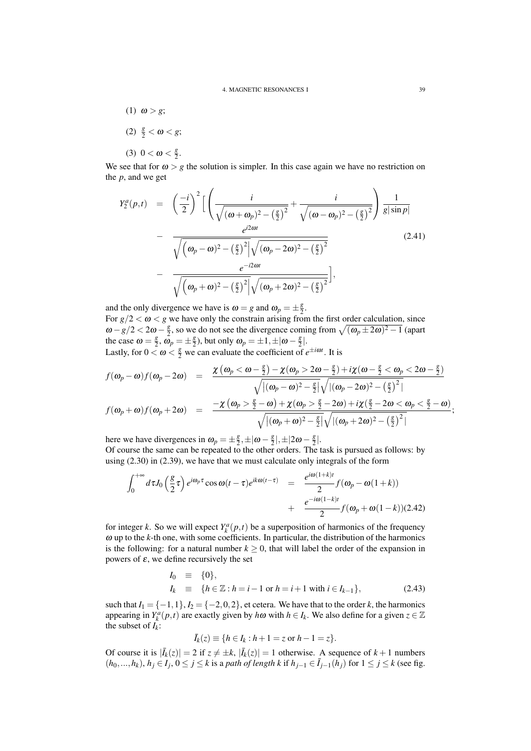- (1)  $\omega > g$ ;
- (2)  $\frac{g}{2} < \omega < g;$

(3)  $0 < \omega < \frac{g}{2}$  $\frac{g}{2}$ .

We see that for  $\omega > g$  the solution is simpler. In this case again we have no restriction on the *p*, and we get

$$
Y_{2}^{a}(p,t) = \left(\frac{-i}{2}\right)^{2} \Big[ \left(\frac{i}{\sqrt{(\omega + \omega_{p})^{2} - (\frac{g}{2})^{2}}} + \frac{i}{\sqrt{(\omega - \omega_{p})^{2} - (\frac{g}{2})^{2}}} \right) \frac{1}{g|\sin p|} - \frac{e^{i2\omega t}}{\sqrt{(\omega_{p} - \omega)^{2} - (\frac{g}{2})^{2}} \sqrt{(\omega_{p} - 2\omega)^{2} - (\frac{g}{2})^{2}}} - \frac{e^{-i2\omega t}}{\sqrt{(\omega_{p} + \omega)^{2} - (\frac{g}{2})^{2}} \Big] \sqrt{(\omega_{p} + 2\omega)^{2} - (\frac{g}{2})^{2}}} \Big],
$$
\n(2.41)

and the only divergence we have is  $\omega = g$  and  $\omega_p = \pm \frac{g}{2}$  $\frac{g}{2}$ . For  $g/2 < \omega < g$  we have only the constrain arising from the first order calculation, since  $ω - g/2 < 2ω - *g*⁄<sub>2</sub>$  $\frac{g}{2}$ , so we do not see the divergence coming from  $\sqrt{(\omega_p \pm 2\omega)^2 - 1}$  (apart the case  $\omega = \frac{g}{2}$  $\frac{g}{2}, \ \omega_p = \pm \frac{g}{2}$  $\frac{g}{2}$ ), but only  $\omega_p = \pm 1, \pm |\omega - \frac{g}{2}|$  $\frac{g}{2}$ . Lastly, for  $0 < \omega < \frac{g}{2}$  we can evaluate the coefficient of  $e^{\pm i\omega t}$ . It is

$$
f(\omega_p - \omega) f(\omega_p - 2\omega) = \frac{\chi(\omega_p < \omega - \frac{g}{2}) - \chi(\omega_p > 2\omega - \frac{g}{2}) + i\chi(\omega - \frac{g}{2} < \omega_p < 2\omega - \frac{g}{2})}{\sqrt{|(\omega_p - \omega)^2 - \frac{g}{2}|}\sqrt{|(\omega_p - 2\omega)^2 - (\frac{g}{2})^2|}}
$$
  

$$
f(\omega_p + \omega) f(\omega_p + 2\omega) = \frac{-\chi(\omega_p > \frac{g}{2} - \omega) + \chi(\omega_p > \frac{g}{2} - 2\omega) + i\chi(\frac{g}{2} - 2\omega < \omega_p < \frac{g}{2} - \omega)}{\sqrt{|(\omega_p + \omega)^2 - \frac{g}{2}|}\sqrt{|(\omega_p + 2\omega)^2 - (\frac{g}{2})^2|}},
$$

here we have divergences in  $\omega_p = \pm \frac{g}{2}$  $\frac{g}{2}, \pm |\omega - \frac{g}{2}|$  $\frac{g}{2}$ ,  $\pm$  |2 $\omega$  -  $\frac{g}{2}$  $\frac{g}{2}$ .

Of course the same can be repeated to the other orders. The task is pursued as follows: by using (2.30) in (2.39), we have that we must calculate only integrals of the form

$$
\int_0^{+\infty} d\tau J_0\left(\frac{g}{2}\tau\right) e^{i\omega_p \tau} \cos \omega (t-\tau) e^{ik\omega (t-\tau)} = \frac{e^{i\omega (1+k)t}}{2} f(\omega_p - \omega (1+k)) \n+ \frac{e^{-i\omega (1-k)t}}{2} f(\omega_p + \omega (1-k))(2.42)
$$

for integer *k*. So we will expect  $Y_k^a(p,t)$  be a superposition of harmonics of the frequency ω up to the *k*-th one, with some coefficients. In particular, the distribution of the harmonics is the following: for a natural number  $k \geq 0$ , that will label the order of the expansion in powers of  $\varepsilon$ , we define recursively the set

$$
I_0 \equiv \{0\},
$$
  
\n
$$
I_k \equiv \{h \in \mathbb{Z} : h = i - 1 \text{ or } h = i + 1 \text{ with } i \in I_{k-1}\},
$$
\n(2.43)

such that  $I_1 = \{-1, 1\}$ ,  $I_2 = \{-2, 0, 2\}$ , et cetera. We have that to the order *k*, the harmonics appearing in  $Y_k^a(p,t)$  are exactly given by  $h\omega$  with  $h \in I_k$ . We also define for a given  $z \in \mathbb{Z}$ the subset of  $I_k$ :

$$
\bar{I}_k(z) \equiv \{h \in I_k : h+1=z \text{ or } h-1=z\}.
$$

Of course it is  $|\bar{I}_k(z)| = 2$  if  $z \neq \pm k$ ,  $|\bar{I}_k(z)| = 1$  otherwise. A sequence of  $k + 1$  numbers  $(h_0, ..., h_k)$ ,  $h_j$  ∈  $I_j$ ,  $0 \le j \le k$  is a *path of length k* if  $h_{j-1}$  ∈  $\overline{I}_{j-1}(h_j)$  for  $1 \le j \le k$  (see fig.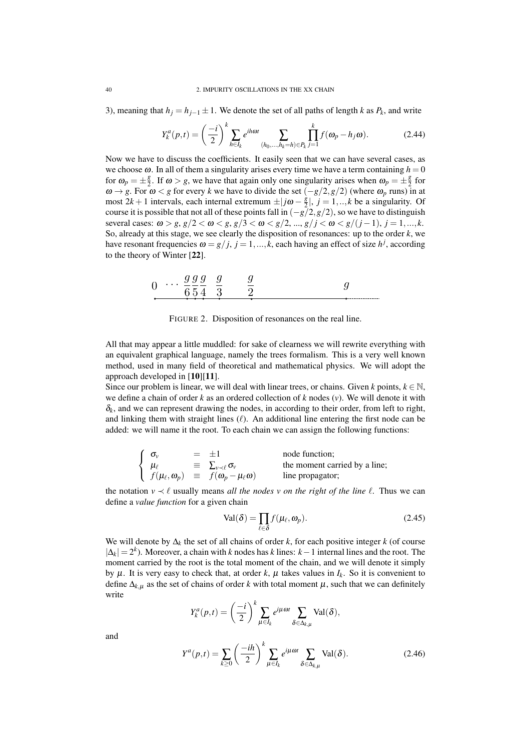3), meaning that  $h_j = h_{j-1} \pm 1$ . We denote the set of all paths of length *k* as  $P_k$ , and write

$$
Y_k^a(p,t) = \left(\frac{-i}{2}\right)^k \sum_{h \in I_k} e^{ih\omega t} \sum_{(h_0, ..., h_k = h) \in P_k} \prod_{j=1}^k f(\omega_p - h_j \omega).
$$
 (2.44)

Now we have to discuss the coefficients. It easily seen that we can have several cases, as we choose  $\omega$ . In all of them a singularity arises every time we have a term containing  $h = 0$ for  $\omega_p = \pm \frac{g}{2}$  $\frac{g}{2}$ . If  $\omega > g$ , we have that again only one singularity arises when  $\omega_p = \pm \frac{g}{2}$  $rac{g}{2}$  for  $ω → g$ . For  $ω < g$  for every *k* we have to divide the set  $(-g/2, g/2)$  (where  $ω<sub>p</sub>$  runs) in at most  $2k+1$  intervals, each internal extremum  $\pm j\omega - \frac{g}{2}$  $\frac{g}{2}$ ,  $j = 1, \dots, k$  be a singularity. Of course it is possible that not all of these points fall in  $(-g/2, g/2)$ , so we have to distinguish several cases:  $\omega > g$ ,  $g/2 < \omega < g$ ,  $g/3 < \omega < g/2$ , ...,  $g/j < \omega < g/(j-1)$ ,  $j = 1,...,k$ . So, already at this stage, we see clearly the disposition of resonances: up to the order *k*, we have resonant frequencies  $\omega = g/j$ ,  $j = 1, ..., k$ , each having an effect of size  $h^j$ , according to the theory of Winter [22].

| ч<br>ч<br>u<br>Y<br>◡<br>⋂<br>$\cdots$<br>◡ |
|---------------------------------------------|
|---------------------------------------------|

FIGURE 2. Disposition of resonances on the real line.

All that may appear a little muddled: for sake of clearness we will rewrite everything with an equivalent graphical language, namely the trees formalism. This is a very well known method, used in many field of theoretical and mathematical physics. We will adopt the approach developed in [10][11].

Since our problem is linear, we will deal with linear trees, or chains. Given  $k$  points,  $k \in \mathbb{N}$ , we define a chain of order *k* as an ordered collection of *k* nodes (*v*). We will denote it with  $\delta_k$ , and we can represent drawing the nodes, in according to their order, from left to right, and linking them with straight lines  $(\ell)$ . An additional line entering the first node can be added: we will name it the root. To each chain we can assign the following functions:

$$
\left\{\n\begin{array}{ll}\n\sigma_v & = \pm 1 & \text{node function;} \\
\mu_\ell & \equiv \sum_{v \prec \ell} \sigma_v & \text{the moment carried by a line;} \\
f(\mu_\ell, \omega_p) & \equiv f(\omega_p - \mu_\ell \omega) & \text{line propagator;} \n\end{array}\n\right.
$$

the notation  $v \prec \ell$  usually means *all the nodes v on the right of the line*  $\ell$ . Thus we can define a *value function* for a given chain

$$
Val(\delta) = \prod_{\ell \in \delta} f(\mu_{\ell}, \omega_p).
$$
 (2.45)

We will denote by ∆*<sup>k</sup>* the set of all chains of order *k*, for each positive integer *k* (of course  $|\Delta_k| = 2^k$ ). Moreover, a chain with *k* nodes has *k* lines:  $k-1$  internal lines and the root. The moment carried by the root is the total moment of the chain, and we will denote it simply by  $\mu$ . It is very easy to check that, at order  $k$ ,  $\mu$  takes values in  $I_k$ . So it is convenient to define  $\Delta_{k,\mu}$  as the set of chains of order *k* with total moment  $\mu$ , such that we can definitely write

$$
Y_k^a(p,t) = \left(\frac{-i}{2}\right)^k \sum_{\mu \in I_k} e^{i\mu \omega t} \sum_{\delta \in \Delta_{k,\mu}} \text{Val}(\delta),
$$

and

$$
Y^{a}(p,t) = \sum_{k\geq 0} \left(\frac{-ih}{2}\right)^{k} \sum_{\mu \in I_{k}} e^{i\mu \omega t} \sum_{\delta \in \Delta_{k,\mu}} \text{Val}(\delta). \tag{2.46}
$$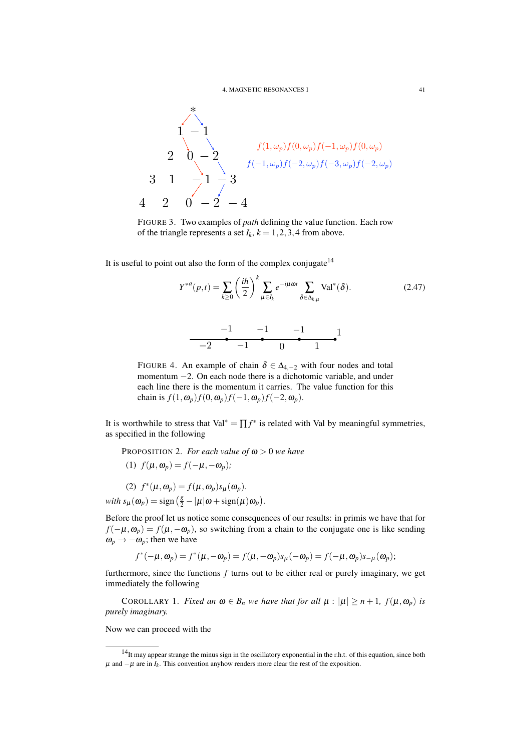

FIGURE 3. Two examples of *path* defining the value function. Each row of the triangle represents a set  $I_k$ ,  $k = 1, 2, 3, 4$  from above.

It is useful to point out also the form of the complex conjugate  $14$ 

$$
Y^{*a}(p,t) = \sum_{k\geq 0} \left(\frac{ih}{2}\right)^k \sum_{\mu \in I_k} e^{-i\mu \omega t} \sum_{\delta \in \Delta_{k,\mu}} \text{Val}^*(\delta). \tag{2.47}
$$

<sup>−</sup><sup>1</sup> <sup>−</sup><sup>1</sup> <sup>−</sup><sup>1</sup> −2 <sup>−</sup><sup>1</sup> 0 1 1

FIGURE 4. An example of chain  $\delta \in \Delta_{4,-2}$  with four nodes and total momentum −2. On each node there is a dichotomic variable, and under each line there is the momentum it carries. The value function for this chain is  $f(1, \omega_p) f(0, \omega_p) f(-1, \omega_p) f(-2, \omega_p)$ .

It is worthwhile to stress that  $Val^* = \prod f^*$  is related with Val by meaningful symmetries, as specified in the following

PROPOSITION 2. *For each value of* ω > 0 *we have*

(1)  $f(\mu, \omega_p) = f(-\mu, -\omega_p)$ ;

(2)  $f^*(\mu, \omega_p) = f(\mu, \omega_p) s_{\mu}(\omega_p)$ . *with*  $s_{\mu}(\omega_p) = \text{sign}\left(\frac{g}{2} - |\mu| \omega + \text{sign}(\mu) \omega_p\right)$ .

Before the proof let us notice some consequences of our results: in primis we have that for  $f(-\mu, \omega_p) = f(\mu, -\omega_p)$ , so switching from a chain to the conjugate one is like sending  $\omega_p \rightarrow -\omega_p$ ; then we have

$$
f^*(-\mu, \omega_p) = f^*(\mu, -\omega_p) = f(\mu, -\omega_p) s_\mu(-\omega_p) = f(-\mu, \omega_p) s_{-\mu}(\omega_p);
$$

furthermore, since the functions *f* turns out to be either real or purely imaginary, we get immediately the following

COROLLARY 1. *Fixed an*  $\omega \in B_n$  *we have that for all*  $\mu : |\mu| \ge n + 1$ ,  $f(\mu, \omega_p)$  *is purely imaginary.*

Now we can proceed with the

<sup>14</sup>It may appear strange the minus sign in the oscillatory exponential in the r.h.t. of this equation, since both  $\mu$  and  $-\mu$  are in  $I_k$ . This convention anyhow renders more clear the rest of the exposition.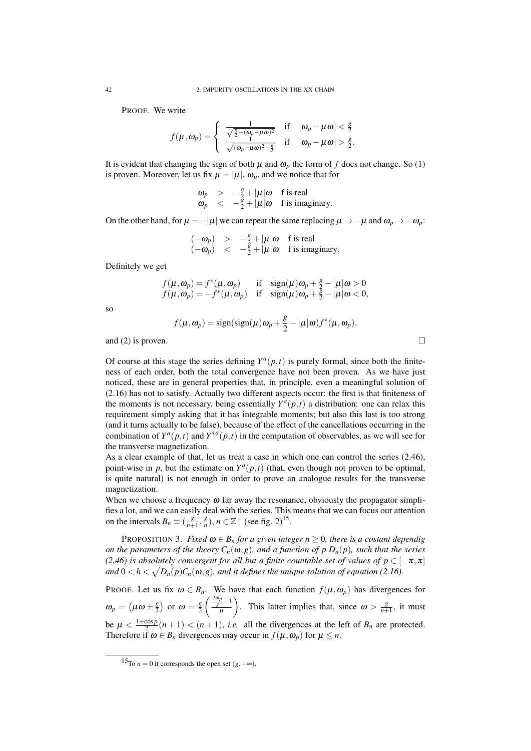PROOF. We write

$$
f(\mu, \omega_p) = \begin{cases} \frac{1}{\sqrt{\frac{g}{2} - (\omega_p - \mu \omega)^2}} & \text{if} \quad |\omega_p - \mu \omega| < \frac{g}{2} \\ \frac{1}{\sqrt{(\omega_p - \mu \omega)^2 - \frac{g}{2}}} & \text{if} \quad |\omega_p - \mu \omega| > \frac{g}{2}. \end{cases}
$$

It is evident that changing the sign of both  $\mu$  and  $\omega_p$  the form of *f* does not change. So (1) is proven. Moreover, let us fix  $\mu = |\mu|$ ,  $\omega_p$ , and we notice that for

$$
\begin{array}{rcl}\n\omega_p & > & -\frac{g}{2} + |\mu|\omega \quad \text{f is real} \\
\omega_p & < & -\frac{g}{2} + |\mu|\omega \quad \text{f is imaginary}.\n\end{array}
$$

On the other hand, for  $\mu = -|\mu|$  we can repeat the same replacing  $\mu \to -\mu$  and  $\omega_p \to -\omega_p$ :

$$
\begin{array}{rcl}\n(-\omega_p) & > & -\frac{g}{2} + |\mu|\omega \quad \text{f is real} \\
(-\omega_p) & < & -\frac{g}{2} + |\mu|\omega \quad \text{f is imaginary.}\n\end{array}
$$

Definitely we get

$$
f(\mu, \omega_p) = f^*(\mu, \omega_p) \quad \text{if} \quad \text{sign}(\mu)\omega_p + \frac{g}{2} - |\mu|\omega > 0
$$
  

$$
f(\mu, \omega_p) = -f^*(\mu, \omega_p) \quad \text{if} \quad \text{sign}(\mu)\omega_p + \frac{g}{2} - |\mu|\omega < 0,
$$

so

$$
f(\mu, \omega_p) = sign(sign(\mu)\omega_p + \frac{g}{2} - |\mu|\omega) f^*(\mu, \omega_p),
$$

and (2) is proven.  $\Box$ 

Of course at this stage the series defining  $Y^a(p,t)$  is purely formal, since both the finiteness of each order, both the total convergence have not been proven. As we have just noticed, these are in general properties that, in principle, even a meaningful solution of (2.16) has not to satisfy. Actually two different aspects occur: the first is that finiteness of the moments is not necessary, being essentially  $Y^a(p,t)$  a distribution: one can relax this requirement simply asking that it has integrable moments; but also this last is too strong (and it turns actually to be false), because of the effect of the cancellations occurring in the combination of  $Y^a(p,t)$  and  $Y^{*a}(p,t)$  in the computation of observables, as we will see for the transverse magnetization.

As a clear example of that, let us treat a case in which one can control the series (2.46), point-wise in  $p$ , but the estimate on  $Y^a(p,t)$  (that, even though not proven to be optimal, is quite natural) is not enough in order to prove an analogue results for the transverse magnetization.

When we choose a frequency  $\omega$  far away the resonance, obviously the propagator simplifies a lot, and we can easily deal with the series. This means that we can focus our attention on the intervals  $B_n \equiv \left(\frac{g}{n+1}, \frac{g}{n}\right)$  $\frac{g}{n}$ , *n*  $\in \mathbb{Z}^+$  (see fig. 2)<sup>15</sup>.

**PROPOSITION 3.** *Fixed*  $\omega \in B_n$  *for a given integer*  $n \geq 0$ *, there is a costant dependig on the parameters of the theory*  $C_n(\omega, g)$ *, and a function of p*  $D_n(p)$ *, such that the series (2.46) is absolutely convergent for all but a finite countable set of values of*  $p \in [-\pi, \pi]$ and  $0 < h < \sqrt{D_n(p)C_n(\omega,g)}$ , and it defines the unique solution of equation (2.16).

PROOF. Let us fix  $\omega \in B_n$ . We have that each function  $f(\mu, \omega_p)$  has divergences for  $\omega_p = (\mu \omega \pm \frac{g}{2})$  $\left(\frac{g}{2}\right)$  or  $\omega = \frac{g}{2}$ 2  $\int \frac{2\omega_p}{g}$  ±1 µ ). This latter implies that, since  $\omega > \frac{g}{n+1}$ , it must be  $\mu < \frac{1+\cos p}{2}$  $\frac{\cos p}{2}(n+1) < (n+1)$ , *i.e.* all the divergences at the left of  $B_n$  are protected. Therefore if  $\omega \in B_n$  divergences may occur in  $f(\mu, \omega_n)$  for  $\mu \leq n$ .

<sup>&</sup>lt;sup>15</sup>To *n* = 0 it corresponds the open set  $(g, +\infty)$ .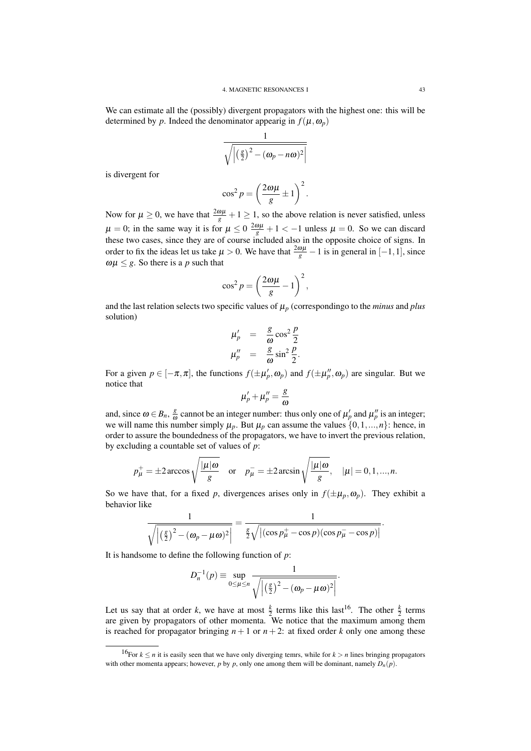We can estimate all the (possibly) divergent propagators with the highest one: this will be determined by *p*. Indeed the denominator appearig in  $f(\mu, \omega_p)$ 

$$
\frac{1}{\sqrt{\left| \left( \frac{g}{2} \right)^2 - (\omega_p - n\omega)^2 \right|}}
$$

is divergent for

$$
\cos^2 p = \left(\frac{2\omega\mu}{g} \pm 1\right)^2.
$$

Now for  $\mu \ge 0$ , we have that  $\frac{2\omega\mu}{g} + 1 \ge 1$ , so the above relation is never satisfied, unless  $\mu = 0$ ; in the same way it is for  $\mu \le 0$   $\frac{2\omega\mu}{g} + 1 < -1$  unless  $\mu = 0$ . So we can discard these two cases, since they are of course included also in the opposite choice of signs. In order to fix the ideas let us take  $\mu > 0$ . We have that  $\frac{2\omega\mu}{g} - 1$  is in general in [-1,1], since  $\omega\mu \leq g$ . So there is a *p* such that

$$
\cos^2 p = \left(\frac{2\omega\mu}{g} - 1\right)^2,
$$

and the last relation selects two specific values of  $\mu_p$  (correspondingo to the *minus* and *plus* solution)

$$
\mu_p' = \frac{g}{\omega} \cos^2 \frac{p}{2}
$$
  

$$
\mu_p'' = \frac{g}{\omega} \sin^2 \frac{p}{2}.
$$

For a given  $p \in [-\pi, \pi]$ , the functions  $f(\pm \mu_p', \omega_p)$  and  $f(\pm \mu_p'', \omega_p)$  are singular. But we notice that

$$
\mu'_p+\mu''_p=\frac{g}{\omega}
$$

and, since  $\omega \in B_n$ ,  $\frac{g}{\omega}$  $\frac{g}{\omega}$  cannot be an integer number: thus only one of  $\mu'_p$  and  $\mu''_p$  is an integer; we will name this number simply  $\mu_p$ . But  $\mu_p$  can assume the values  $\{0,1,...,n\}$ : hence, in order to assure the boundedness of the propagators, we have to invert the previous relation, by excluding a countable set of values of *p*:

$$
p_{\mu}^{+} = \pm 2 \arccos \sqrt{\frac{|\mu|\omega}{g}}
$$
 or  $p_{\mu}^{-} = \pm 2 \arcsin \sqrt{\frac{|\mu|\omega}{g}}$ ,  $|\mu| = 0, 1, ..., n$ .

So we have that, for a fixed *p*, divergences arises only in  $f(\pm \mu_p, \omega_p)$ . They exhibit a behavior like

$$
\frac{1}{\sqrt{\left|\left(\frac{g}{2}\right)^2 - (\omega_p - \mu\omega)^2\right|}} = \frac{1}{\frac{g}{2}\sqrt{\left|\left(\cos p_\mu^+ - \cos p\right)\left(\cos p_\mu^- - \cos p\right)\right|}}.
$$

It is handsome to define the following function of *p*:

$$
D_n^{-1}(p) \equiv \sup_{0 \le \mu \le n} \frac{1}{\sqrt{\left| \left( \frac{g}{2} \right)^2 - (\omega_p - \mu \omega)^2 \right|}}.
$$

Let us say that at order *k*, we have at most  $\frac{k}{2}$  terms like this last<sup>16</sup>. The other  $\frac{k}{2}$  terms are given by propagators of other momenta. We notice that the maximum among them is reached for propagator bringing  $n + 1$  or  $n + 2$ : at fixed order *k* only one among these

<sup>&</sup>lt;sup>16</sup>For  $k \le n$  it is easily seen that we have only diverging temrs, while for  $k > n$  lines bringing propagators with other momenta appears; however, *p* by *p*, only one among them will be dominant, namely  $D_n(p)$ .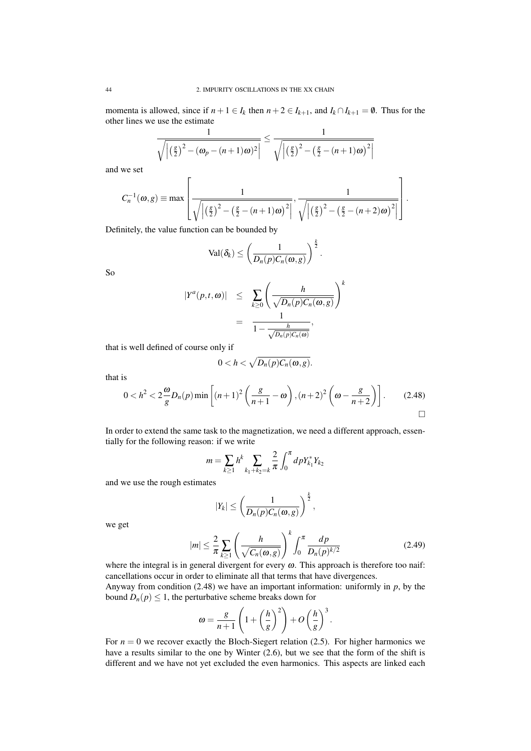momenta is allowed, since if  $n+1 \in I_k$  then  $n+2 \in I_{k+1}$ , and  $I_k \cap I_{k+1} = \emptyset$ . Thus for the other lines we use the estimate

$$
\frac{1}{\sqrt{\left|\left(\frac{\mathcal{E}}{2}\right)^2 - (\omega_p - (n+1)\omega)^2\right|}} \le \frac{1}{\sqrt{\left|\left(\frac{\mathcal{E}}{2}\right)^2 - \left(\frac{\mathcal{E}}{2} - (n+1)\omega\right)^2\right|}}
$$

and we set

$$
C_n^{-1}(\omega, g) \equiv \max \left[ \frac{1}{\sqrt{\left| \left( \frac{g}{2} \right)^2 - \left( \frac{g}{2} - (n+1)\omega \right)^2 \right|}}, \frac{1}{\sqrt{\left| \left( \frac{g}{2} \right)^2 - \left( \frac{g}{2} - (n+2)\omega \right)^2 \right|}} \right].
$$

Definitely, the value function can be bounded by

$$
\text{Val}(\delta_k) \leq \left(\frac{1}{D_n(p)C_n(\omega,g)}\right)^{\frac{k}{2}}.
$$

So

$$
|Y^{a}(p,t,\omega)| \leq \sum_{k\geq 0} \left(\frac{h}{\sqrt{D_n(p)C_n(\omega,g)}}\right)^{k}
$$
  
= 
$$
\frac{1}{1-\frac{h}{\sqrt{D_n(p)C_n(\omega)}}},
$$

that is well defined of course only if

$$
0
$$

that is

$$
0 < h^2 < 2\frac{\omega}{g}D_n(p)\min\left[(n+1)^2\left(\frac{g}{n+1}-\omega\right),(n+2)^2\left(\omega-\frac{g}{n+2}\right)\right].\tag{2.48}
$$

In order to extend the same task to the magnetization, we need a different approach, essentially for the following reason: if we write

$$
m = \sum_{k \ge 1} h^k \sum_{k_1 + k_2 = k} \frac{2}{\pi} \int_0^{\pi} dp Y_{k_1}^* Y_{k_2}
$$

and we use the rough estimates

$$
|Y_k| \leq \left(\frac{1}{D_n(p)C_n(\omega,g)}\right)^{\frac{k}{2}},
$$

we get

$$
|m| \leq \frac{2}{\pi} \sum_{k \geq 1} \left( \frac{h}{\sqrt{C_n(\omega, g)}} \right)^k \int_0^{\pi} \frac{dp}{D_n(p)^{k/2}} \tag{2.49}
$$

where the integral is in general divergent for every  $\omega$ . This approach is therefore too naif: cancellations occur in order to eliminate all that terms that have divergences.

Anyway from condition (2.48) we have an important information: uniformly in *p*, by the bound  $D_n(p) \leq 1$ , the perturbative scheme breaks down for

$$
\omega = \frac{g}{n+1} \left( 1 + \left(\frac{h}{g}\right)^2 \right) + O\left(\frac{h}{g}\right)^3.
$$

For  $n = 0$  we recover exactly the Bloch-Siegert relation (2.5). For higher harmonics we have a results similar to the one by Winter (2.6), but we see that the form of the shift is different and we have not yet excluded the even harmonics. This aspects are linked each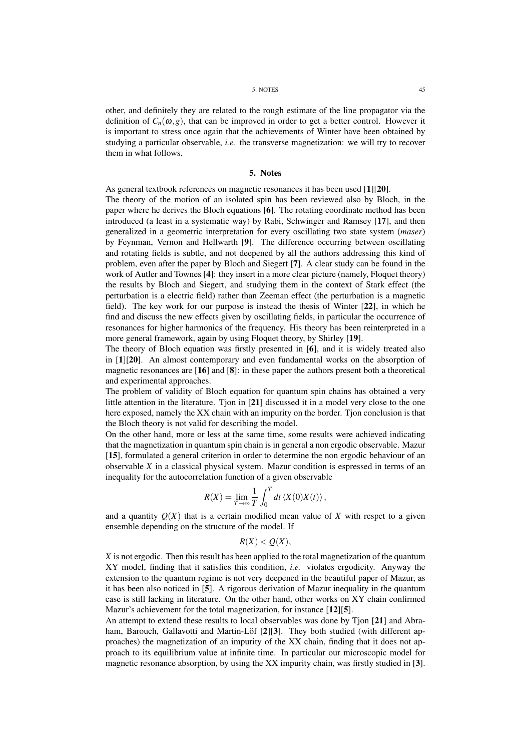#### 5. NOTES 45

other, and definitely they are related to the rough estimate of the line propagator via the definition of  $C_n(\omega, g)$ , that can be improved in order to get a better control. However it is important to stress once again that the achievements of Winter have been obtained by studying a particular observable, *i.e.* the transverse magnetization: we will try to recover them in what follows.

## 5. Notes

As general textbook references on magnetic resonances it has been used [1][20].

The theory of the motion of an isolated spin has been reviewed also by Bloch, in the paper where he derives the Bloch equations [6]. The rotating coordinate method has been introduced (a least in a systematic way) by Rabi, Schwinger and Ramsey [17], and then generalized in a geometric interpretation for every oscillating two state system (*maser*) by Feynman, Vernon and Hellwarth [9]. The difference occurring between oscillating and rotating fields is subtle, and not deepened by all the authors addressing this kind of problem, even after the paper by Bloch and Siegert [7]. A clear study can be found in the work of Autler and Townes [4]: they insert in a more clear picture (namely, Floquet theory) the results by Bloch and Siegert, and studying them in the context of Stark effect (the perturbation is a electric field) rather than Zeeman effect (the perturbation is a magnetic field). The key work for our purpose is instead the thesis of Winter [22], in which he find and discuss the new effects given by oscillating fields, in particular the occurrence of resonances for higher harmonics of the frequency. His theory has been reinterpreted in a more general framework, again by using Floquet theory, by Shirley [19].

The theory of Bloch equation was firstly presented in [6], and it is widely treated also in [1][20]. An almost contemporary and even fundamental works on the absorption of magnetic resonances are [16] and [8]: in these paper the authors present both a theoretical and experimental approaches.

The problem of validity of Bloch equation for quantum spin chains has obtained a very little attention in the literature. Tjon in [21] discussed it in a model very close to the one here exposed, namely the XX chain with an impurity on the border. Tjon conclusion is that the Bloch theory is not valid for describing the model.

On the other hand, more or less at the same time, some results were achieved indicating that the magnetization in quantum spin chain is in general a non ergodic observable. Mazur [15], formulated a general criterion in order to determine the non ergodic behaviour of an observable *X* in a classical physical system. Mazur condition is espressed in terms of an inequality for the autocorrelation function of a given observable

$$
R(X) = \lim_{T \to \infty} \frac{1}{T} \int_0^T dt \left\langle X(0)X(t) \right\rangle,
$$

and a quantity  $Q(X)$  that is a certain modified mean value of X with respect to a given ensemble depending on the structure of the model. If

## $R(X) < Q(X)$ ,

*X* is not ergodic. Then this result has been applied to the total magnetization of the quantum XY model, finding that it satisfies this condition, *i.e.* violates ergodicity. Anyway the extension to the quantum regime is not very deepened in the beautiful paper of Mazur, as it has been also noticed in [5]. A rigorous derivation of Mazur inequality in the quantum case is still lacking in literature. On the other hand, other works on XY chain confirmed Mazur's achievement for the total magnetization, for instance [12][5].

An attempt to extend these results to local observables was done by Tion [21] and Abraham, Barouch, Gallavotti and Martin-Löf [2][3]. They both studied (with different approaches) the magnetization of an impurity of the XX chain, finding that it does not approach to its equilibrium value at infinite time. In particular our microscopic model for magnetic resonance absorption, by using the XX impurity chain, was firstly studied in [3].